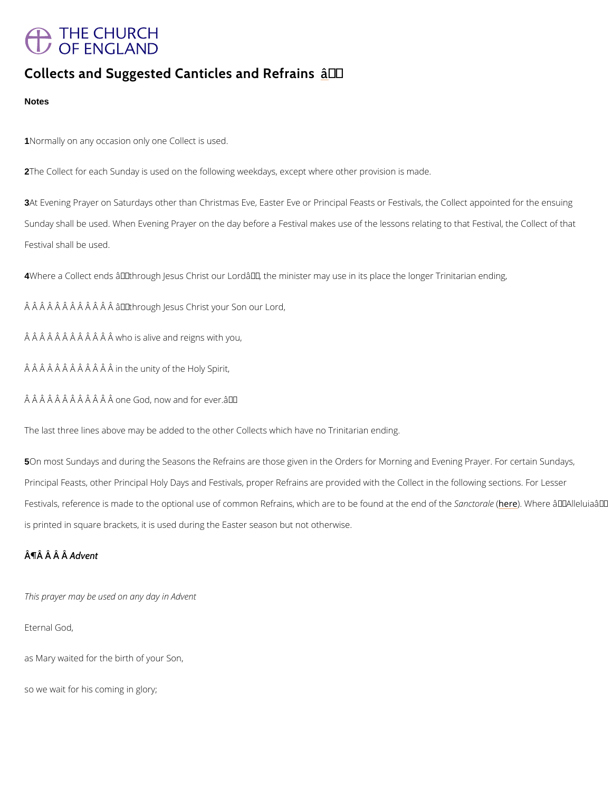# **THE CHURCH** OF ENGLAND

# Collects and Suggested Cantitles and Refrains

**Notes** 

1Normally on any occasion only one Collect is used.

2The Collect for each Sunday is used on the following weekdays, except where other provisio

3At Evening Prayer on Saturdays other than Christmas Eve, Easter Eve or Principal Feasts or Sunday shall be used. When Evening Prayer on the day before a Festival makes use of the le Festival shall be used.

4Where a Collect ends â€~through Jesus Christ our Lord', the minister may use in its plac

Â Â Â Â Â Â Â Â Â Â Â â € ~ through Jesus Christ your Son our Lord,

 $\hat{A}$   $\hat{A}$   $\hat{A}$   $\hat{A}$   $\hat{A}$   $\hat{A}$   $\hat{A}$   $\hat{A}$   $\hat{A}$   $\hat{A}$   $\hat{B}$   $\hat{B}$   $\hat{B}$   $\hat{B}$   $\hat{B}$   $\hat{B}$   $\hat{B}$   $\hat{B}$   $\hat{A}$   $\hat{B}$   $\hat{A}$   $\hat{B}$   $\hat{A}$   $\hat{B}$   $\hat{B}$   $\hat{B}$   $\hat{B}$   $\hat{B$ 

Â Â Â Â Â Â Â Â Â Â Î in the unity of the Holy Spirit,

 $\hat{A}$   $\hat{A}$   $\hat{A}$   $\hat{A}$   $\hat{A}$   $\hat{A}$   $\hat{A}$   $\hat{A}$   $\hat{A}$   $\hat{A}$   $\hat{B}$  one God, now and for ever.  $\hat{a} \in \mathbb{T}^M$ 

The last three lines above may be added to the other Collects which have no Trinitarian endi

5On most Sundays and during the Seasons the Refrains are those given in the Orders for Mor Principal Feasts, other Principal Holy Days and Festivals, proper Refrains are provided with Festivals, reference is made to the optional use of common Refrains,Sawnhcitochn<mark>(eaelne)e</mark>. tWo hbeerefoau<del>€</del>n~oA k is printed in square brackets, it is used during the Easter season but not otherwise.

 $\hat{A}$   $\P$  $\hat{A}$   $\hat{A}$   $\hat{A}$   $\hat{A}$   $\hat{B}$   $\hat{C}$   $\hat{C}$ 

This prayer may be used on any day in Advent

Eternal God,

as Mary waited for the birth of your Son,

so we wait for his coming in glory;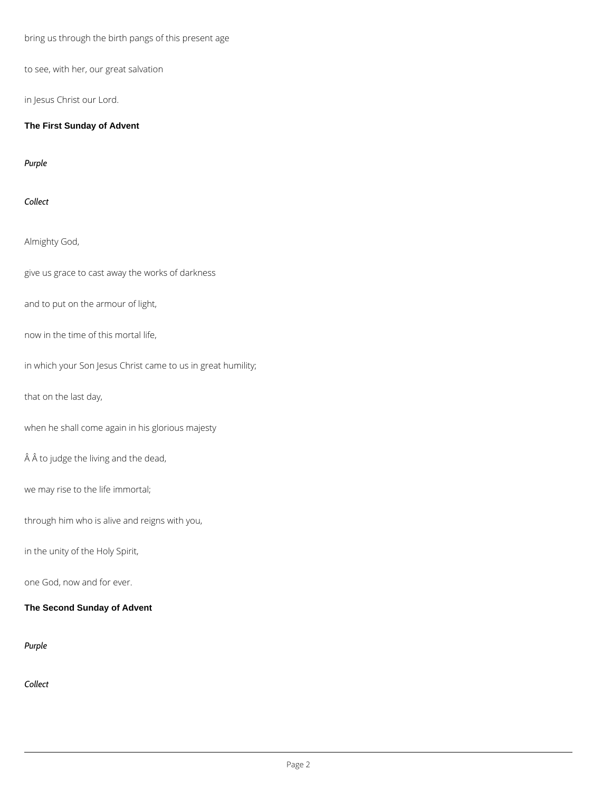bring us through the birth pangs of this present age

to see, with her, our great salvation

in Jesus Christ our Lord.

**The First Sunday of Advent**

*Purple*

*Collect*

Almighty God,

give us grace to cast away the works of darkness

and to put on the armour of light,

now in the time of this mortal life,

in which your Son Jesus Christ came to us in great humility;

that on the last day,

when he shall come again in his glorious majesty

Â to judge the living and the dead,

we may rise to the life immortal;

through him who is alive and reigns with you,

in the unity of the Holy Spirit,

one God, now and for ever.

#### **The Second Sunday of Advent**

*Purple*

*Collect*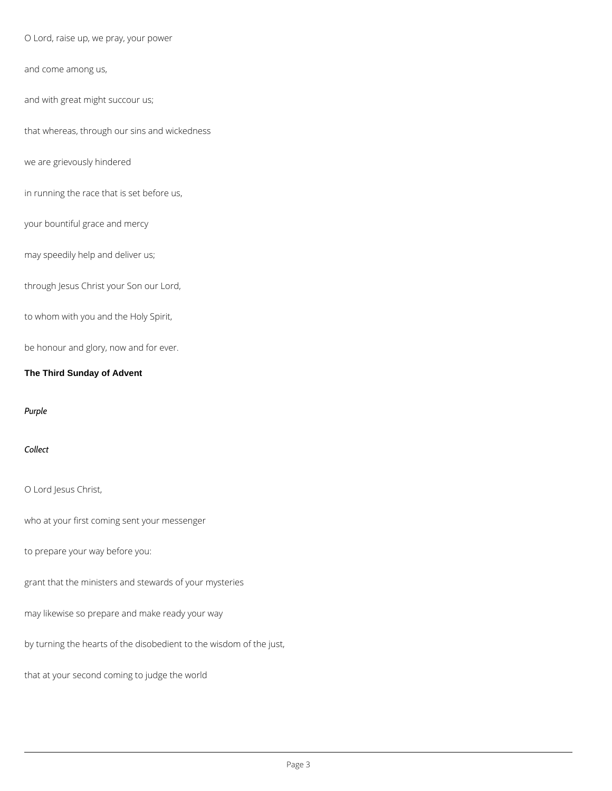O Lord, raise up, we pray, your power

and come among us,

and with great might succour us;

that whereas, through our sins and wickedness

we are grievously hindered

in running the race that is set before us,

your bountiful grace and mercy

may speedily help and deliver us;

through Jesus Christ your Son our Lord,

to whom with you and the Holy Spirit,

be honour and glory, now and for ever.

#### **The Third Sunday of Advent**

#### *Purple*

*Collect*

O Lord Jesus Christ,

who at your first coming sent your messenger

to prepare your way before you:

grant that the ministers and stewards of your mysteries

may likewise so prepare and make ready your way

by turning the hearts of the disobedient to the wisdom of the just,

that at your second coming to judge the world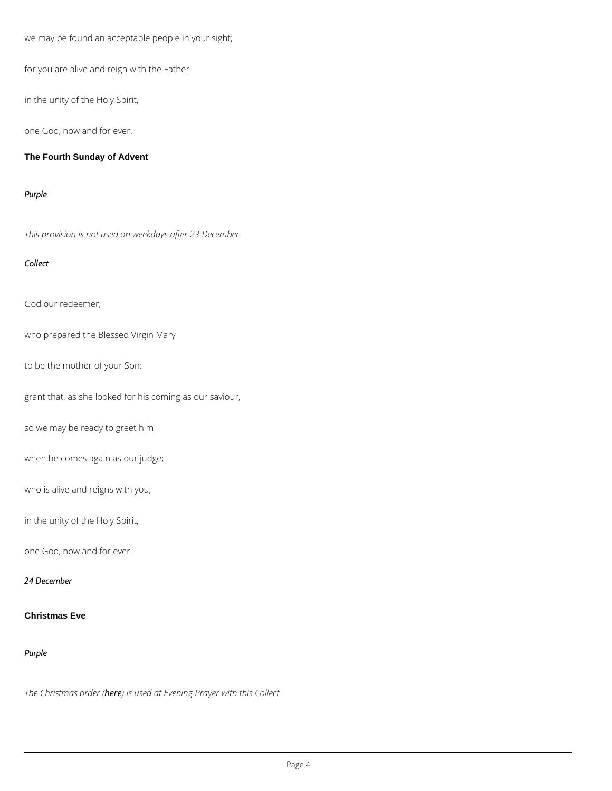we may be found an acceptable people in your sight;

for you are alive and reign with the Father

in the unity of the Holy Spirit,

one God, now and for ever.

The Fourth Sunday of Advent

Purple

This provision is not used on weekdays after 23 December.

Collect

God our redeemer,

who prepared the Blessed Virgin Mary

to be the mother of your Son:

grant that, as she looked for his coming as our saviour,

so we may be ready to greet him

when he comes again as our judge;

who is alive and reigns with you,

in the unity of the Holy Spirit,

one God, now and for ever.

24 December

Purple

#### The Christmas e of dee used at Evening Prayer with this Collect.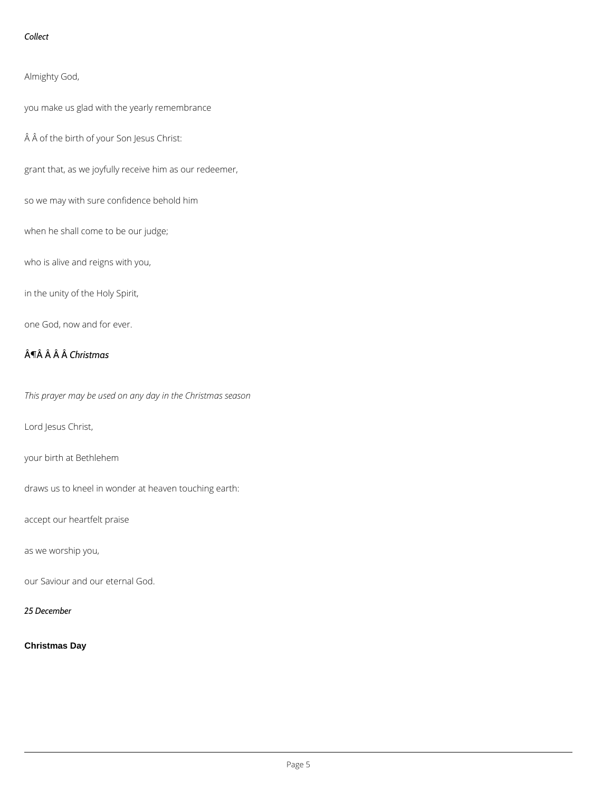#### *Collect*

Almighty God,

you make us glad with the yearly remembrance

Â of the birth of your Son Jesus Christ:

grant that, as we joyfully receive him as our redeemer,

so we may with sure confidence behold him

when he shall come to be our judge;

who is alive and reigns with you,

in the unity of the Holy Spirit,

one God, now and for ever.

## ¶ *Christmas*

*This prayer may be used on any day in the Christmas season*

Lord Jesus Christ,

your birth at Bethlehem

draws us to kneel in wonder at heaven touching earth:

accept our heartfelt praise

as we worship you,

our Saviour and our eternal God.

*25 December*

**Christmas Day**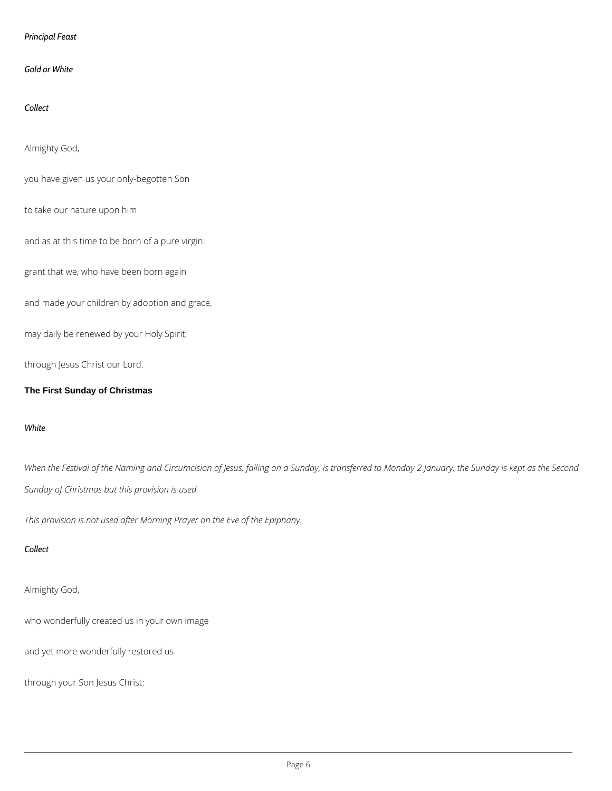#### *Principal Feast*

#### *Gold or White*

## *Collect*

#### Almighty God,

you have given us your only-begotten Son

to take our nature upon him

and as at this time to be born of a pure virgin:

grant that we, who have been born again

and made your children by adoption and grace,

may daily be renewed by your Holy Spirit;

through Jesus Christ our Lord.

#### **The First Sunday of Christmas**

#### *White*

*When the Festival of the Naming and Circumcision of Jesus, falling on a Sunday, is transferred to Monday 2 January, the Sunday is kept as the Second Sunday of Christmas but this provision is used.*

*This provision is not used after Morning Prayer on the Eve of the Epiphany.*

## *Collect*

## Almighty God,

who wonderfully created us in your own image

and yet more wonderfully restored us

through your Son Jesus Christ: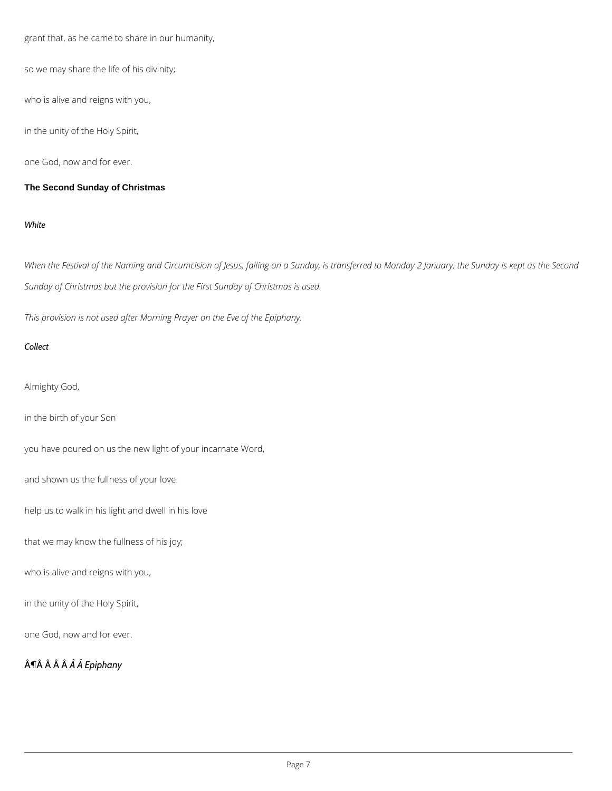grant that, as he came to share in our humanity,

so we may share the life of his divinity;

who is alive and reigns with you,

in the unity of the Holy Spirit,

one God, now and for ever.

#### **The Second Sunday of Christmas**

#### *White*

*When the Festival of the Naming and Circumcision of Jesus, falling on a Sunday, is transferred to Monday 2 January, the Sunday is kept as the Second Sunday of Christmas but the provision for the First Sunday of Christmas is used.*

*This provision is not used after Morning Prayer on the Eve of the Epiphany.*

#### *Collect*

Almighty God,

in the birth of your Son

you have poured on us the new light of your incarnate Word,

and shown us the fullness of your love:

help us to walk in his light and dwell in his love

that we may know the fullness of his joy;

who is alive and reigns with you,

in the unity of the Holy Spirit,

one God, now and for ever.

¶  *Epiphany*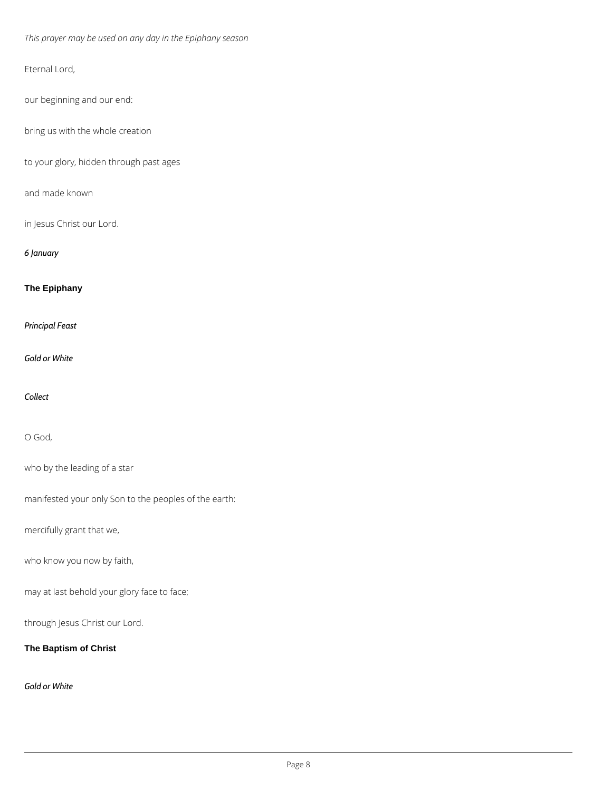*This prayer may be used on any day in the Epiphany season*

Eternal Lord,

our beginning and our end:

bring us with the whole creation

to your glory, hidden through past ages

and made known

in Jesus Christ our Lord.

*6 January*

**The Epiphany**

*Principal Feast*

*Gold or White*

*Collect*

O God,

who by the leading of a star

manifested your only Son to the peoples of the earth:

mercifully grant that we,

who know you now by faith,

may at last behold your glory face to face;

through Jesus Christ our Lord.

**The Baptism of Christ**

*Gold or White*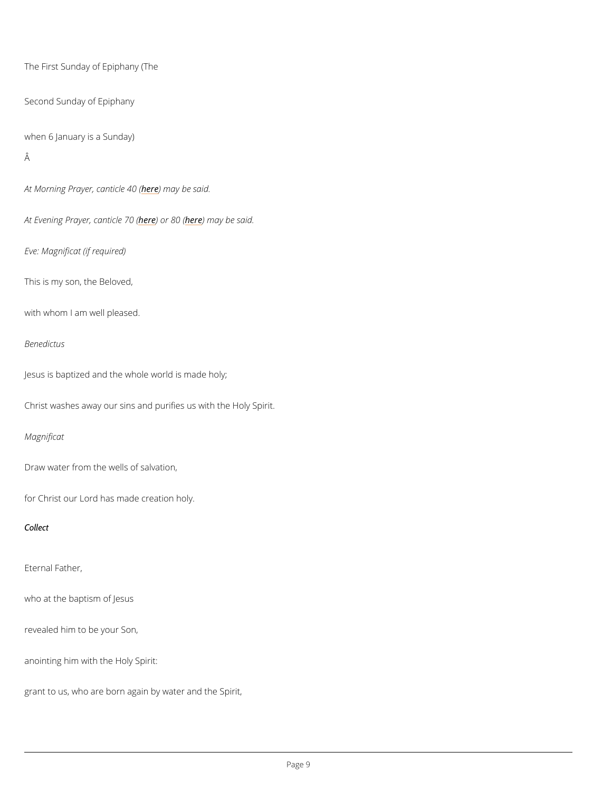```
The First Sunday of Epiphany (The
Second Sunday of Epiphany
when 6 January is a Sunday)
Â
```
At Morning Prayer, heanething ble 0 s(aid.

At Evening Prayer here plendic be  $\mathbf x$  ( and  $\mathbf x$  ) or  $\mathbf x$  and  $\mathbf x$ 

Eve: Magnificat (if required)

This is my son, the Beloved,

with whom I am well pleased.

Benedictus

Jesus is baptized and the whole world is made holy;

Christ washes away our sins and purifies us with the Holy Spirit.

Magnificat

Draw water from the wells of salvation,

for Christ our Lord has made creation holy.

Collect

Eternal Father,

who at the baptism of Jesus

revealed him to be your Son,

anointing him with the Holy Spirit:

grant to us, who are born again by water and the Spirit,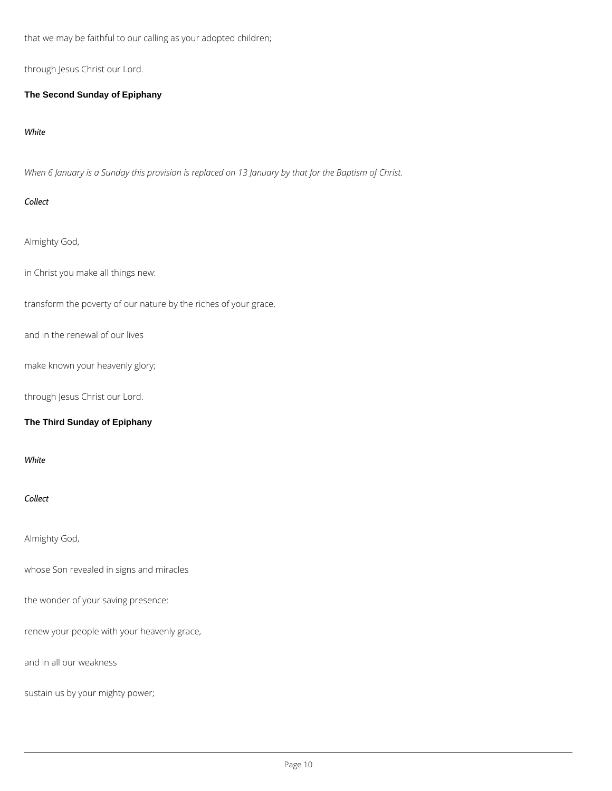that we may be faithful to our calling as your adopted children;

through Jesus Christ our Lord.

**The Second Sunday of Epiphany**

*White*

*When 6 January is a Sunday this provision is replaced on 13 January by that for the Baptism of Christ.*

## *Collect*

Almighty God,

in Christ you make all things new:

transform the poverty of our nature by the riches of your grace,

and in the renewal of our lives

make known your heavenly glory;

through Jesus Christ our Lord.

## **The Third Sunday of Epiphany**

*White*

*Collect*

Almighty God,

whose Son revealed in signs and miracles

the wonder of your saving presence:

renew your people with your heavenly grace,

and in all our weakness

sustain us by your mighty power;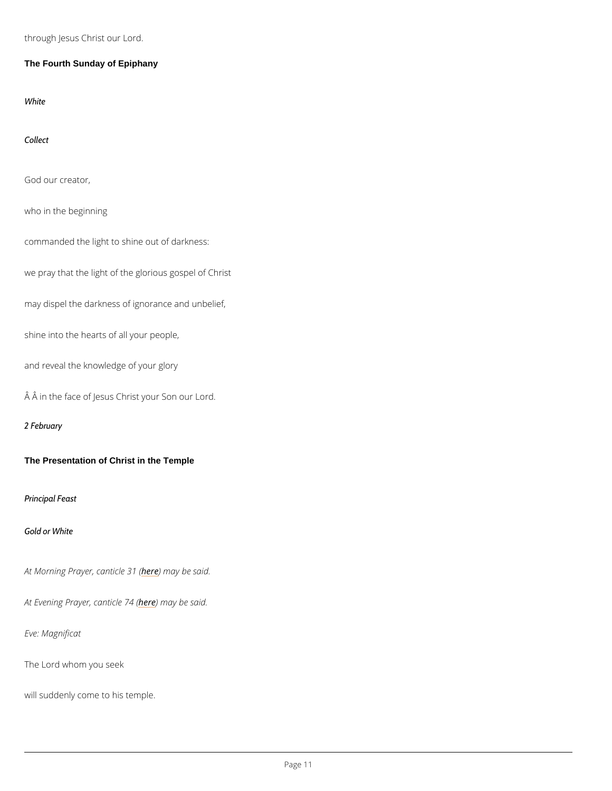through Jesus Christ our Lord.

The Fourth Sunday of Epiphany

White

Collect

God our creator,

who in the beginning

commanded the light to shine out of darkness:

we pray that the light of the glorious gospel of Christ

may dispel the darkness of ignorance and unbelief,

shine into the hearts of all your people,

and reveal the knowledge of your glory

Â in the face of Jesus Christ your Son our Lord.

2 February

The Presentation of Christ in the Temple

Principal Feast

Gold or White

At Morning Prayer, heane thin a by boat s(aid.

At Evening Prayerheedenthiacy eb 24 said.

Eve: Magnificat

The Lord whom you seek

will suddenly come to his temple.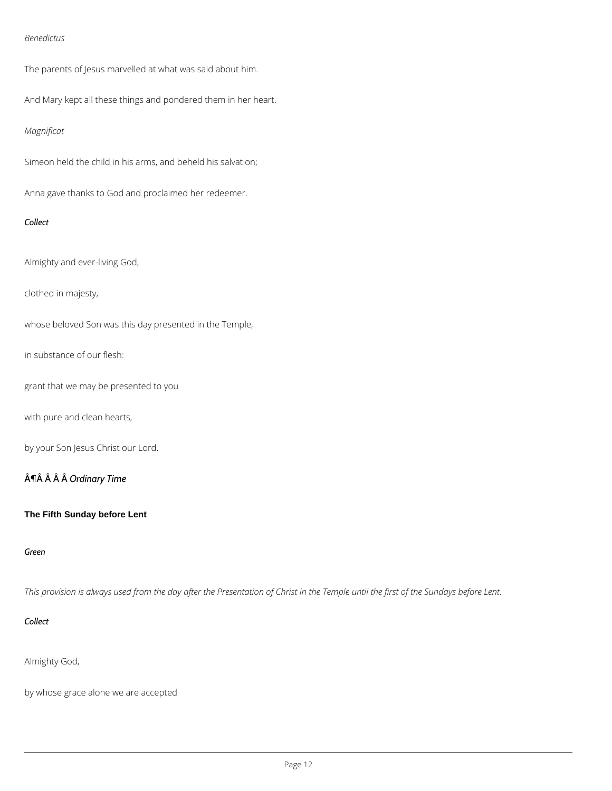### *Benedictus*

The parents of Jesus marvelled at what was said about him.

And Mary kept all these things and pondered them in her heart.

## *Magnificat*

Simeon held the child in his arms, and beheld his salvation;

Anna gave thanks to God and proclaimed her redeemer.

#### *Collect*

Almighty and ever-living God,

clothed in majesty,

whose beloved Son was this day presented in the Temple,

in substance of our flesh:

grant that we may be presented to you

with pure and clean hearts,

by your Son Jesus Christ our Lord.

## ¶ *Ordinary Time*

#### **The Fifth Sunday before Lent**

*This provision is always used from the day after the Presentation of Christ in the Temple until the first of the Sundays before Lent.*

*Collect*

Almighty God,

by whose grace alone we are accepted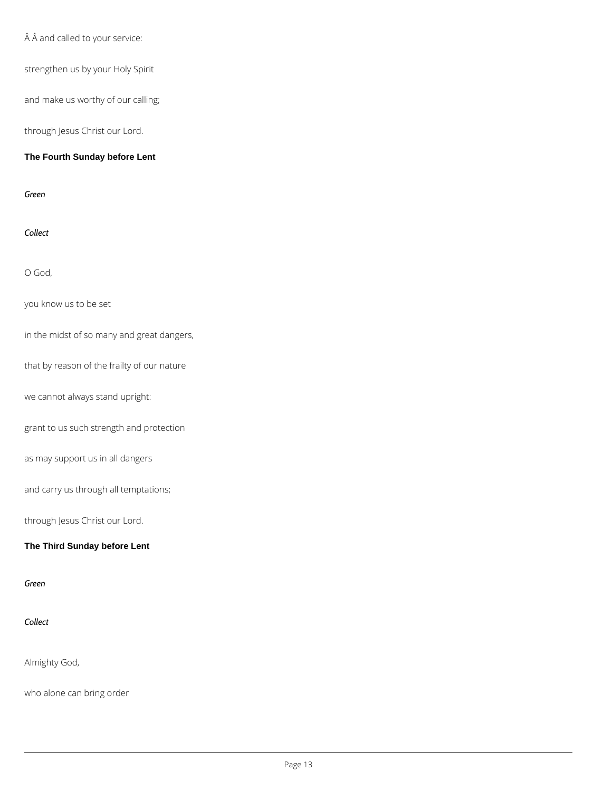$\hat{A}$   $\hat{A}$  and called to your service:

strengthen us by your Holy Spirit

and make us worthy of our calling;

through Jesus Christ our Lord.

## **The Fourth Sunday before Lent**

*Green*

*Collect*

O God,

you know us to be set

in the midst of so many and great dangers,

that by reason of the frailty of our nature

we cannot always stand upright:

grant to us such strength and protection

as may support us in all dangers

and carry us through all temptations;

through Jesus Christ our Lord.

**The Third Sunday before Lent**

*Green*

#### *Collect*

Almighty God,

who alone can bring order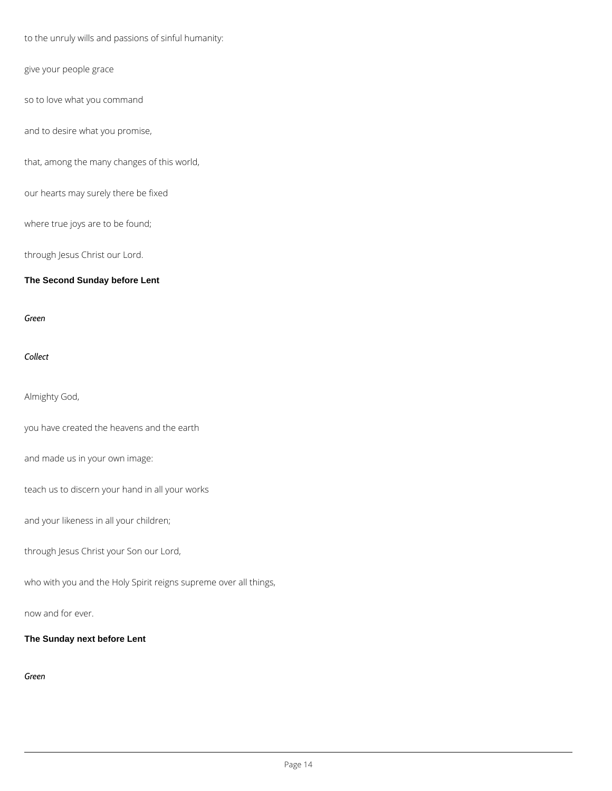to the unruly wills and passions of sinful humanity:

give your people grace

so to love what you command

and to desire what you promise,

that, among the many changes of this world,

our hearts may surely there be fixed

where true joys are to be found;

through Jesus Christ our Lord.

**The Second Sunday before Lent**

*Green*

*Collect*

Almighty God,

you have created the heavens and the earth

and made us in your own image:

teach us to discern your hand in all your works

and your likeness in all your children;

through Jesus Christ your Son our Lord,

who with you and the Holy Spirit reigns supreme over all things,

now and for ever.

**The Sunday next before Lent**

*Green*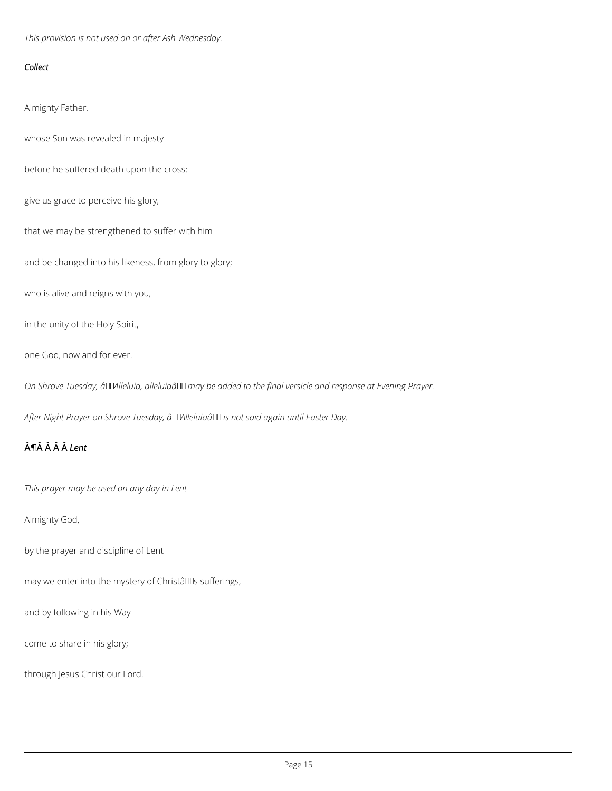*This provision is not used on or after Ash Wednesday.*

### *Collect*

Almighty Father,

whose Son was revealed in majesty

before he suffered death upon the cross:

give us grace to perceive his glory,

that we may be strengthened to suffer with him

and be changed into his likeness, from glory to glory;

who is alive and reigns with you,

in the unity of the Holy Spirit,

one God, now and for ever.

On Shrove Tuesday, âDDAlleluia, alleluiaâ DD may be added to the final versicle and response at Evening Prayer.

After Night Prayer on Shrove Tuesday, â LAIIeluiaâ LL is not said again until Easter Day.

## $\hat{A}$ **T** $\hat{A}$  $\hat{A}$  $\hat{A}$  $\hat{A}$  $\hat{L}$ ent

*This prayer may be used on any day in Lent*

Almighty God,

by the prayer and discipline of Lent

may we enter into the mystery of Christâllas sufferings,

and by following in his Way

come to share in his glory;

through Jesus Christ our Lord.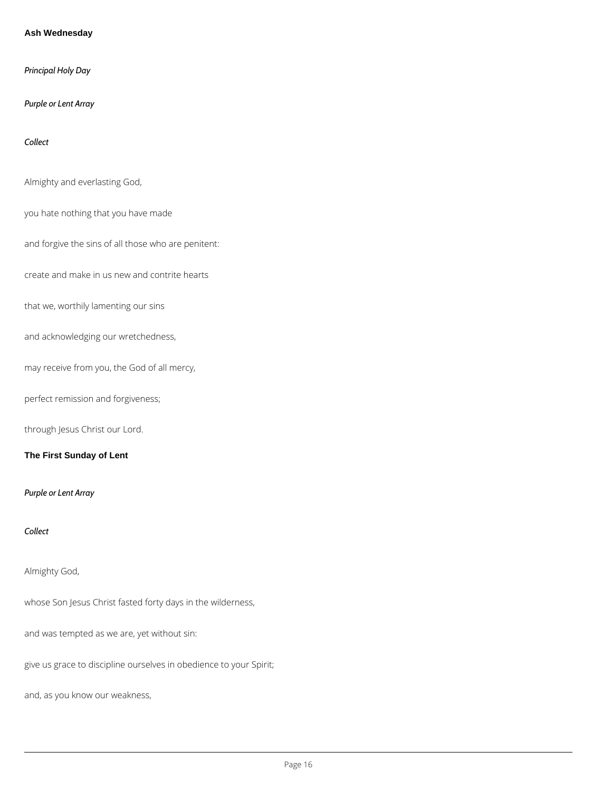#### **Ash Wednesday**

*Principal Holy Day*

*Purple or Lent Array*

*Collect*

Almighty and everlasting God,

you hate nothing that you have made

and forgive the sins of all those who are penitent:

create and make in us new and contrite hearts

that we, worthily lamenting our sins

and acknowledging our wretchedness,

may receive from you, the God of all mercy,

perfect remission and forgiveness;

through Jesus Christ our Lord.

**The First Sunday of Lent**

*Purple or Lent Array*

*Collect*

Almighty God,

whose Son Jesus Christ fasted forty days in the wilderness,

and was tempted as we are, yet without sin:

give us grace to discipline ourselves in obedience to your Spirit;

and, as you know our weakness,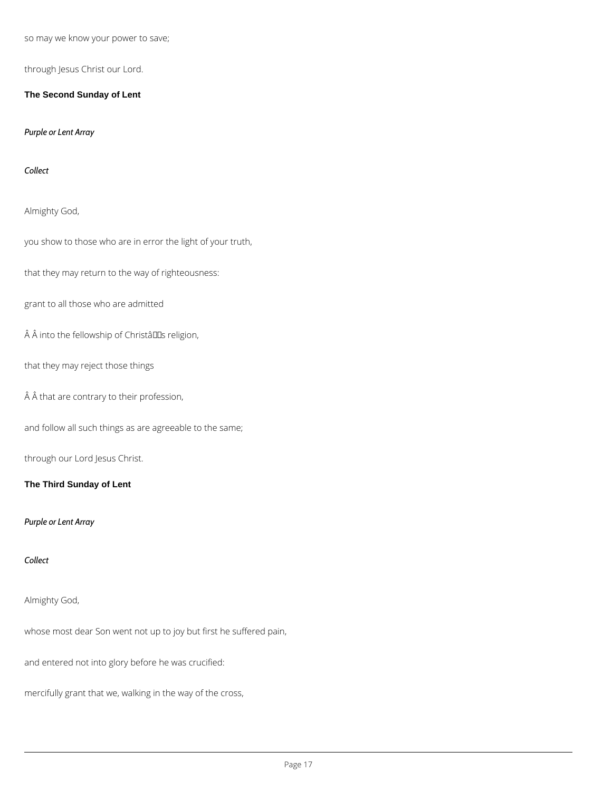so may we know your power to save;

through Jesus Christ our Lord.

**The Second Sunday of Lent**

*Purple or Lent Array*

*Collect*

Almighty God,

you show to those who are in error the light of your truth,

that they may return to the way of righteousness:

grant to all those who are admitted

 $\hat{A}$   $\hat{A}$  into the fellowship of Christâlls religion,

that they may reject those things

 $\hat{A}$   $\hat{A}$  that are contrary to their profession,

and follow all such things as are agreeable to the same;

through our Lord Jesus Christ.

**The Third Sunday of Lent**

*Purple or Lent Array*

*Collect*

## Almighty God,

whose most dear Son went not up to joy but first he suffered pain,

and entered not into glory before he was crucified:

mercifully grant that we, walking in the way of the cross,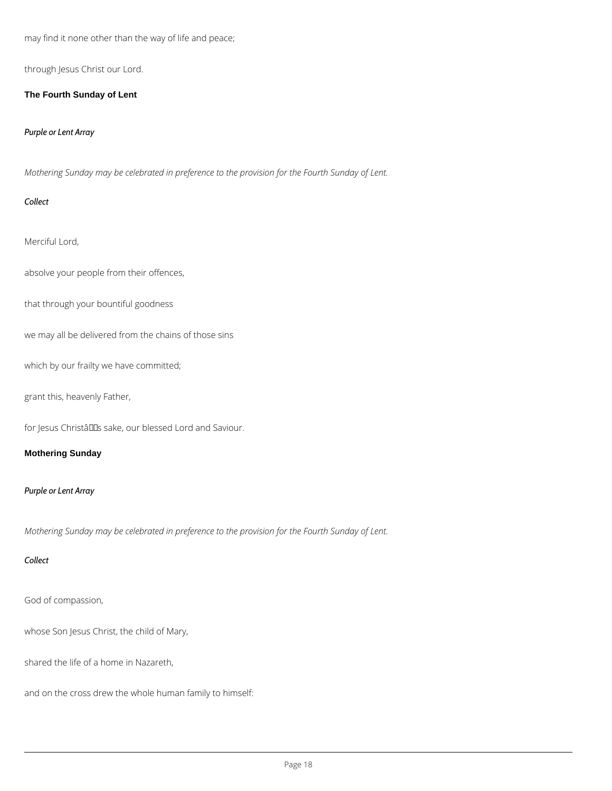may find it none other than the way of life and peace;

through Jesus Christ our Lord.

**The Fourth Sunday of Lent**

*Purple or Lent Array*

*Mothering Sunday may be celebrated in preference to the provision for the Fourth Sunday of Lent.*

## *Collect*

Merciful Lord,

absolve your people from their offences,

that through your bountiful goodness

we may all be delivered from the chains of those sins

which by our frailty we have committed;

grant this, heavenly Father,

for Jesus ChristâllEs sake, our blessed Lord and Saviour.

## **Mothering Sunday**

## *Purple or Lent Array*

*Mothering Sunday may be celebrated in preference to the provision for the Fourth Sunday of Lent.*

#### *Collect*

God of compassion,

whose Son Jesus Christ, the child of Mary,

shared the life of a home in Nazareth,

and on the cross drew the whole human family to himself: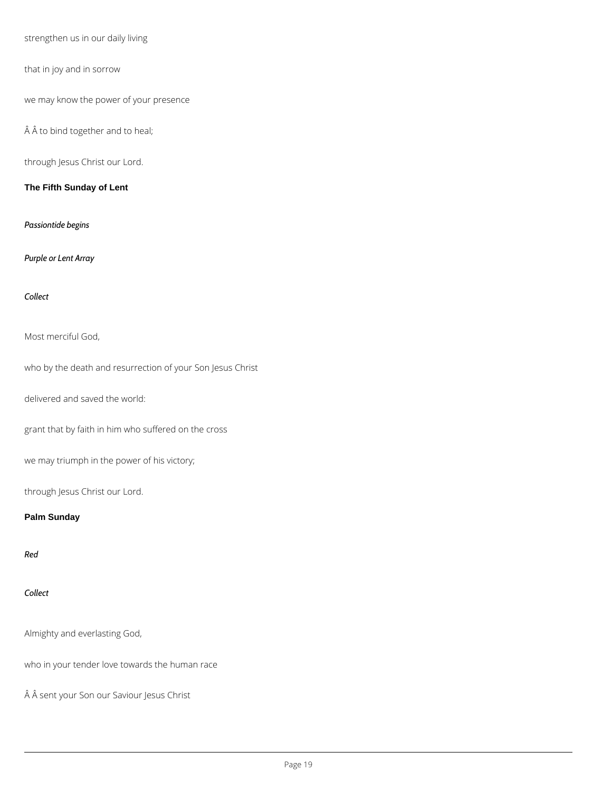strengthen us in our daily living

that in joy and in sorrow

we may know the power of your presence

 $\hat{A}$   $\hat{A}$  to bind together and to heal;

through Jesus Christ our Lord.

**The Fifth Sunday of Lent**

*Passiontide begins*

*Purple or Lent Array*

*Collect*

Most merciful God,

who by the death and resurrection of your Son Jesus Christ

delivered and saved the world:

grant that by faith in him who suffered on the cross

we may triumph in the power of his victory;

through Jesus Christ our Lord.

## **Palm Sunday**

*Red*

*Collect*

Almighty and everlasting God,

who in your tender love towards the human race

Â sent your Son our Saviour Jesus Christ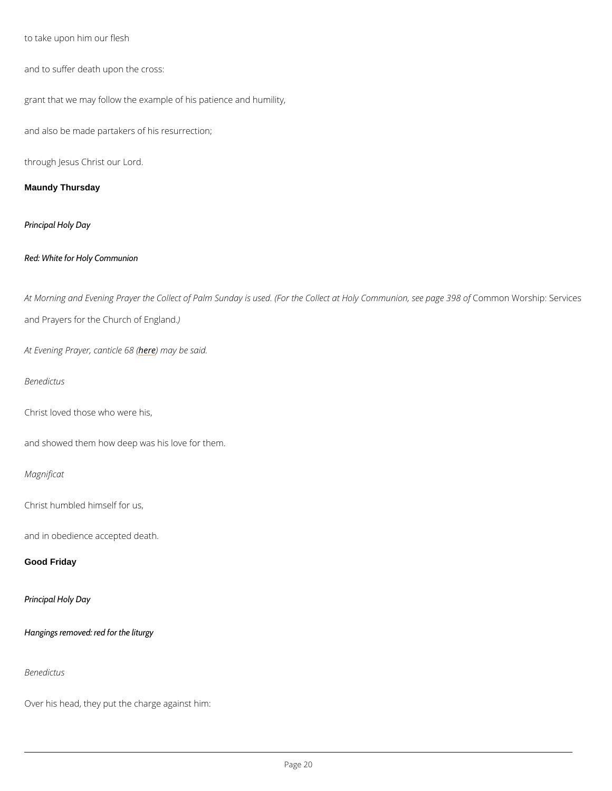to take upon him our flesh

and to suffer death upon the cross:

grant that we may follow the example of his patience and humility,

and also be made partakers of his resurrection;

through Jesus Christ our Lord.

Maundy Thursday

Principal Holy Day

Red: White for Holy Communion

At Morning and Evening Prayer the Collect of Palm Sunday is used. (FoCd men Croll We octs at pH o See page 198 and Prayers for the Chur)ch of England.

At Evening Prayerheedenmiacyeb@8s&id.

Benedictus

Christ loved those who were his,

and showed them how deep was his love for them.

Magnificat

Christ humbled himself for us,

and in obedience accepted death.

Good Friday

Principal Holy Day

Hangings removed: red for the liturgy

Benedictus

Over his head, they put the charge against him: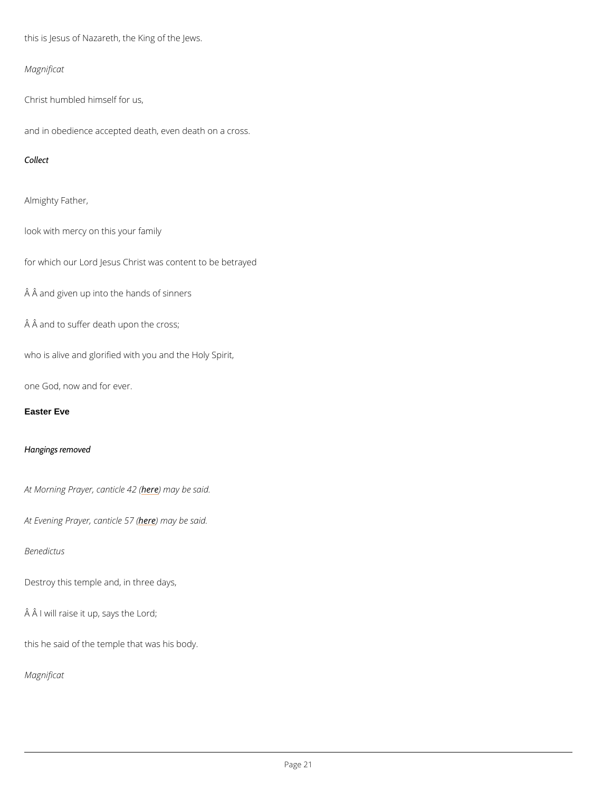this is Jesus of Nazareth, the King of the Jews.

Magnificat

Christ humbled himself for us,

and in obedience accepted death, even death on a cross.

Collect

Almighty Father,

look with mercy on this your family

for which our Lord Jesus Christ was content to be betrayed

Â and given up into the hands of sinners

Â and to suffer death upon the cross;

who is alive and glorified with you and the Holy Spirit,

one God, now and for ever.

Easter Eve

Hangings removed

At Morning Prayer, heane thin a by e bounded said.

At Evening Prayerheedenmiacyeb 57s (aid.

#### Benedictus

Destroy this temple and, in three days,

 $\hat{A}$   $\hat{A}$  I will raise it up, says the Lord;

this he said of the temple that was his body.

Magnificat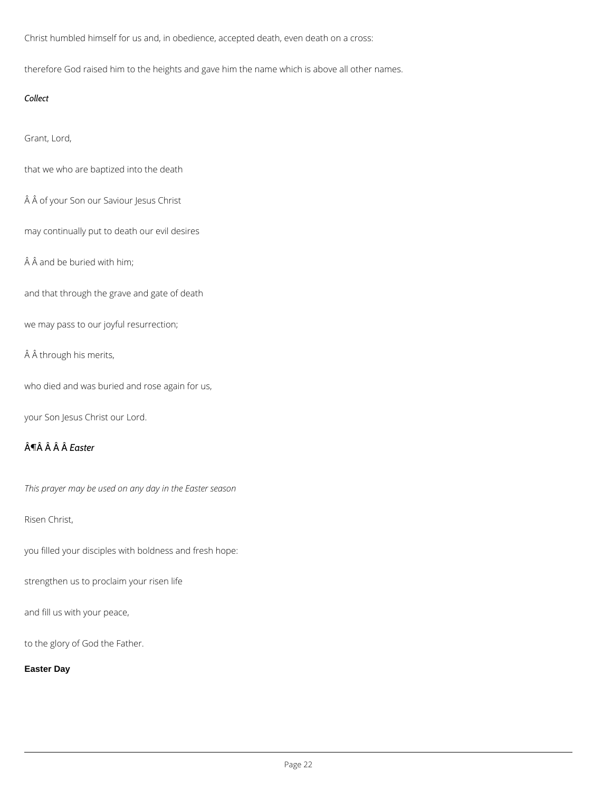Christ humbled himself for us and, in obedience, accepted death, even death on a cross:

therefore God raised him to the heights and gave him the name which is above all other names.

## *Collect*

Grant, Lord,

that we who are baptized into the death

Â of your Son our Saviour Jesus Christ

may continually put to death our evil desires

 $A$  $A$  and be buried with him;

and that through the grave and gate of death

we may pass to our joyful resurrection;

Â through his merits,

who died and was buried and rose again for us,

your Son Jesus Christ our Lord.

# ¶ *Easter*

*This prayer may be used on any day in the Easter season*

## Risen Christ,

you filled your disciples with boldness and fresh hope:

strengthen us to proclaim your risen life

and fill us with your peace,

to the glory of God the Father.

**Easter Day**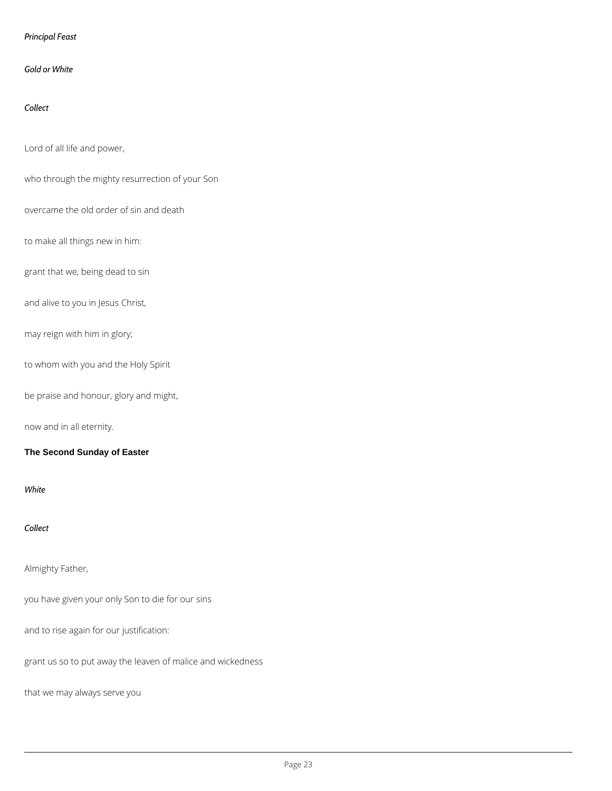## *Principal Feast*

#### *Gold or White*

## *Collect*

## Lord of all life and power,

who through the mighty resurrection of your Son

overcame the old order of sin and death

## to make all things new in him:

grant that we, being dead to sin

and alive to you in Jesus Christ,

may reign with him in glory;

to whom with you and the Holy Spirit

be praise and honour, glory and might,

now and in all eternity.

#### **The Second Sunday of Easter**

*White*

*Collect*

Almighty Father,

you have given your only Son to die for our sins

and to rise again for our justification:

grant us so to put away the leaven of malice and wickedness

that we may always serve you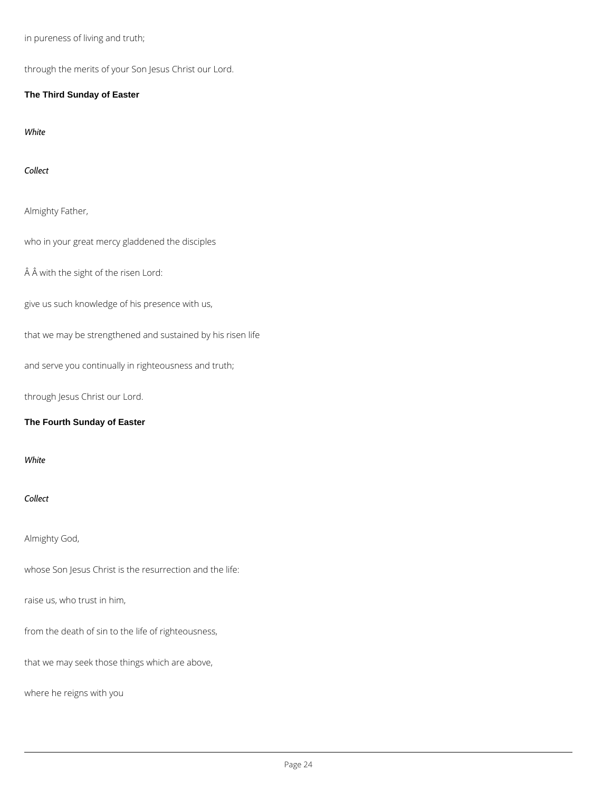in pureness of living and truth;

through the merits of your Son Jesus Christ our Lord.

**The Third Sunday of Easter**

*White*

*Collect*

Almighty Father,

who in your great mercy gladdened the disciples

Â with the sight of the risen Lord:

give us such knowledge of his presence with us,

that we may be strengthened and sustained by his risen life

and serve you continually in righteousness and truth;

through Jesus Christ our Lord.

### **The Fourth Sunday of Easter**

*White*

*Collect*

Almighty God,

## raise us, who trust in him,

from the death of sin to the life of righteousness,

that we may seek those things which are above,

where he reigns with you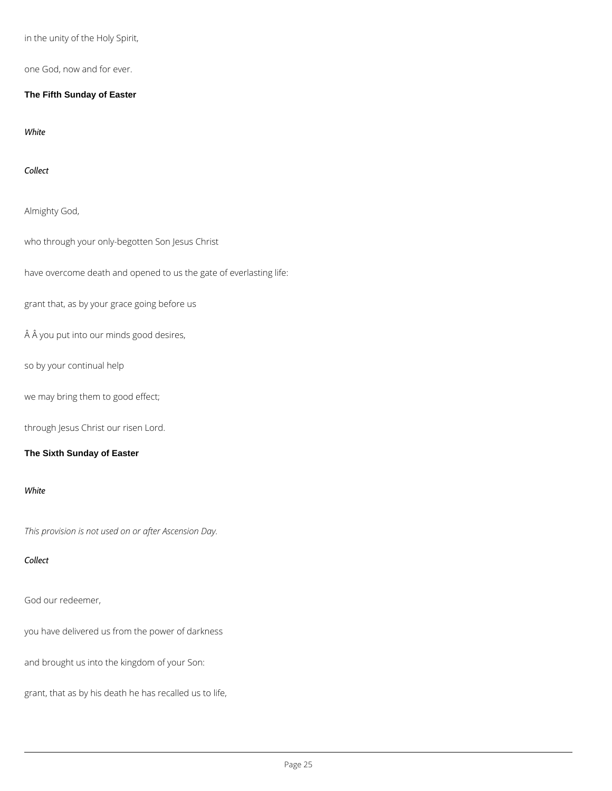in the unity of the Holy Spirit,

one God, now and for ever.

**The Fifth Sunday of Easter**

*White*

*Collect*

Almighty God,

who through your only-begotten Son Jesus Christ

have overcome death and opened to us the gate of everlasting life:

grant that, as by your grace going before us

 $\hat{A}$  Å you put into our minds good desires,

so by your continual help

we may bring them to good effect;

through Jesus Christ our risen Lord.

### **The Sixth Sunday of Easter**

#### *White*

*This provision is not used on or after Ascension Day.*

#### *Collect*

## God our redeemer,

you have delivered us from the power of darkness

and brought us into the kingdom of your Son:

grant, that as by his death he has recalled us to life,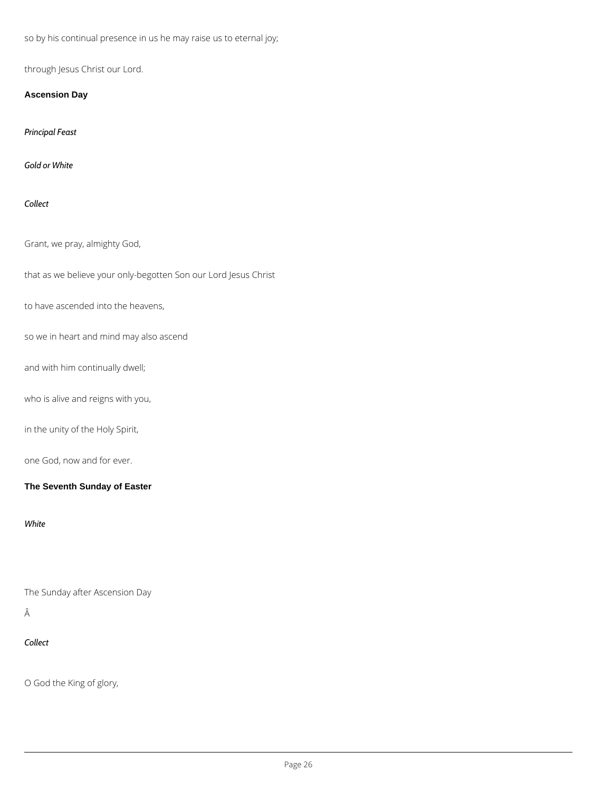so by his continual presence in us he may raise us to eternal joy;

through Jesus Christ our Lord.

**Ascension Day**

*Principal Feast*

*Gold or White*

*Collect*

## Grant, we pray, almighty God,

that as we believe your only-begotten Son our Lord Jesus Christ

to have ascended into the heavens,

so we in heart and mind may also ascend

and with him continually dwell;

who is alive and reigns with you,

in the unity of the Holy Spirit,

one God, now and for ever.

**The Seventh Sunday of Easter**

*White*

The Sunday after Ascension Day

Â

*Collect*

O God the King of glory,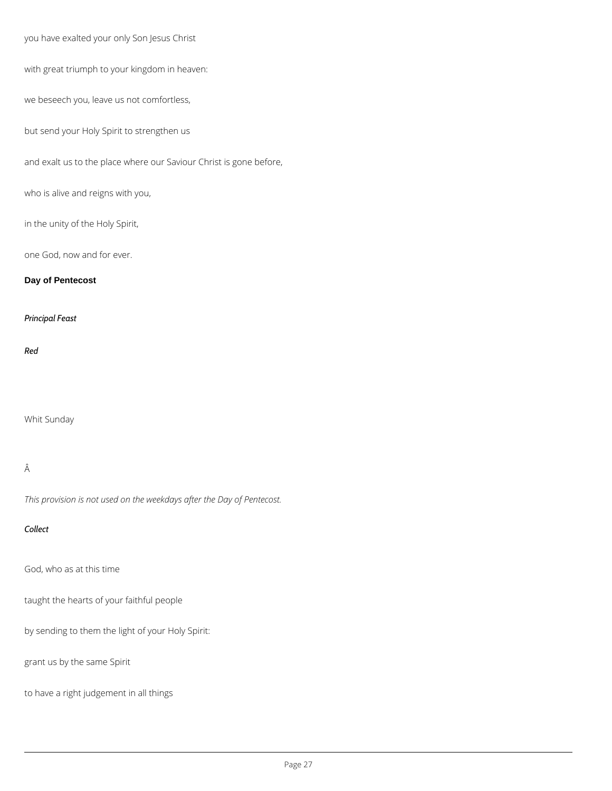you have exalted your only Son Jesus Christ

with great triumph to your kingdom in heaven:

we beseech you, leave us not comfortless,

but send your Holy Spirit to strengthen us

and exalt us to the place where our Saviour Christ is gone before,

who is alive and reigns with you,

in the unity of the Holy Spirit,

one God, now and for ever.

#### **Day of Pentecost**

*Principal Feast*

#### *Red*

Whit Sunday

## Â

*This provision is not used on the weekdays after the Day of Pentecost.*

#### *Collect*

God, who as at this time

taught the hearts of your faithful people

by sending to them the light of your Holy Spirit:

grant us by the same Spirit

to have a right judgement in all things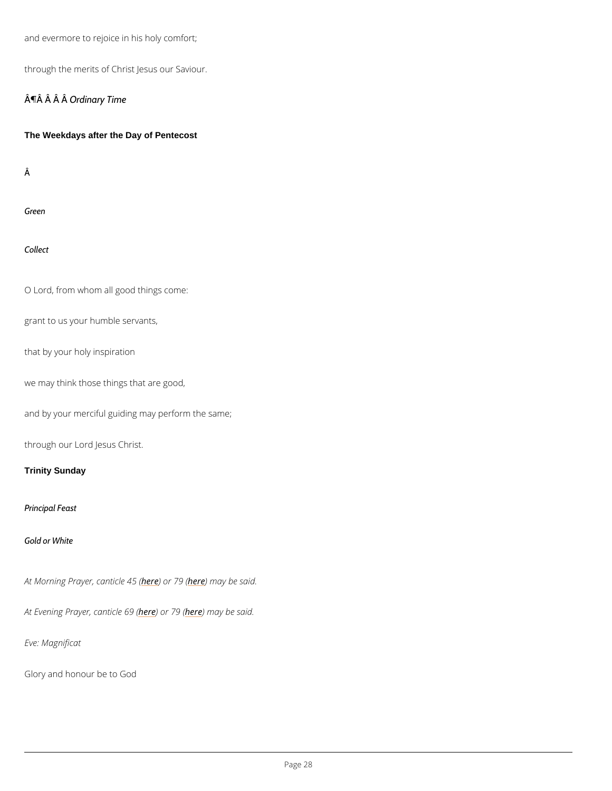and evermore to rejoice in his holy comfort;

through the merits of Christ Jesus our Saviour.

¶Â Â **Ârâinary** Time

The Weekdays after the Day of Pentecost

Â

Green

Collect

O Lord, from whom all good things come:

grant to us your humble servants,

that by your holy inspiration

we may think those things that are good,

and by your merciful guiding may perform the same;

through our Lord Jesus Christ.

Trinity Sunday

Principal Feast

Gold or White

At Morning Prayer, hea) a bin the 416 m (ay be said.

At Evening Prayer here) and rche negen ay be said.

Eve: Magnificat

Glory and honour be to God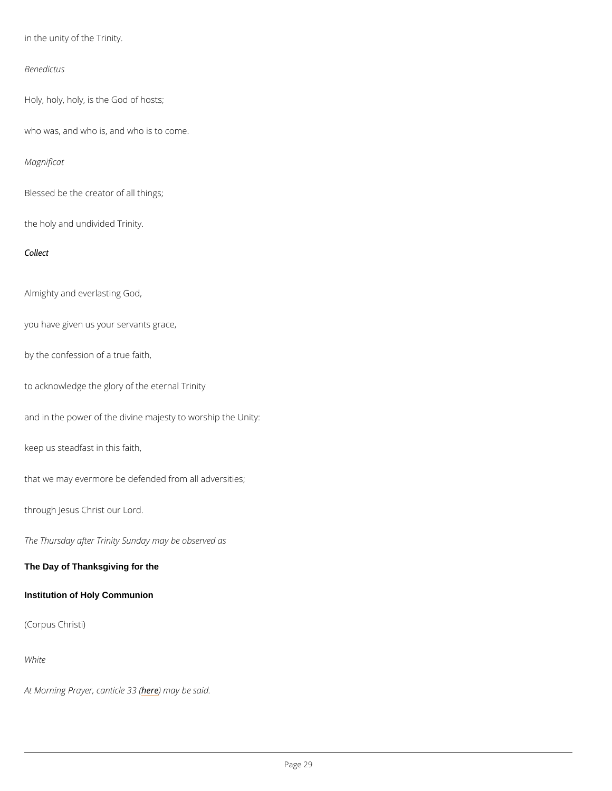in the unity of the Trinity.

Benedictus

Holy, holy, holy, is the God of hosts;

who was, and who is, and who is to come.

Magnificat

Blessed be the creator of all things;

the holy and undivided Trinity.

Collect

Almighty and everlasting God,

you have given us your servants grace,

by the confession of a true faith,

to acknowledge the glory of the eternal Trinity

and in the power of the divine majesty to worship the Unity:

keep us steadfast in this faith,

that we may evermore be defended from all adversities;

through Jesus Christ our Lord.

The Thursday after Trinity Sunday may be observed as

The Day of Thanksgiving for the

(Corpus Christi)

White

At Morning Prayer, hean) e thin a lye boas s(aid.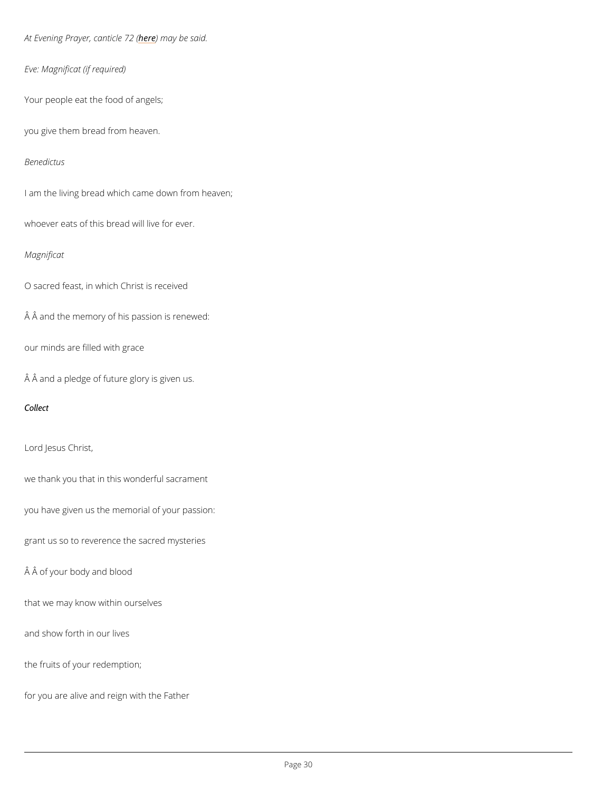At Evening Prayerheedenmiacyeb 22 said.

Eve: Magnificat (if required)

Your people eat the food of angels;

you give them bread from heaven.

Benedictus

I am the living bread which came down from heaven;

whoever eats of this bread will live for ever.

#### Magnificat

O sacred feast, in which Christ is received

Â and the memory of his passion is renewed:

our minds are filled with grace

 $\hat{A}$   $\hat{A}$  and a pledge of future glory is given us.

Collect

Lord Jesus Christ,

we thank you that in this wonderful sacrament

you have given us the memorial of your passion:

grant us so to reverence the sacred mysteries

Â of your body and blood

that we may know within ourselves

and show forth in our lives

the fruits of your redemption;

for you are alive and reign with the Father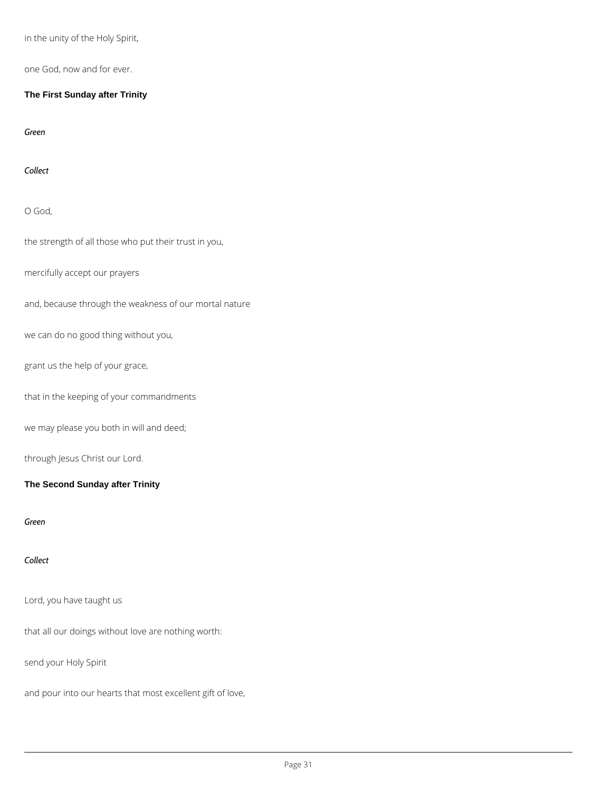in the unity of the Holy Spirit,

one God, now and for ever.

**The First Sunday after Trinity**

*Green*

*Collect*

O God,

the strength of all those who put their trust in you,

mercifully accept our prayers

and, because through the weakness of our mortal nature

we can do no good thing without you,

grant us the help of your grace,

that in the keeping of your commandments

we may please you both in will and deed;

through Jesus Christ our Lord.

**The Second Sunday after Trinity**

*Green*

*Collect*

## Lord, you have taught us

that all our doings without love are nothing worth:

send your Holy Spirit

and pour into our hearts that most excellent gift of love,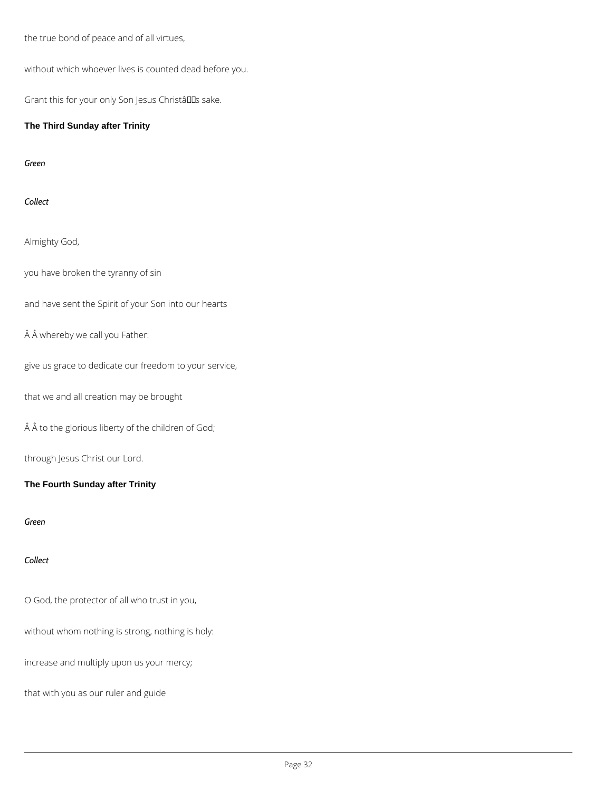the true bond of peace and of all virtues,

without which whoever lives is counted dead before you.

Grant this for your only Son Jesus Christâlls sake.

## **The Third Sunday after Trinity**

*Green*

*Collect*

Almighty God,

you have broken the tyranny of sin

and have sent the Spirit of your Son into our hearts

Â whereby we call you Father:

give us grace to dedicate our freedom to your service,

that we and all creation may be brought

 $\hat{A}$   $\hat{A}$  to the glorious liberty of the children of God;

through Jesus Christ our Lord.

**The Fourth Sunday after Trinity**

*Green*

*Collect*

O God, the protector of all who trust in you,

without whom nothing is strong, nothing is holy:

increase and multiply upon us your mercy;

that with you as our ruler and guide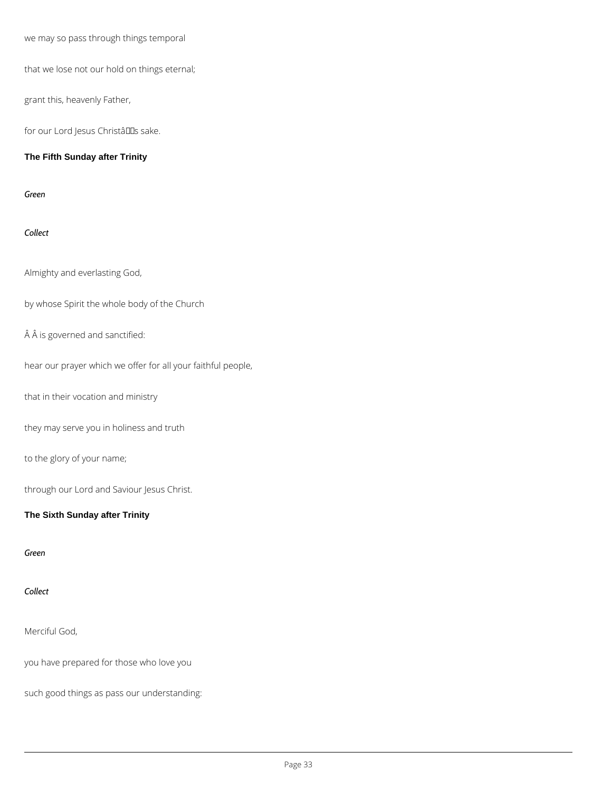we may so pass through things temporal

that we lose not our hold on things eternal;

grant this, heavenly Father,

for our Lord Jesus Christâllas sake.

**The Fifth Sunday after Trinity**

*Green*

*Collect*

Almighty and everlasting God,

by whose Spirit the whole body of the Church

 $\hat{A}$   $\hat{A}$  is governed and sanctified:

hear our prayer which we offer for all your faithful people,

that in their vocation and ministry

they may serve you in holiness and truth

to the glory of your name;

through our Lord and Saviour Jesus Christ.

**The Sixth Sunday after Trinity**

*Green*



#### Merciful God,

you have prepared for those who love you

such good things as pass our understanding: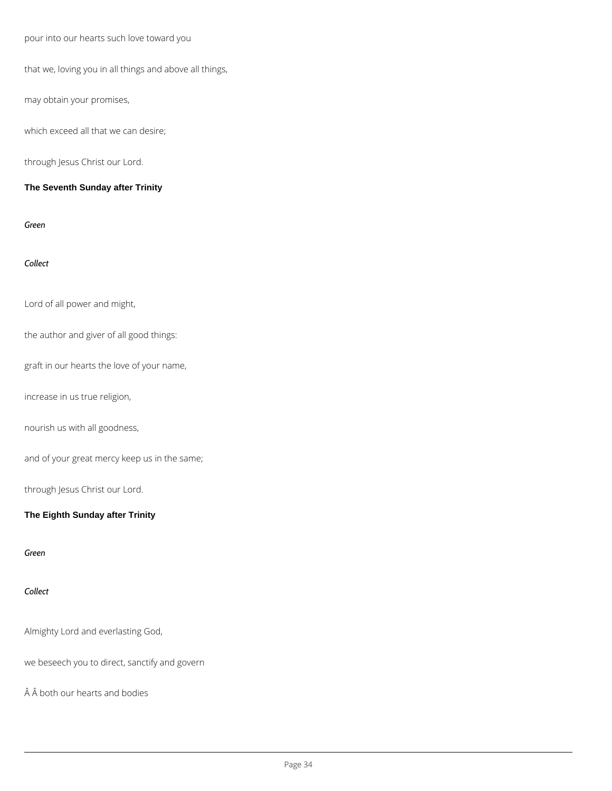pour into our hearts such love toward you

that we, loving you in all things and above all things,

may obtain your promises,

which exceed all that we can desire;

through Jesus Christ our Lord.

**The Seventh Sunday after Trinity**

*Green*

*Collect*

Lord of all power and might,

the author and giver of all good things:

graft in our hearts the love of your name,

increase in us true religion,

nourish us with all goodness,

and of your great mercy keep us in the same;

through Jesus Christ our Lord.

**The Eighth Sunday after Trinity**

*Green*



Almighty Lord and everlasting God,

we beseech you to direct, sanctify and govern

Â both our hearts and bodies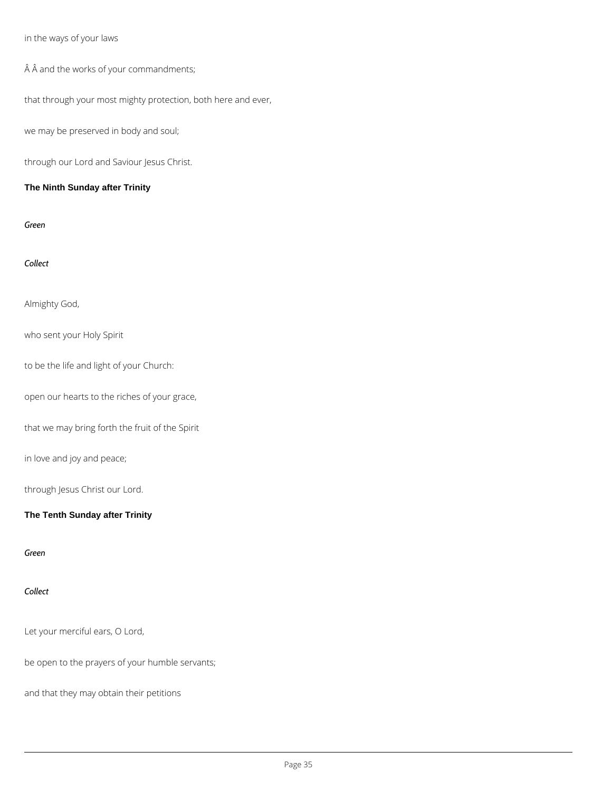## in the ways of your laws

 $\hat{A}$   $\hat{A}$  and the works of your commandments;

that through your most mighty protection, both here and ever,

we may be preserved in body and soul;

through our Lord and Saviour Jesus Christ.

## **The Ninth Sunday after Trinity**

*Green*

*Collect*

Almighty God,

who sent your Holy Spirit

to be the life and light of your Church:

open our hearts to the riches of your grace,

that we may bring forth the fruit of the Spirit

in love and joy and peace;

through Jesus Christ our Lord.

**The Tenth Sunday after Trinity**

*Green*



Let your merciful ears, O Lord,

be open to the prayers of your humble servants;

and that they may obtain their petitions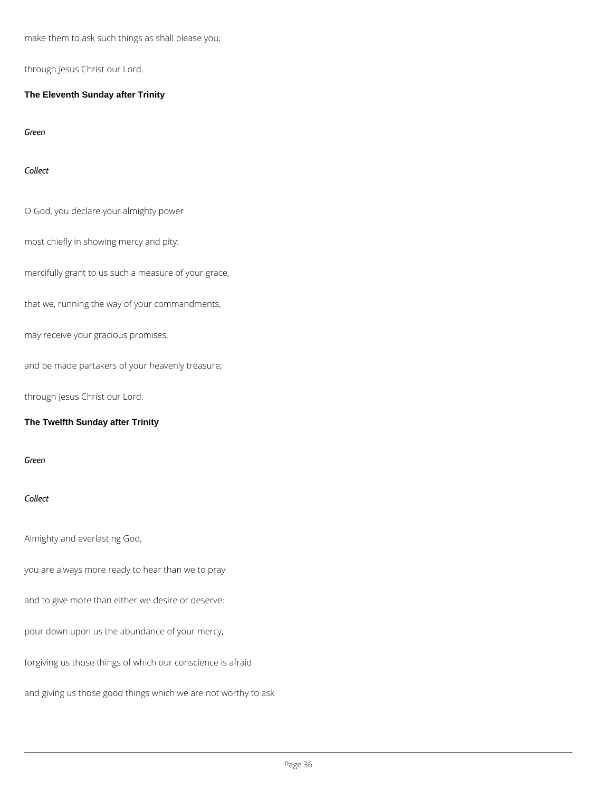make them to ask such things as shall please you;

through Jesus Christ our Lord.

**The Eleventh Sunday after Trinity**

*Green*

*Collect*

O God, you declare your almighty power

most chiefly in showing mercy and pity:

mercifully grant to us such a measure of your grace,

that we, running the way of your commandments,

may receive your gracious promises,

and be made partakers of your heavenly treasure;

through Jesus Christ our Lord.

#### **The Twelfth Sunday after Trinity**

*Green*

*Collect*

Almighty and everlasting God,

you are always more ready to hear than we to pray

and to give more than either we desire or deserve:

pour down upon us the abundance of your mercy,

forgiving us those things of which our conscience is afraid

and giving us those good things which we are not worthy to ask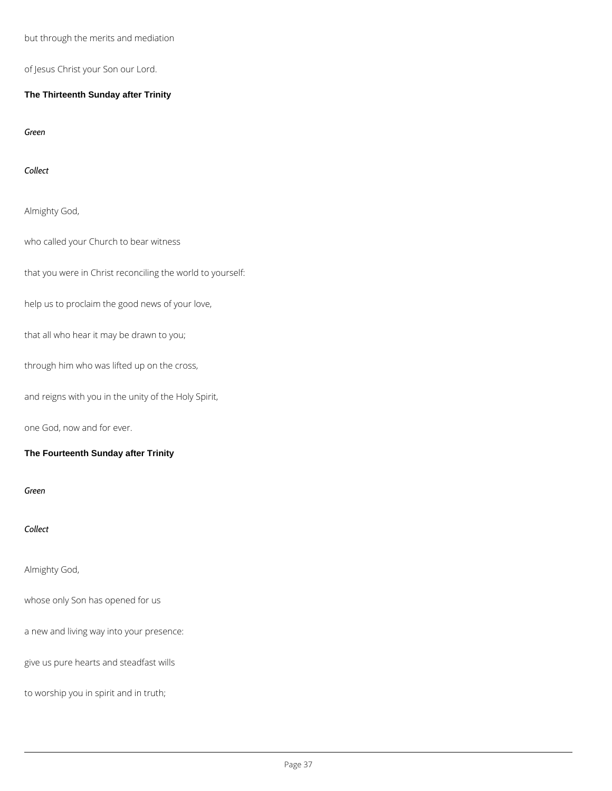but through the merits and mediation

of Jesus Christ your Son our Lord.

**The Thirteenth Sunday after Trinity**

*Green*

*Collect*

Almighty God,

who called your Church to bear witness

that you were in Christ reconciling the world to yourself:

help us to proclaim the good news of your love,

that all who hear it may be drawn to you;

through him who was lifted up on the cross,

and reigns with you in the unity of the Holy Spirit,

one God, now and for ever.

**The Fourteenth Sunday after Trinity**

*Green*

*Collect*

Almighty God,

# whose only Son has opened for us

a new and living way into your presence:

give us pure hearts and steadfast wills

to worship you in spirit and in truth;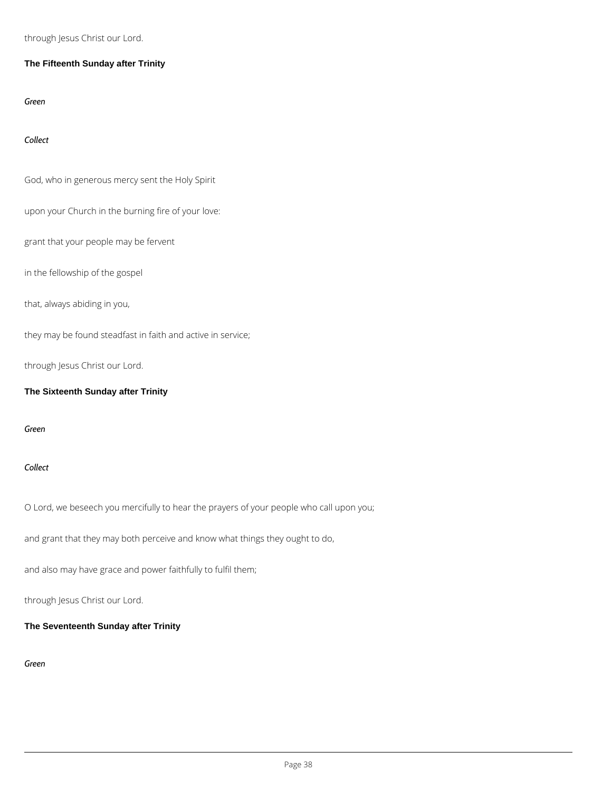through Jesus Christ our Lord.

## **The Fifteenth Sunday after Trinity**

*Green*

*Collect*

God, who in generous mercy sent the Holy Spirit

upon your Church in the burning fire of your love:

grant that your people may be fervent

in the fellowship of the gospel

that, always abiding in you,

they may be found steadfast in faith and active in service;

through Jesus Christ our Lord.

**The Sixteenth Sunday after Trinity**

*Green*

*Collect*

O Lord, we beseech you mercifully to hear the prayers of your people who call upon you;

and grant that they may both perceive and know what things they ought to do,

and also may have grace and power faithfully to fulfil them;

### **The Seventeenth Sunday after Trinity**

*Green*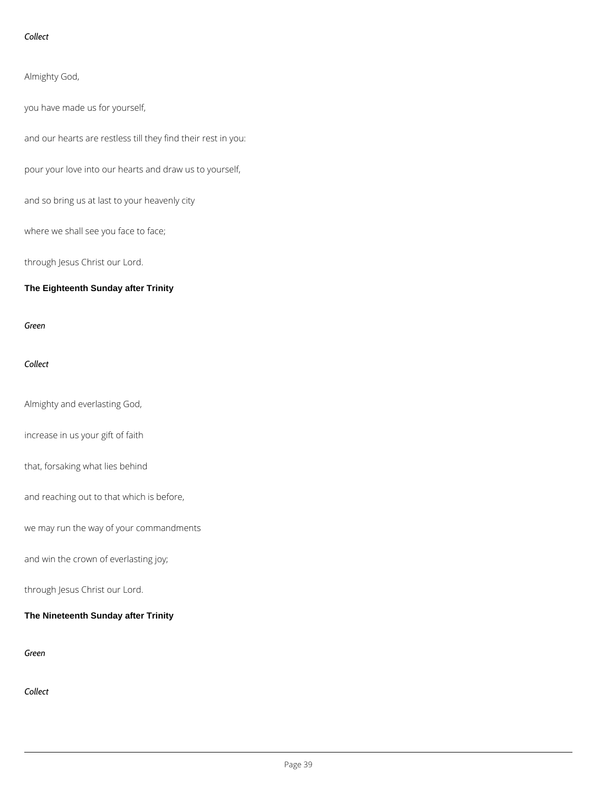## *Collect*

Almighty God,

you have made us for yourself,

and our hearts are restless till they find their rest in you:

pour your love into our hearts and draw us to yourself,

and so bring us at last to your heavenly city

where we shall see you face to face;

through Jesus Christ our Lord.

**The Eighteenth Sunday after Trinity**

*Green*

*Collect*

Almighty and everlasting God,

increase in us your gift of faith

that, forsaking what lies behind

and reaching out to that which is before,

we may run the way of your commandments

and win the crown of everlasting joy;

# **The Nineteenth Sunday after Trinity**

*Green*

*Collect*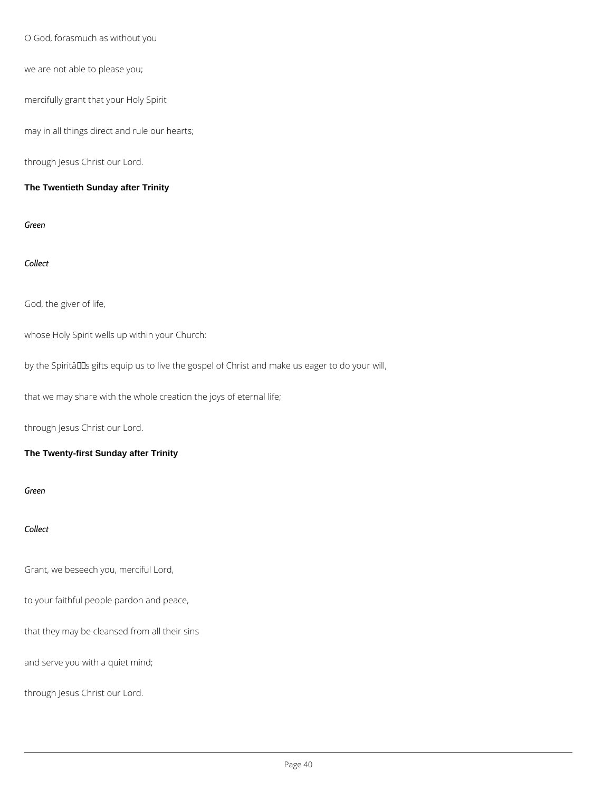O God, forasmuch as without you

we are not able to please you;

mercifully grant that your Holy Spirit

may in all things direct and rule our hearts;

through Jesus Christ our Lord.

**The Twentieth Sunday after Trinity**

*Green*

*Collect*

God, the giver of life,

whose Holy Spirit wells up within your Church:

by the Spiritâlls gifts equip us to live the gospel of Christ and make us eager to do your will,

that we may share with the whole creation the joys of eternal life;

through Jesus Christ our Lord.

**The Twenty-first Sunday after Trinity**

*Green*

*Collect*

Grant, we beseech you, merciful Lord,

to your faithful people pardon and peace,

that they may be cleansed from all their sins

and serve you with a quiet mind;

through Jesus Christ our Lord.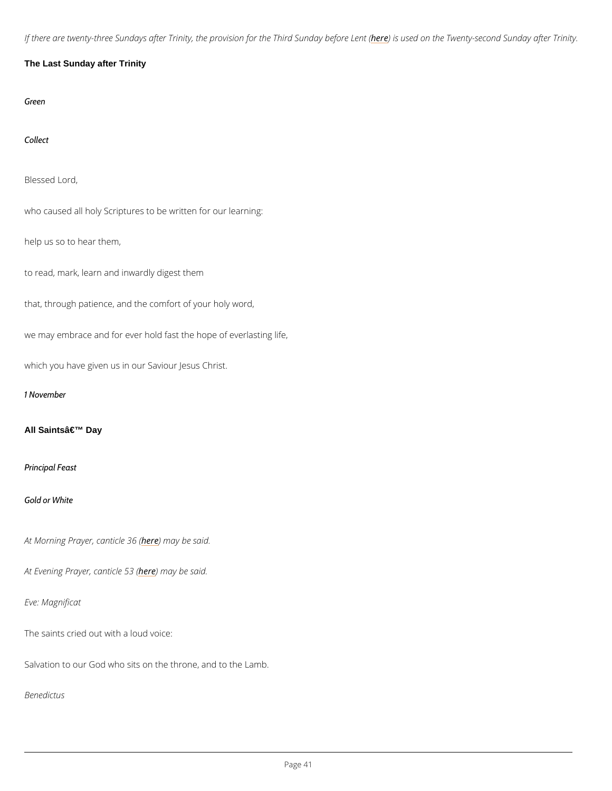If there are twenty-three Sundays after Trinity, the probles in fucsrethen Thired TS wu emot gystele fon robe Suoth

The Last Sunday after Trinity

Green

Collect

Blessed Lord,

who caused all holy Scriptures to be written for our learning:

help us so to hear them,

to read, mark, learn and inwardly digest them

that, through patience, and the comfort of your holy word,

we may embrace and for ever hold fast the hope of everlasting life,

which you have given us in our Saviour Jesus Christ.

1 November

All Saints' Day

Principal Feast

Gold or White

At Morning Prayer, heane thin a by boas said.

At Evening Prayerheedenmiacyeb 53 said.

Eve: Magnificat

The saints cried out with a loud voice:

Salvation to our God who sits on the throne, and to the Lamb.

Benedictus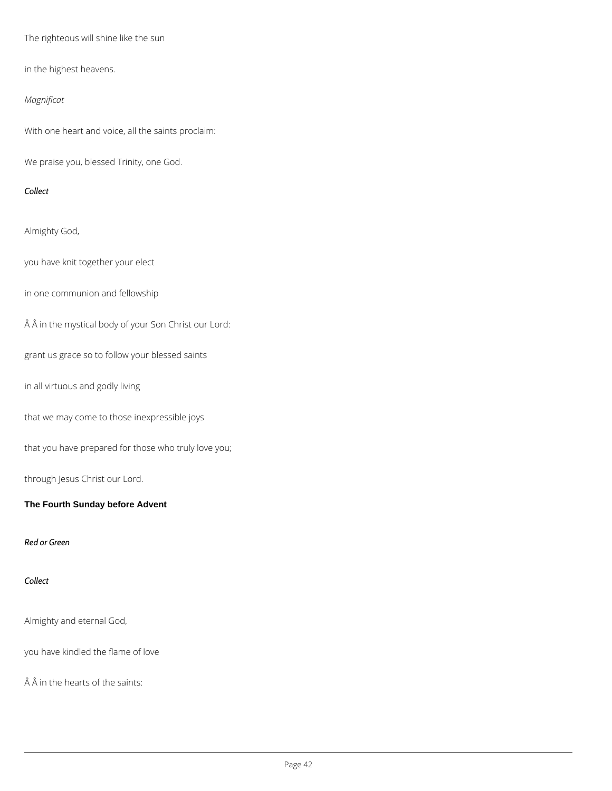The righteous will shine like the sun

in the highest heavens.

## *Magnificat*

With one heart and voice, all the saints proclaim:

We praise you, blessed Trinity, one God.

## *Collect*

Almighty God,

you have knit together your elect

in one communion and fellowship

 $\hat{A}$   $\hat{A}$  in the mystical body of your Son Christ our Lord:

grant us grace so to follow your blessed saints

in all virtuous and godly living

that we may come to those inexpressible joys

that you have prepared for those who truly love you;

through Jesus Christ our Lord.

**The Fourth Sunday before Advent**

### *Red or Green*

*Collect*

Almighty and eternal God,

you have kindled the flame of love

 $\hat{A}$   $\hat{A}$  in the hearts of the saints: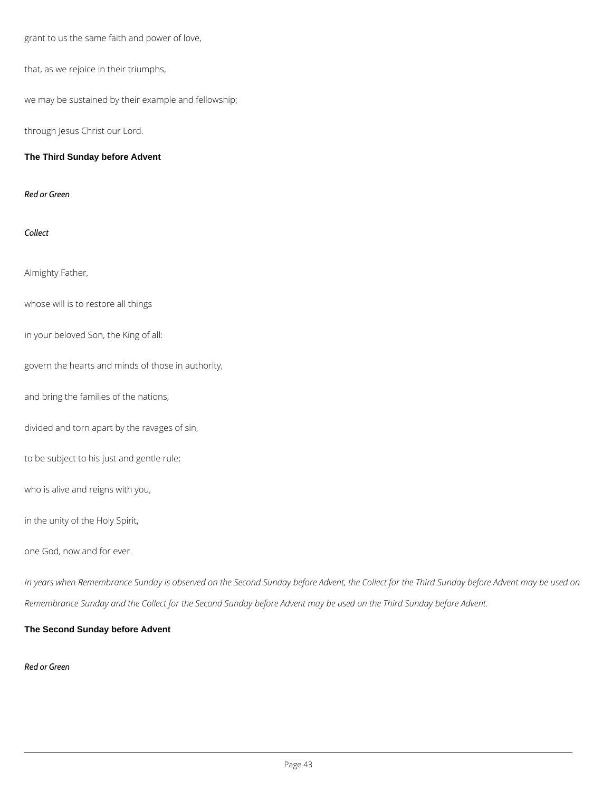grant to us the same faith and power of love,

that, as we rejoice in their triumphs,

we may be sustained by their example and fellowship;

through Jesus Christ our Lord.

## **The Third Sunday before Advent**

*Red or Green*

*Collect*

Almighty Father,

whose will is to restore all things

in your beloved Son, the King of all:

govern the hearts and minds of those in authority,

and bring the families of the nations,

divided and torn apart by the ravages of sin,

to be subject to his just and gentle rule;

who is alive and reigns with you,

in the unity of the Holy Spirit,

one God, now and for ever.

*In years when Remembrance Sunday is observed on the Second Sunday before Advent, the Collect for the Third Sunday before Advent may be used on* 

*Remembrance Sunday and the Collect for the Second Sunday before Advent may be used on the Third Sunday before Advent.*

**The Second Sunday before Advent**

*Red or Green*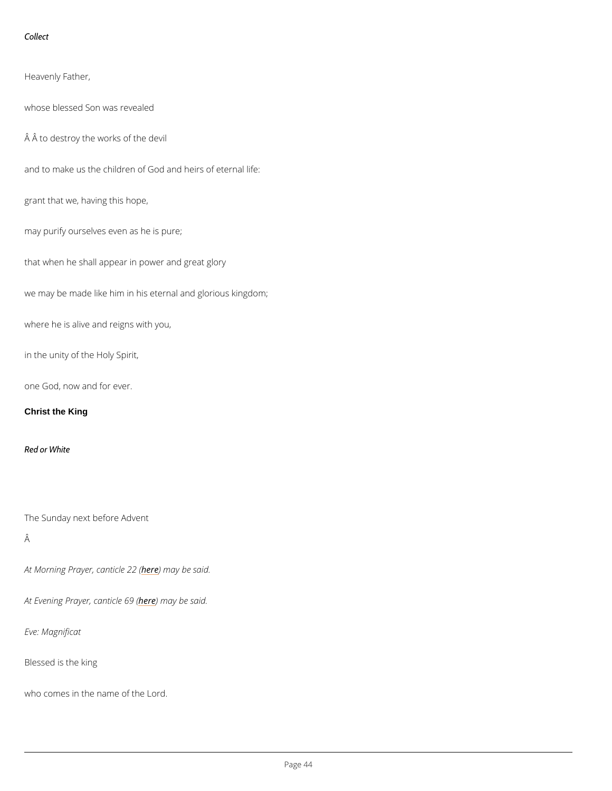Collect

Heavenly Father, whose blessed Son was revealed Â to destroy the works of the devil and to make us the children of God and heirs of eternal life: grant that we, having this hope, may purify ourselves even as he is pure; that when he shall appear in power and great glory we may be made like him in his eternal and glorious kingdom; where he is alive and reigns with you, in the unity of the Holy Spirit, one God, now and for ever.

Christ the King

Red or White

```
The Sunday next before Advent
```

```
Â
```
At Morning Prayer, heane thin a be been said.

At Evening Prayerheedenmiacy eb @ 9s (aid.

Eve: Magnificat

Blessed is the king

who comes in the name of the Lord.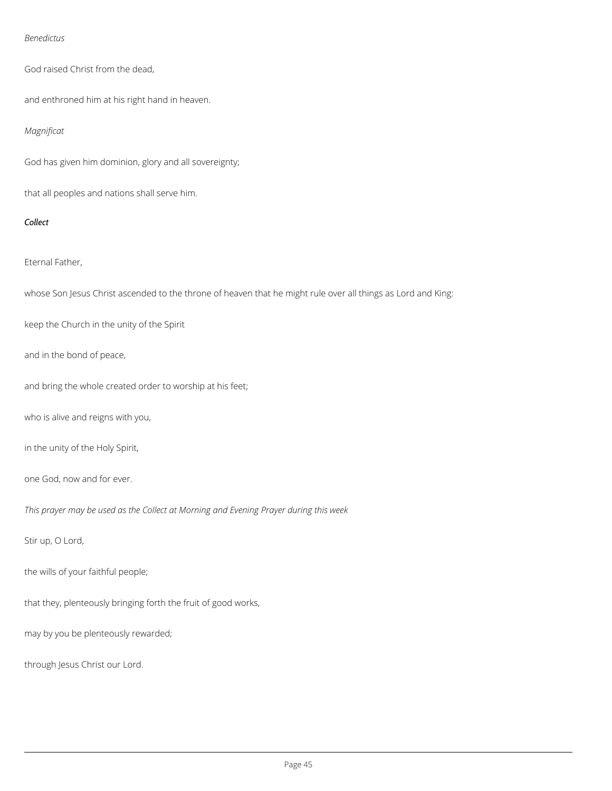### *Benedictus*

God raised Christ from the dead,

and enthroned him at his right hand in heaven.

## *Magnificat*

God has given him dominion, glory and all sovereignty;

that all peoples and nations shall serve him.

## *Collect*

## Eternal Father,

whose Son Jesus Christ ascended to the throne of heaven that he might rule over all things as Lord and King:

keep the Church in the unity of the Spirit

and in the bond of peace,

and bring the whole created order to worship at his feet;

who is alive and reigns with you,

in the unity of the Holy Spirit,

one God, now and for ever.

*This prayer may be used as the Collect at Morning and Evening Prayer during this week*

Stir up, O Lord,

the wills of your faithful people;

that they, plenteously bringing forth the fruit of good works,

may by you be plenteously rewarded;

through Jesus Christ our Lord.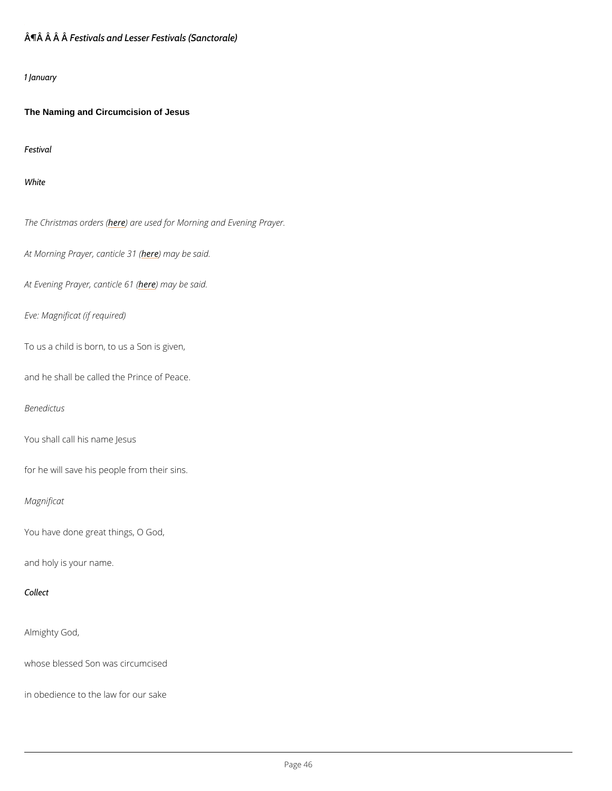# ¶Â Â ÂeÂtivals and Lesser Festivals (Sanctorale)

### 1 January

The Naming and Circumcision of Jesus

Festival

White

The Christmash expredeerres used for Morning and Evening Prayer.

At Morning Prayer, hean) e thield be been said.

At Evening Prayerhedenthiacy eb @ 1s & id.

Eve: Magnificat (if required)

To us a child is born, to us a Son is given,

and he shall be called the Prince of Peace.

Benedictus

You shall call his name Jesus

for he will save his people from their sins.

Magnificat

You have done great things, O God,

and holy is your name.

Collect

## Almighty God,

whose blessed Son was circumcised

in obedience to the law for our sake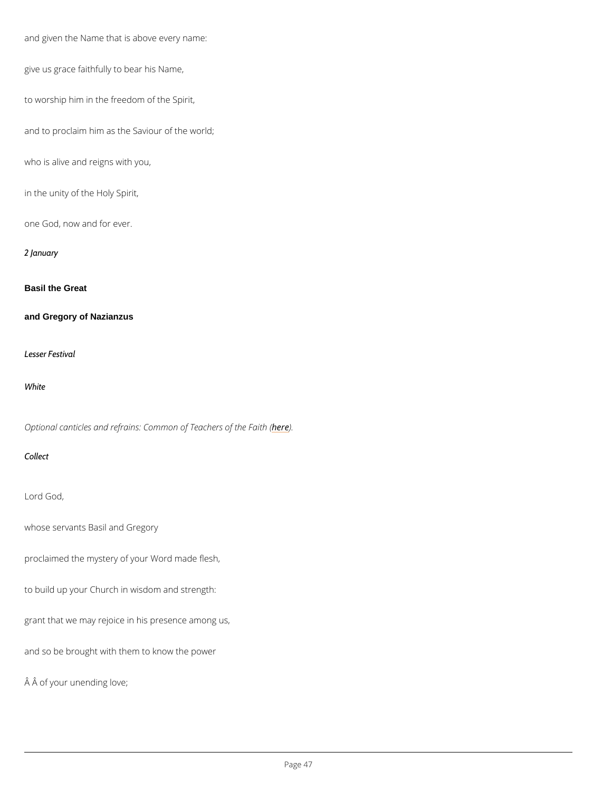```
and given the Name that is above every name:
give us grace faithfully to bear his Name,
to worship him in the freedom of the Spirit,
and to proclaim him as the Saviour of the world;
who is alive and reigns with you,
in the unity of the Holy Spirit,
one God, now and for ever.
2 January
Basil the Great
and Gregory of Nazianzus
Lesser Festival
White
Optional canticles and refrains: Commoheo) E Teachers of the Faith (
Collect
Lord God,
whose servants Basil and Gregory
proclaimed the mystery of your Word made flesh,
```
## to build up your Church in wisdom and strength:

grant that we may rejoice in his presence among us,

and so be brought with them to know the power

Â of your unending love;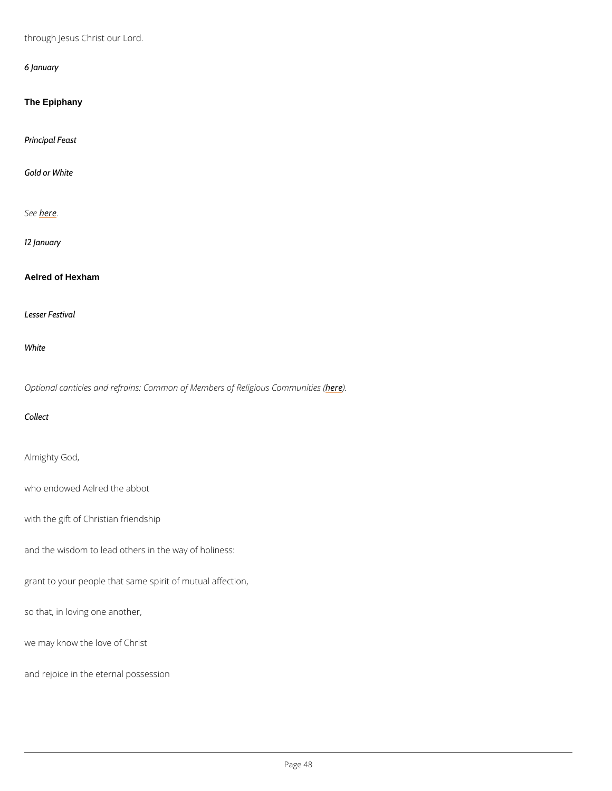through Jesus Christ our Lord.

6 January

The Epiphany

Principal Feast

Gold or White

Sebec.e

12 January

Aelred of Hexham

Lesser Festival

White

Optional canticles and refrains: Common of Member) es of Religious Communities (

Collect

Almighty God,

who endowed Aelred the abbot

with the gift of Christian friendship

and the wisdom to lead others in the way of holiness:

grant to your people that same spirit of mutual affection,

so that, in loving one another,

we may know the love of Christ

and rejoice in the eternal possession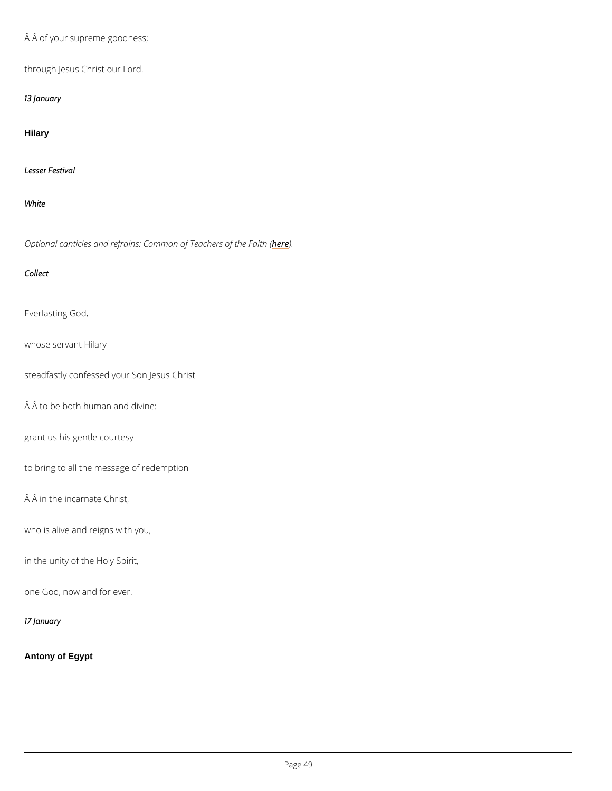Â of your supreme goodness;

through Jesus Christ our Lord.

13 January

Hilary

Lesser Festival

White

Optional canticles and refrains: Commoheo) & Teachers of the Faith (

Collect

Everlasting God,

whose servant Hilary

steadfastly confessed your Son Jesus Christ

 $A$   $A$  to be both human and divine:

grant us his gentle courtesy

to bring to all the message of redemption

 $\hat{A}$   $\hat{A}$  in the incarnate Christ,

who is alive and reigns with you,

in the unity of the Holy Spirit,

one God, now and for ever.

17 January

Antony of Egypt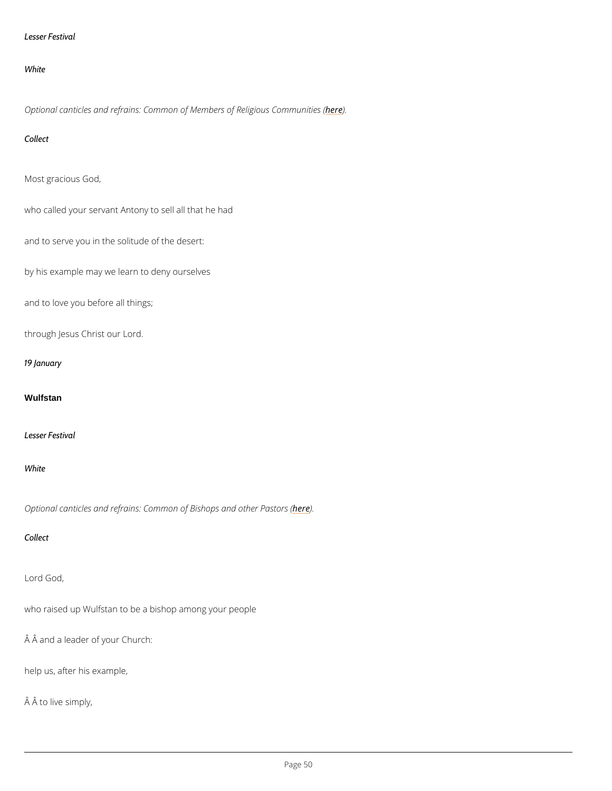### Lesser Festival

#### White

Optional canticles and refrains: Common of Member) es of Religious Communities (

Collect

Most gracious God,

who called your servant Antony to sell all that he had

and to serve you in the solitude of the desert:

by his example may we learn to deny ourselves

and to love you before all things;

through Jesus Christ our Lord.

19 January

#### Wulfstan

Lesser Festival

### White

Optional canticles and refrains: Common oher in and other Pastors (

Collect

Lord God,

who raised up Wulfstan to be a bishop among your people

 $\hat{A}$   $\hat{A}$  and a leader of your Church:

help us, after his example,

Â to live simply,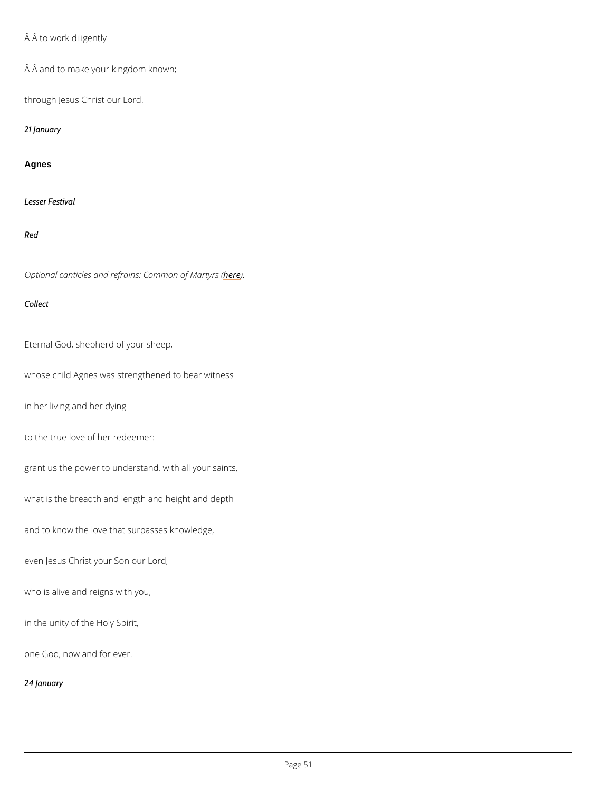# Â to work diligently

Â and to make your kingdom known;

through Jesus Christ our Lord.

21 January

#### Agnes

Lesser Festival

#### Red

Optional canticles and refrains: he dem mon of Martyrs (

Collect

Eternal God, shepherd of your sheep,

whose child Agnes was strengthened to bear witness

in her living and her dying

to the true love of her redeemer:

grant us the power to understand, with all your saints,

what is the breadth and length and height and depth

and to know the love that surpasses knowledge,

even Jesus Christ your Son our Lord,

who is alive and reigns with you,

in the unity of the Holy Spirit,

one God, now and for ever.

24 January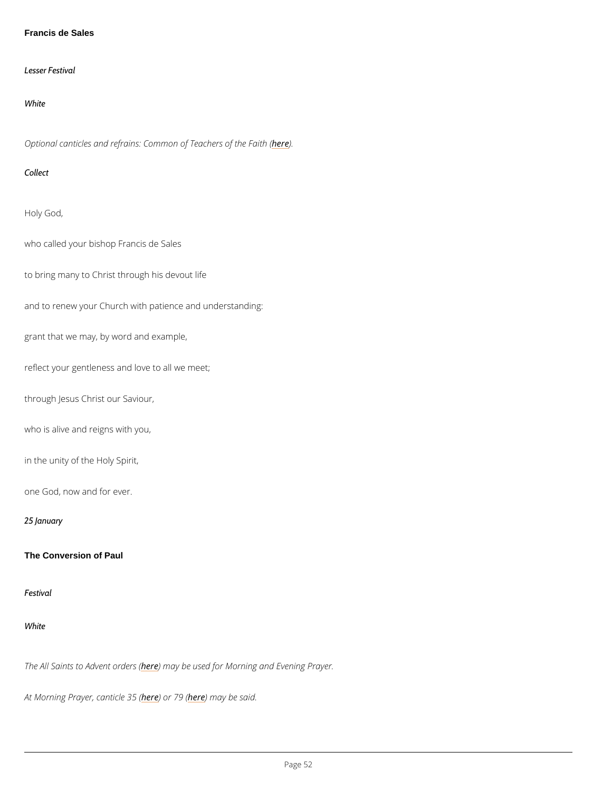Francis de Sales

Lesser Festival

White

Optional canticles and refrains: Commoheo) E Teachers of the Faith (

Collect

Holy God,

who called your bishop Francis de Sales

to bring many to Christ through his devout life

and to renew your Church with patience and understanding:

grant that we may, by word and example,

reflect your gentleness and love to all we meet;

through Jesus Christ our Saviour,

who is alive and reigns with you,

in the unity of the Holy Spirit,

one God, now and for ever.

25 January

The Conversion of Paul

## White

## The All Saints to Ahdevmeent aayrobeersus (ed for Morning and Evening Prayer.

At Morning Prayer, heane bird 17es 36 m (ay be said.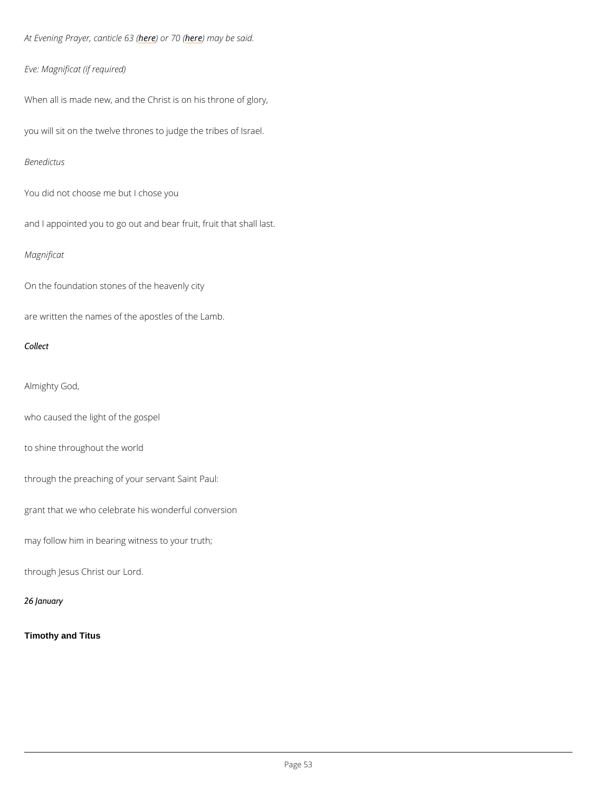At Evening Prayer<u>heedendichee</u> near ay be said.

Eve: Magnificat (if required)

When all is made new, and the Christ is on his throne of glory,

you will sit on the twelve thrones to judge the tribes of Israel.

Benedictus

You did not choose me but I chose you

and I appointed you to go out and bear fruit, fruit that shall last.

Magnificat

On the foundation stones of the heavenly city

are written the names of the apostles of the Lamb.

Collect

Almighty God,

who caused the light of the gospel

to shine throughout the world

through the preaching of your servant Saint Paul:

grant that we who celebrate his wonderful conversion

may follow him in bearing witness to your truth;

through Jesus Christ our Lord.

26 January

Timothy and Titus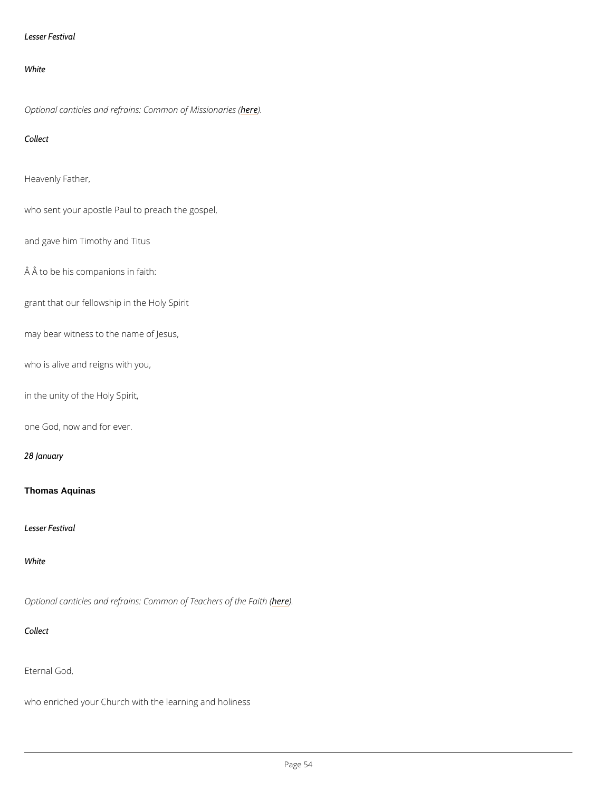```
Lesser Festival
```
White

Optional canticles and refrains: Comme meon of Missionaries (

Collect

Heavenly Father,

who sent your apostle Paul to preach the gospel,

and gave him Timothy and Titus

Â to be his companions in faith:

grant that our fellowship in the Holy Spirit

may bear witness to the name of Jesus,

who is alive and reigns with you,

in the unity of the Holy Spirit,

one God, now and for ever.

28 January

Thomas Aquinas

Lesser Festival

White

Optional canticles and refrains: Commoheo) E Teachers of the Faith (

Collect

Eternal God,

who enriched your Church with the learning and holiness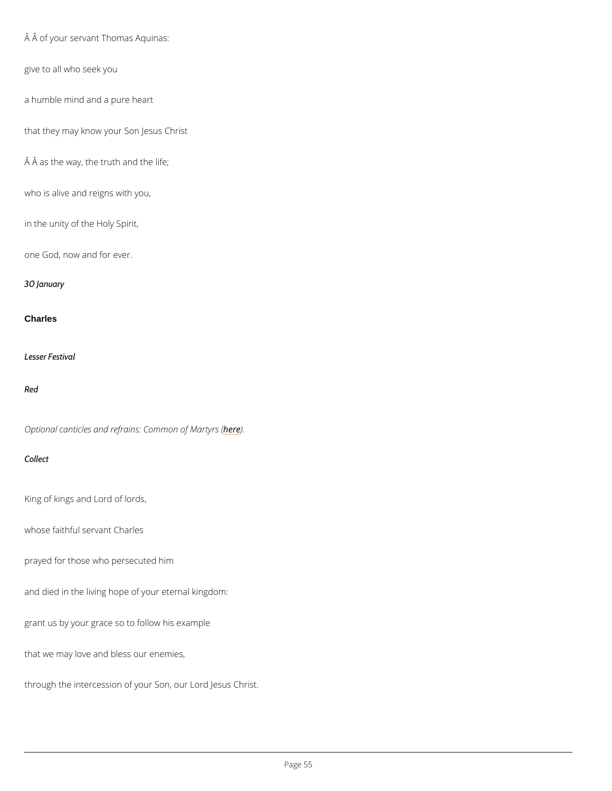```
 Â of your servant Thomas Aquinas:
give to all who seek you
a humble mind and a pure heart
that they may know your Son Jesus Christ
A A as the way, the truth and the life;
who is alive and reigns with you,
in the unity of the Holy Spirit,
one God, now and for ever.
30 January
Charles
Lesser Festival
Red
Optional canticles and refrains: heddenmon of Martyrs (
```
Collect

King of kings and Lord of lords,

whose faithful servant Charles

prayed for those who persecuted him

and died in the living hope of your eternal kingdom:

grant us by your grace so to follow his example

that we may love and bless our enemies,

through the intercession of your Son, our Lord Jesus Christ.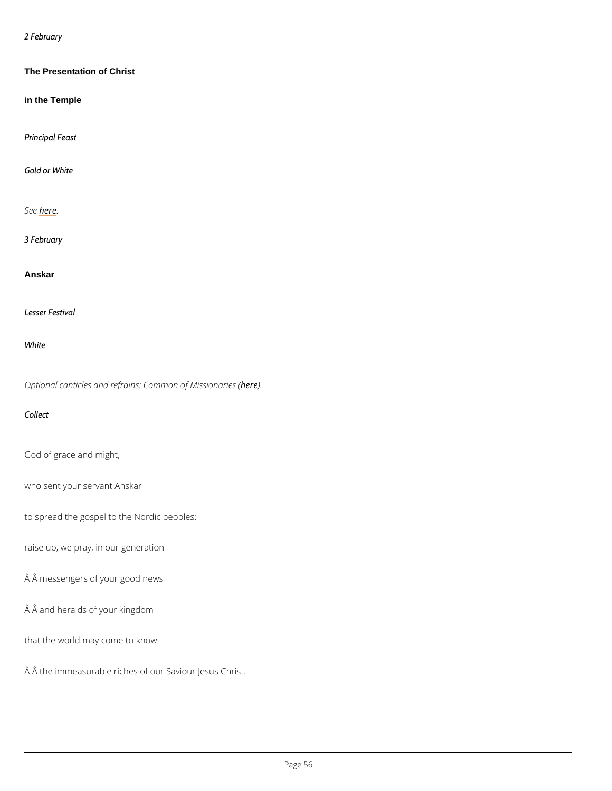## 2 February

The Presentation of Christ

in the Temple

Principal Feast

Gold or White

Seber.e

3 February

Anskar

Lesser Festival

White

Optional canticles and refrains: Comment of Missionaries (

Collect

God of grace and might,

who sent your servant Anskar

to spread the gospel to the Nordic peoples:

raise up, we pray, in our generation

Â messengers of your good news

 $\hat{A}$   $\hat{A}$  and heralds of your kingdom

that the world may come to know

 $\hat{A}$   $\hat{A}$  the immeasurable riches of our Saviour Jesus Christ.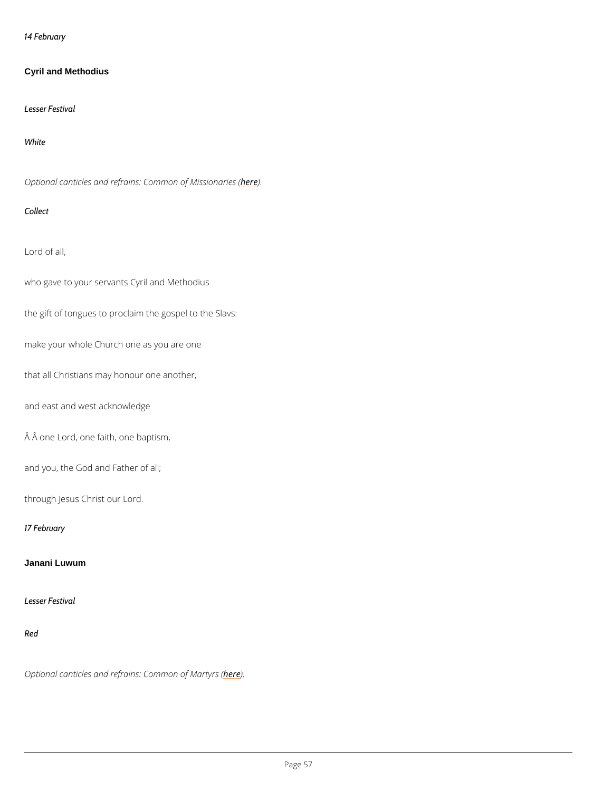14 February

Cyril and Methodius

Lesser Festival

White

Optional canticles and refrains: Comment of Missionaries (

Collect

Lord of all,

who gave to your servants Cyril and Methodius

the gift of tongues to proclaim the gospel to the Slavs:

make your whole Church one as you are one

that all Christians may honour one another,

and east and west acknowledge

Â one Lord, one faith, one baptism,

and you, the God and Father of all;

through Jesus Christ our Lord.

17 February

Janani Luwum

### Lesser Festival

Red

## Optional canticles and refrains: he dem mon of Martyrs (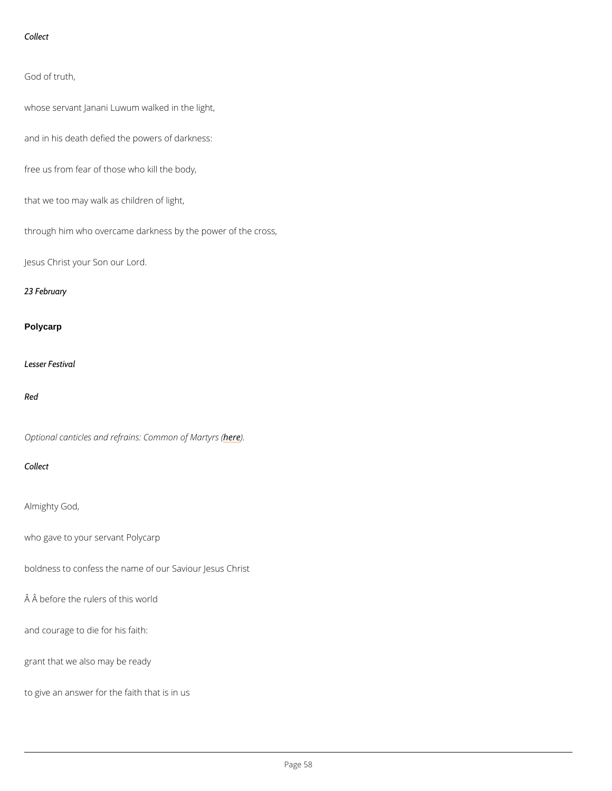```
Collect
```
God of truth,

whose servant Janani Luwum walked in the light,

and in his death defied the powers of darkness:

free us from fear of those who kill the body,

that we too may walk as children of light,

through him who overcame darkness by the power of the cross,

Jesus Christ your Son our Lord.

23 February

### Polycarp

Lesser Festival

#### Red

Optional canticles and refrains: he dem mon of Martyrs (

### Collect

Almighty God,

```
who gave to your servant Polycarp
```
boldness to confess the name of our Saviour Jesus Christ

 $\hat{A}$   $\hat{A}$  before the rulers of this world

and courage to die for his faith:

grant that we also may be ready

to give an answer for the faith that is in us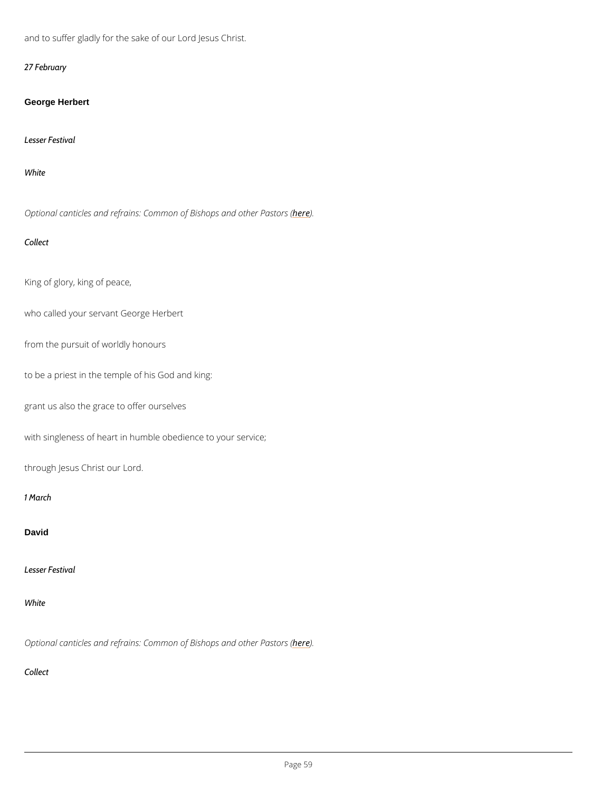and to suffer gladly for the sake of our Lord Jesus Christ.

27 February

George Herbert

Lesser Festival

White

Optional canticles and refrains: Common oher in and other Pastors (

Collect

King of glory, king of peace,

who called your servant George Herbert

from the pursuit of worldly honours

to be a priest in the temple of his God and king:

grant us also the grace to offer ourselves

with singleness of heart in humble obedience to your service;

through Jesus Christ our Lord.

1 March

David

Lesser Festival

## Optional canticles and refrains: Common oher bightops and other Pastors (

Collect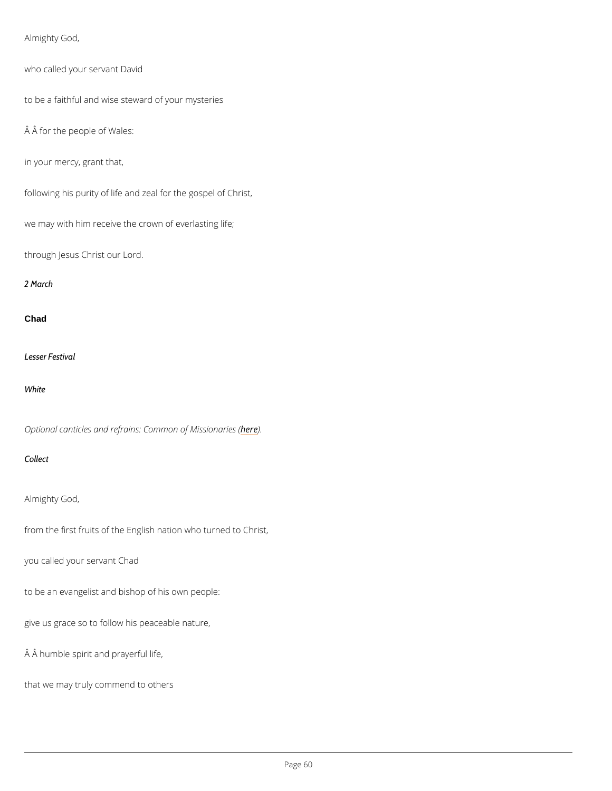```
Almighty God,
who called your servant David
to be a faithful and wise steward of your mysteries
A A for the people of Wales:
in your mercy, grant that,
following his purity of life and zeal for the gospel of Christ,
we may with him receive the crown of everlasting life;
through Jesus Christ our Lord.
2 March
Chad
Lesser Festival
White
Optional canticles and refrains: Comment of Missionaries (
Collect
```
Almighty God,

from the first fruits of the English nation who turned to Christ,

you called your servant Chad

to be an evangelist and bishop of his own people:

give us grace so to follow his peaceable nature,

 $\hat{A}$   $\hat{A}$  humble spirit and prayerful life,

that we may truly commend to others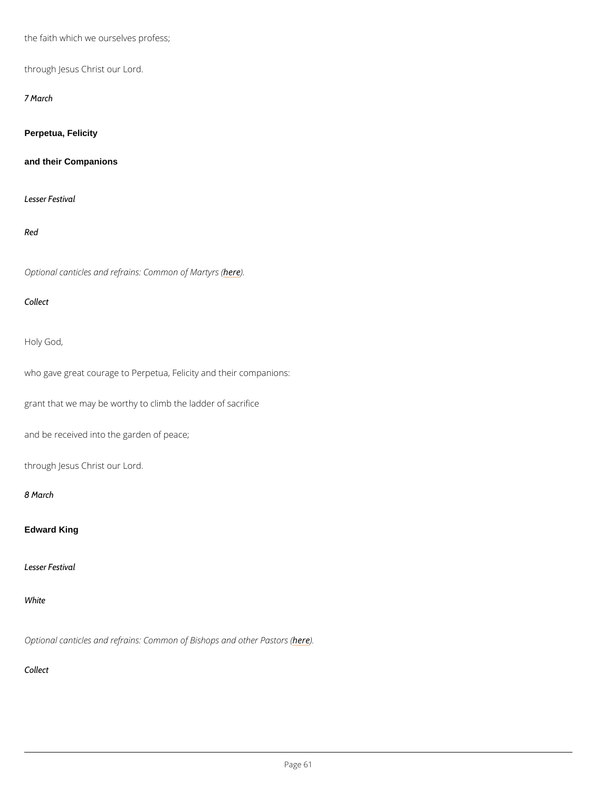```
the faith which we ourselves profess;
through Jesus Christ our Lord.
7 March
Perpetua, Felicity
and their Companions
Lesser Festival
Red
Optional canticles and refrains: heddenmon of Martyrs (
Collect
Holy God,
who gave great courage to Perpetua, Felicity and their companions:
grant that we may be worthy to climb the ladder of sacrifice
and be received into the garden of peace;
through Jesus Christ our Lord.
8 March
Edward King
```
Lesser Festival

## Optional canticles and refrains: Common oher bight and other Pastors (

Collect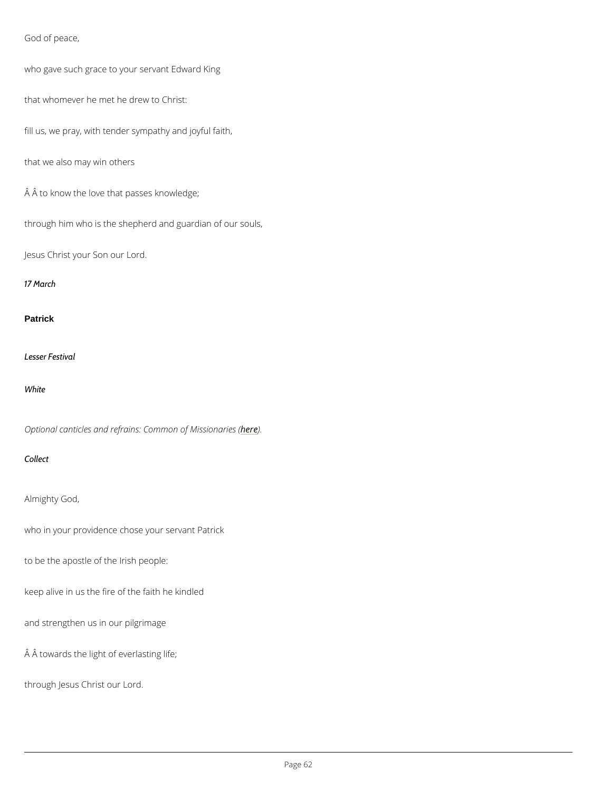```
God of peace,
```
who gave such grace to your servant Edward King

that whomever he met he drew to Christ:

fill us, we pray, with tender sympathy and joyful faith,

that we also may win others

Â to know the love that passes knowledge;

through him who is the shepherd and guardian of our souls,

Jesus Christ your Son our Lord.

17 March

**Patrick** 

Lesser Festival

White

Optional canticles and refrains: Comment of Missionaries (

Collect

Almighty God,

who in your providence chose your servant Patrick

to be the apostle of the Irish people:

keep alive in us the fire of the faith he kindled

and strengthen us in our pilgrimage

```
\hat{A} \hat{A} towards the light of everlasting life;
```
through Jesus Christ our Lord.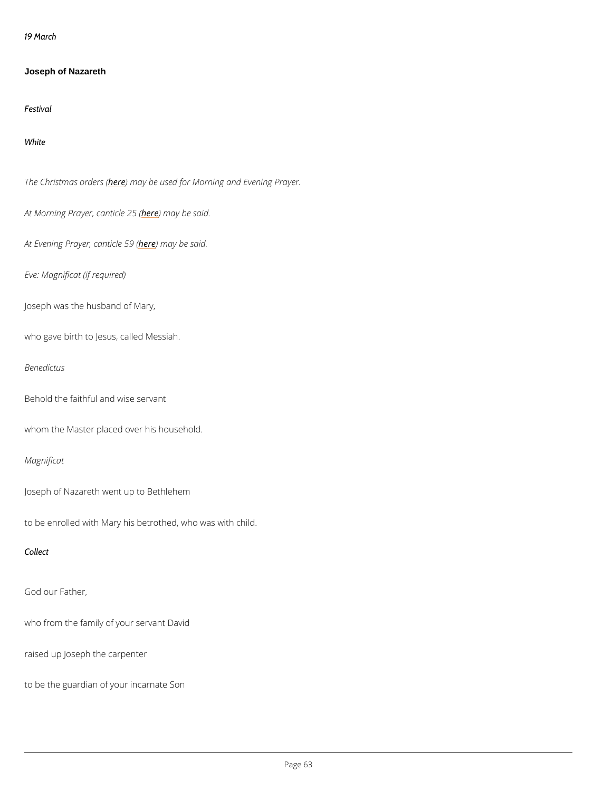19 March

Joseph of Nazareth

Festival

White

The Christmash expredment of the used for Morning and Evening Prayer.

At Morning Prayer, heane thin a by boast s(aid.

At Evening Prayerhedenmiacyeb 59 said.

Eve: Magnificat (if required)

Joseph was the husband of Mary,

who gave birth to Jesus, called Messiah.

Benedictus

Behold the faithful and wise servant

whom the Master placed over his household.

Magnificat

Joseph of Nazareth went up to Bethlehem

to be enrolled with Mary his betrothed, who was with child.

Collect

God our Father,

who from the family of your servant David

raised up Joseph the carpenter

to be the guardian of your incarnate Son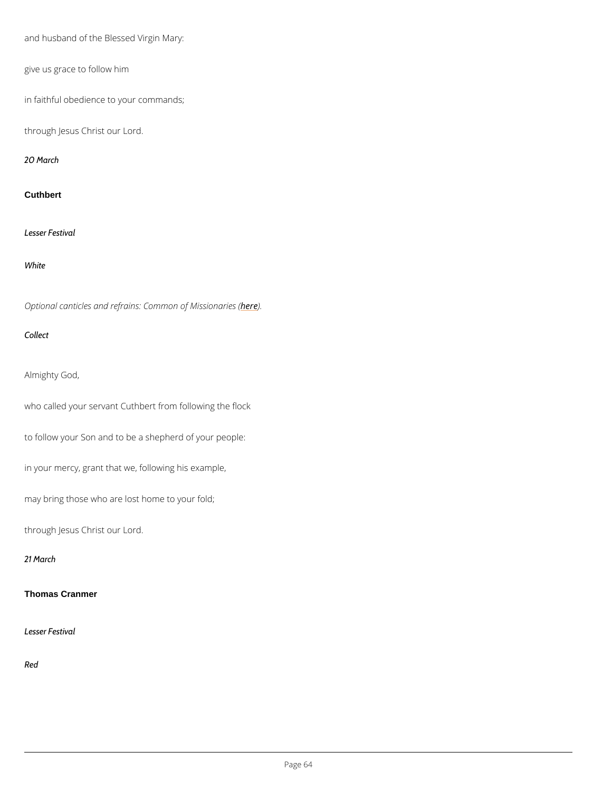```
and husband of the Blessed Virgin Mary:
give us grace to follow him
in faithful obedience to your commands;
through Jesus Christ our Lord.
20 March
Cuthbert
Lesser Festival
White
Optional canticles and refrains: Comment of Missionaries (
Collect
Almighty God,
who called your servant Cuthbert from following the flock
to follow your Son and to be a shepherd of your people:
in your mercy, grant that we, following his example,
may bring those who are lost home to your fold;
through Jesus Christ our Lord.
```
21 March

Thomas Cranmer

Lesser Festival

Red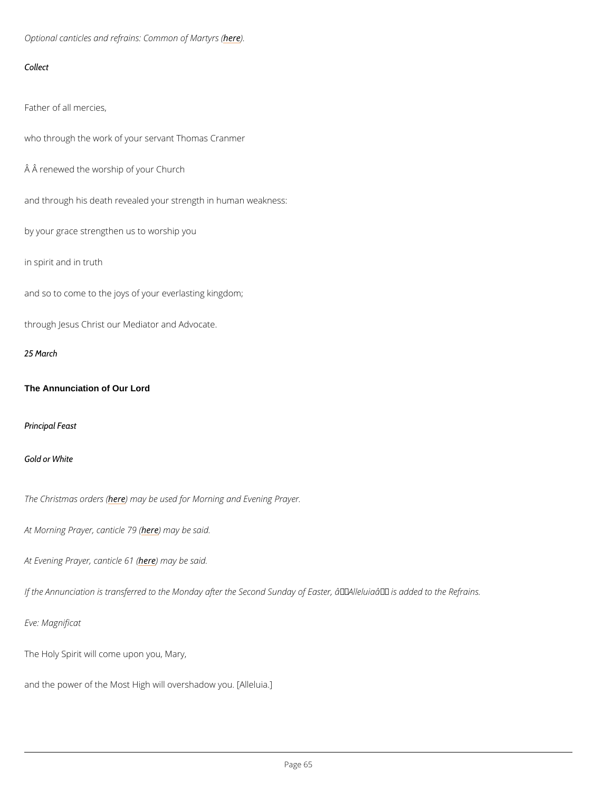Optional canticles and refrains: he dem mon of Martyrs (

Collect

Father of all mercies,

who through the work of your servant Thomas Cranmer

Â renewed the worship of your Church

and through his death revealed your strength in human weakness:

by your grace strengthen us to worship you

in spirit and in truth

and so to come to the joys of your everlasting kingdom;

through Jesus Christ our Mediator and Advocate.

25 March

The Annunciation of Our Lord

Principal Feast

Gold or White

The Christmash extredues asy (be used for Morning and Evening Prayer.

At Morning Prayer, heane thin a by e b 7e9 s (aid.

At Evening Prayerheedenmiacyeb@1s&id.

If the Annunciation is transferred to the Monday after the Second Sunday of Easter,  $\hat{a} \in \tilde{A}$  Ilel

Eve: Magnificat

The Holy Spirit will come upon you, Mary,

and the power of the Most High will overshadow you. [Alleluia.]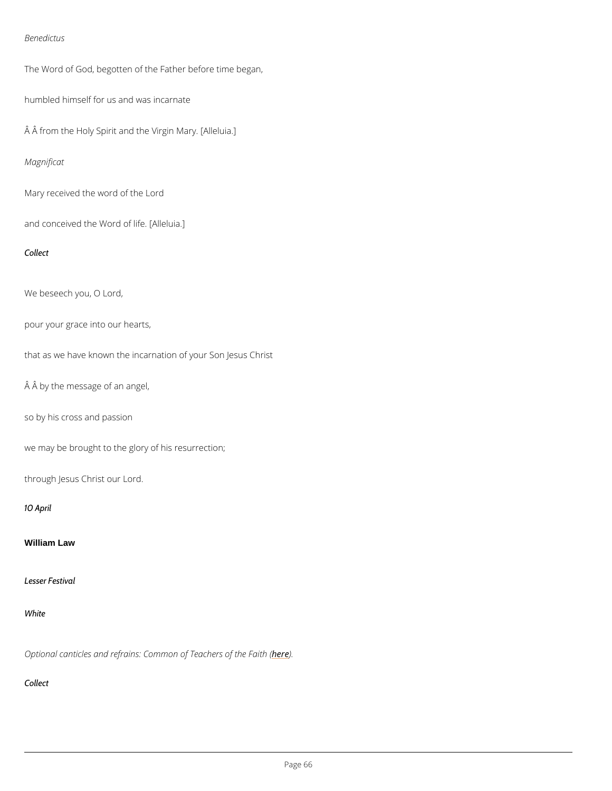#### Benedictus

The Word of God, begotten of the Father before time began,

humbled himself for us and was incarnate

Â from the Holy Spirit and the Virgin Mary. [Alleluia.]

Magnificat

Mary received the word of the Lord

and conceived the Word of life. [Alleluia.]

Collect

We beseech you, O Lord,

pour your grace into our hearts,

that as we have known the incarnation of your Son Jesus Christ

Â by the message of an angel,

so by his cross and passion

we may be brought to the glory of his resurrection;

through Jesus Christ our Lord.

10 April

William Law

Lesser Festival

### Optional canticles and refrains: Commoheo) E Teachers of the Faith (

Collect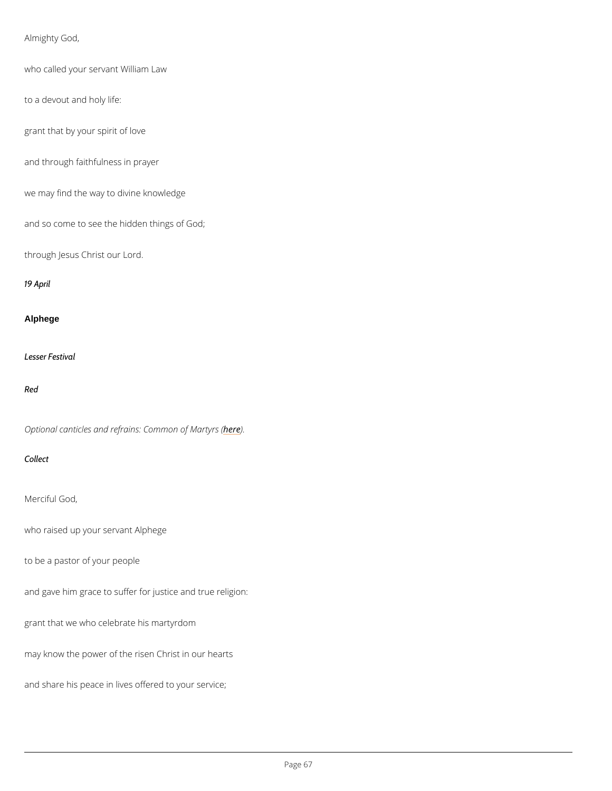```
Almighty God,
who called your servant William Law
to a devout and holy life:
grant that by your spirit of love
and through faithfulness in prayer
we may find the way to divine knowledge
and so come to see the hidden things of God;
through Jesus Christ our Lord.
19 April
Alphege
Lesser Festival
Red
```
Optional canticles and refrains: hedem mon of Martyrs (

Collect

Merciful God,

who raised up your servant Alphege

to be a pastor of your people

and gave him grace to suffer for justice and true religion:

grant that we who celebrate his martyrdom

may know the power of the risen Christ in our hearts

and share his peace in lives offered to your service;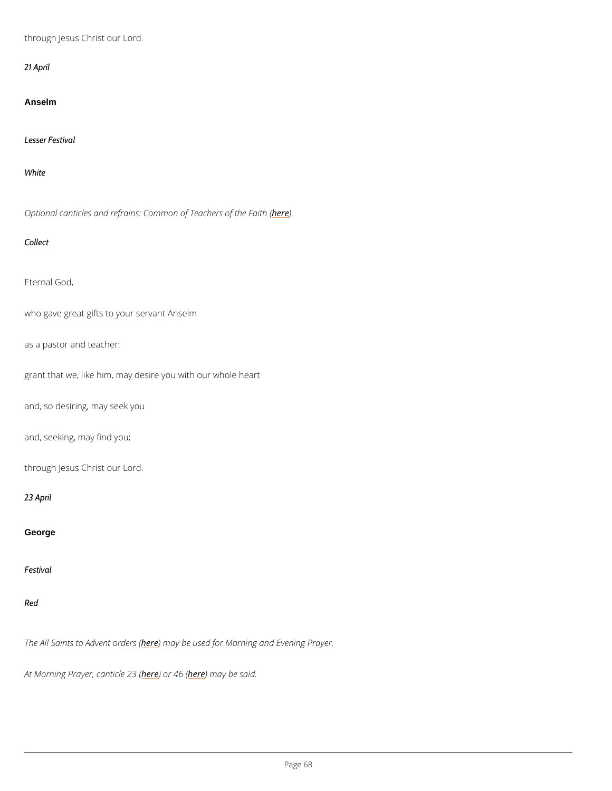through Jesus Christ our Lord.

21 April

Anselm

Lesser Festival

White

Optional canticles and refrains: Commoheo) & Teachers of the Faith (

Collect

Eternal God,

who gave great gifts to your servant Anselm

as a pastor and teacher:

grant that we, like him, may desire you with our whole heart

and, so desiring, may seek you

and, seeking, may find you;

through Jesus Christ our Lord.

23 April

George

Festival

The All Saints to Ardev net may return stated for Morning and Evening Prayer.

At Morning Prayer, heane bind the 2018 m (ay be said.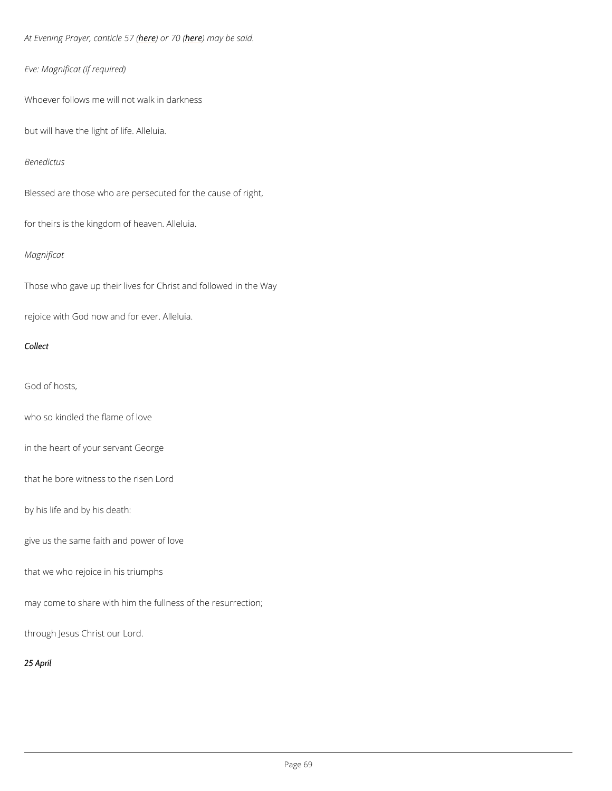At Evening Prayer<u>heedendichee</u> near ay be said.

```
Eve: Magnificat (if required)
```
Whoever follows me will not walk in darkness

but will have the light of life. Alleluia.

#### Benedictus

Blessed are those who are persecuted for the cause of right,

for theirs is the kingdom of heaven. Alleluia.

### Magnificat

Those who gave up their lives for Christ and followed in the Way

rejoice with God now and for ever. Alleluia.

Collect

God of hosts,

who so kindled the flame of love

in the heart of your servant George

that he bore witness to the risen Lord

by his life and by his death:

give us the same faith and power of love

that we who rejoice in his triumphs

may come to share with him the fullness of the resurrection;

through Jesus Christ our Lord.

25 April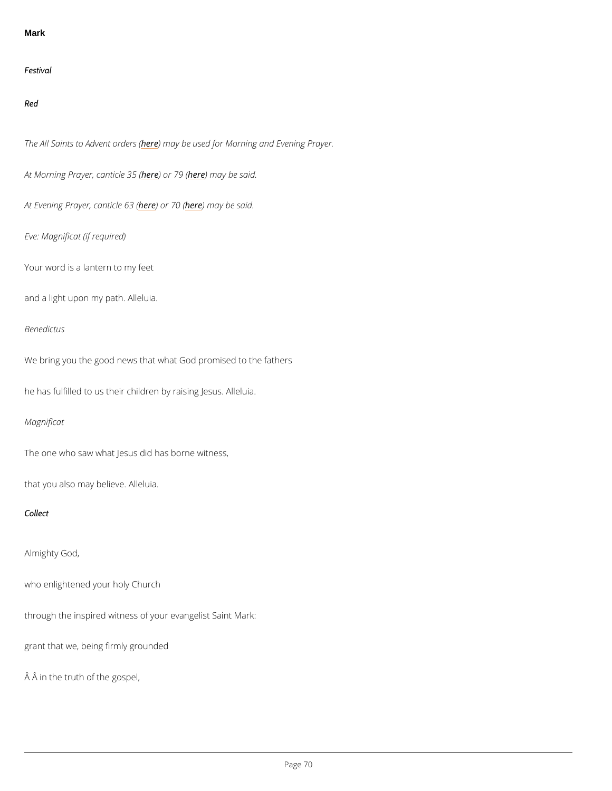#### Mark

Festival

Red

The All Saints to Ardevreemt acyrobeersus (ed for Morning and Evening Prayer.

At Morning Prayer, heane bind the 36 m (ay be said.

At Evening Prayerheedendiche fe3m (ay be said.

Eve: Magnificat (if required)

Your word is a lantern to my feet

and a light upon my path. Alleluia.

Benedictus

We bring you the good news that what God promised to the fathers

he has fulfilled to us their children by raising Jesus. Alleluia.

Magnificat

The one who saw what Jesus did has borne witness,

that you also may believe. Alleluia.

Collect

Almighty God,

who enlightened your holy Church

through the inspired witness of your evangelist Saint Mark:

grant that we, being firmly grounded

Â in the truth of the gospel,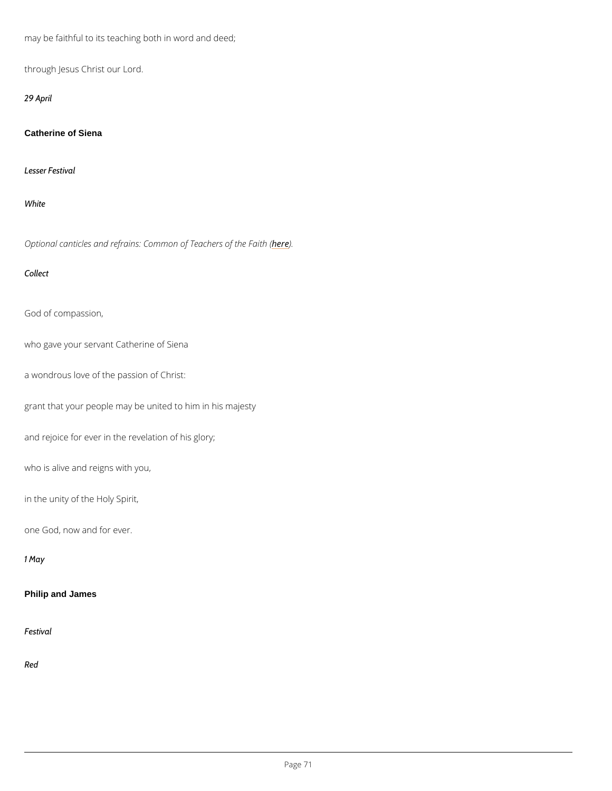may be faithful to its teaching both in word and deed;

through Jesus Christ our Lord.

29 April

Catherine of Siena

Lesser Festival

White

Optional canticles and refrains: Commoneo) E Teachers of the Faith (

Collect

God of compassion,

who gave your servant Catherine of Siena

a wondrous love of the passion of Christ:

grant that your people may be united to him in his majesty

and rejoice for ever in the revelation of his glory;

who is alive and reigns with you,

in the unity of the Holy Spirit,

one God, now and for ever.

1 May

Philip and James

Festival

Red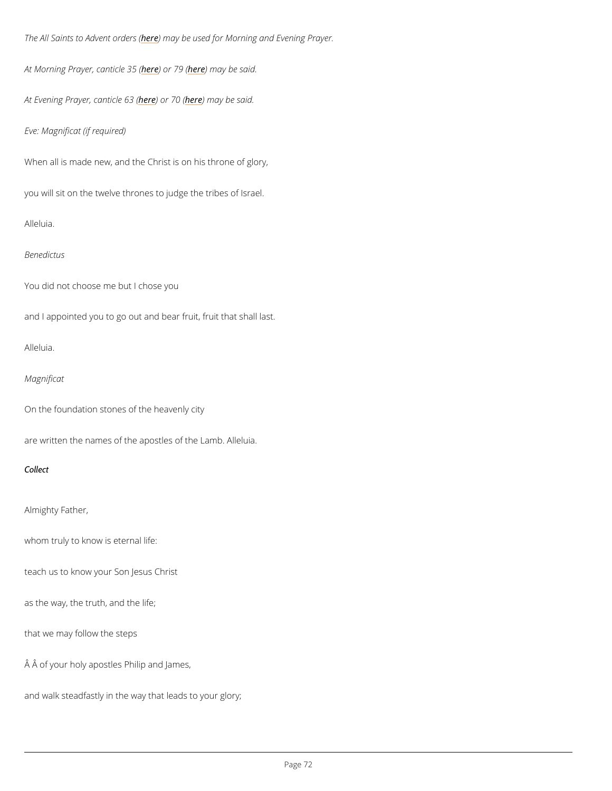The All Saints to Ahdevmeent aayrobeersus (ed for Morning and Evening Prayer.

```
At Morning Prayer, hea) a binclose 316 m (ay be said.
```
At Evening Prayerhedendiche neam (ay be said.

```
Eve: Magnificat (if required)
```
When all is made new, and the Christ is on his throne of glory,

you will sit on the twelve thrones to judge the tribes of Israel.

Alleluia.

#### Benedictus

You did not choose me but I chose you

and I appointed you to go out and bear fruit, fruit that shall last.

Alleluia.

Magnificat

On the foundation stones of the heavenly city

are written the names of the apostles of the Lamb. Alleluia.

#### Collect

Almighty Father,

whom truly to know is eternal life:

teach us to know your Son Jesus Christ

as the way, the truth, and the life;

that we may follow the steps

Â of your holy apostles Philip and James,

and walk steadfastly in the way that leads to your glory;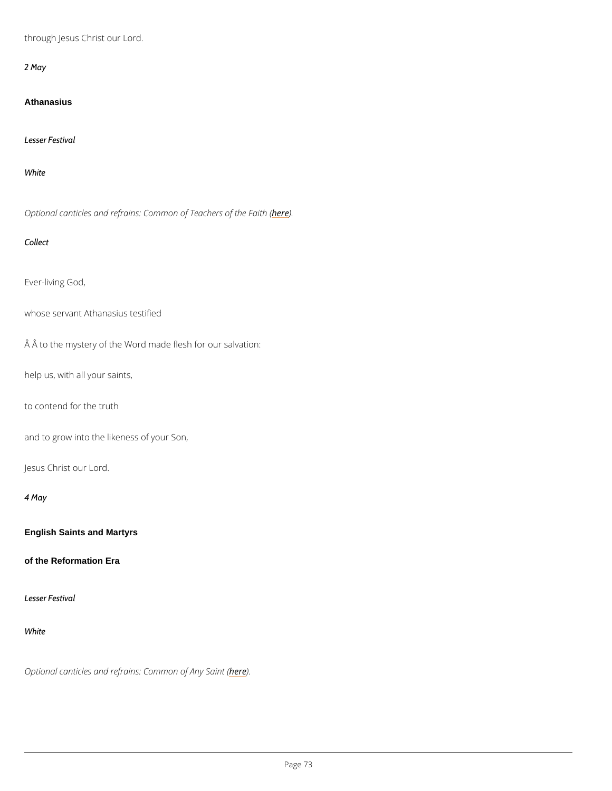through Jesus Christ our Lord.

2 May

**Athanasius** 

Lesser Festival

White

Optional canticles and refrains: Commoheo) E Teachers of the Faith (

Collect

Ever-living God,

whose servant Athanasius testified

Å Å to the mystery of the Word made flesh for our salvation:

help us, with all your saints,

to contend for the truth

and to grow into the likeness of your Son,

Jesus Christ our Lord.

4 May

English Saints and Martyrs

of the Reformation Era

### Lesser Festival

White

## Optional canticles and refrains: **Ceme**mon of Any Saint (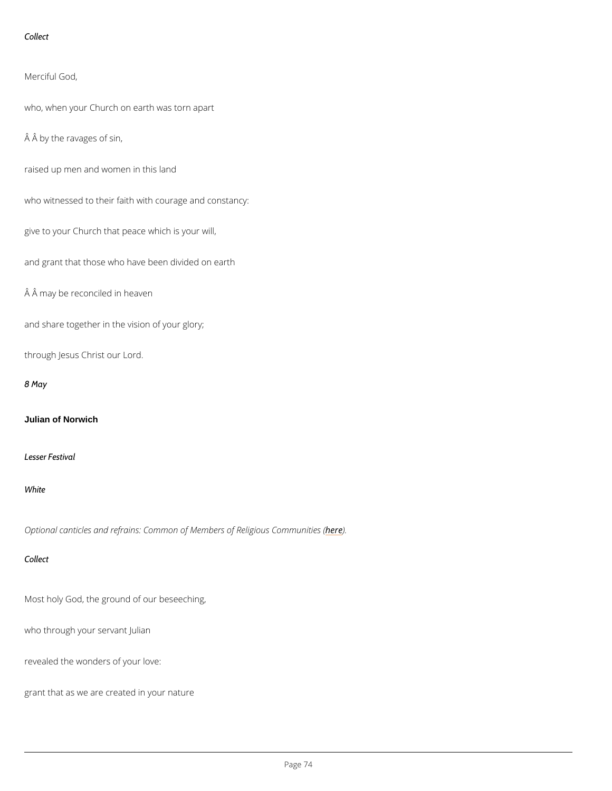```
Collect
```
Merciful God,

who, when your Church on earth was torn apart

Â by the ravages of sin,

raised up men and women in this land

who witnessed to their faith with courage and constancy:

give to your Church that peace which is your will,

and grant that those who have been divided on earth

Â may be reconciled in heaven

and share together in the vision of your glory;

through Jesus Christ our Lord.

8 May

Julian of Norwich

Lesser Festival

White

Optional canticles and refrains: Common of Member) es of Religious Communities (

Collect

Most holy God, the ground of our beseeching,

who through your servant Julian

revealed the wonders of your love:

grant that as we are created in your nature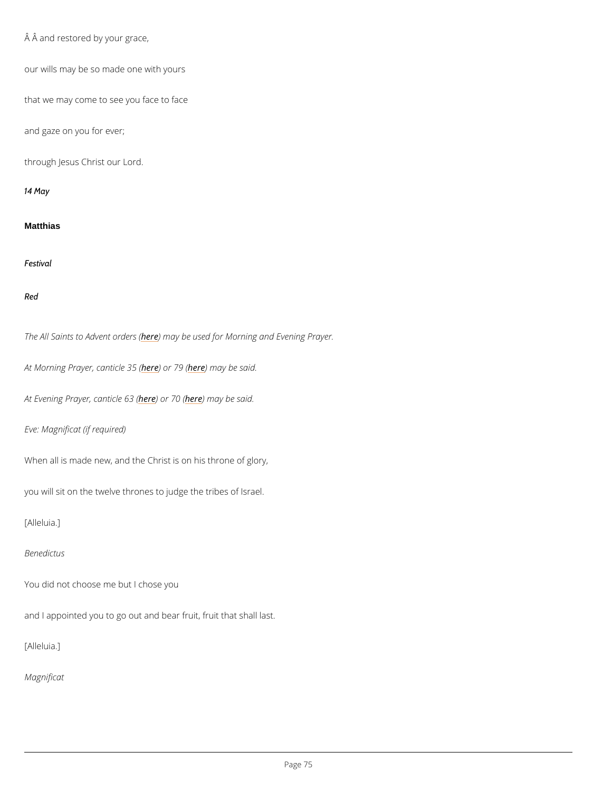```
 Â and restored by your grace,
our wills may be so made one with yours
that we may come to see you face to face
and gaze on you for ever;
through Jesus Christ our Lord.
14 May
Matthias
Festival
Red
The All Saints to Ardev net may robeer sus (ed for Morning and Evening Prayer.
At Morning Prayer, heane bird 17e 28 (6 m (ay be said.
At Evening Prayer here) and rche free may be said.
Eve: Magnificat (if required)
When all is made new, and the Christ is on his throne of glory,
you will sit on the twelve thrones to judge the tribes of Israel.
[Alleluia.]
Benedictus
```
You did not choose me but I chose you

and I appointed you to go out and bear fruit, fruit that shall last.

[Alleluia.]

Magnificat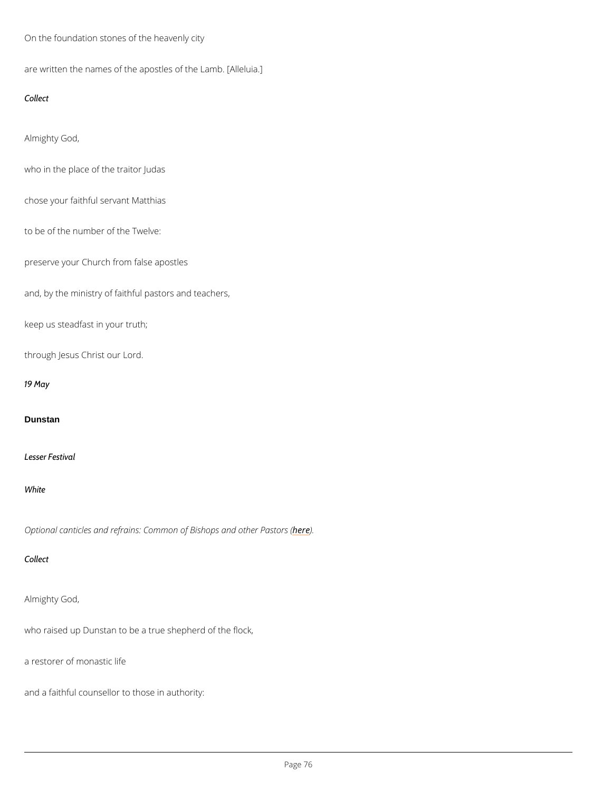On the foundation stones of the heavenly city

are written the names of the apostles of the Lamb. [Alleluia.]

Collect

Almighty God,

who in the place of the traitor Judas

chose your faithful servant Matthias

to be of the number of the Twelve:

preserve your Church from false apostles

and, by the ministry of faithful pastors and teachers,

keep us steadfast in your truth;

through Jesus Christ our Lord.

19 May

**Dunstan** 

Lesser Festival

White

Optional canticles and refrains: Common oher bightops and other Pastors (

Collect

Almighty God,

who raised up Dunstan to be a true shepherd of the flock,

a restorer of monastic life

and a faithful counsellor to those in authority: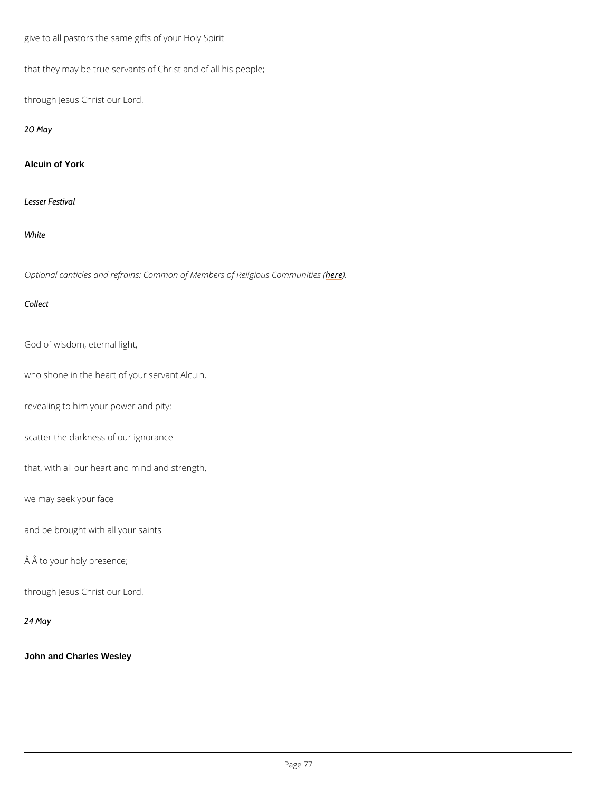give to all pastors the same gifts of your Holy Spirit

that they may be true servants of Christ and of all his people;

through Jesus Christ our Lord.

20 May

Alcuin of York

Lesser Festival

White

Optional canticles and refrains: Common of Member) es of Religious Communities (

Collect

God of wisdom, eternal light,

who shone in the heart of your servant Alcuin,

revealing to him your power and pity:

scatter the darkness of our ignorance

that, with all our heart and mind and strength,

we may seek your face

and be brought with all your saints

Â to your holy presence;

## through Jesus Christ our Lord.

24 May

John and Charles Wesley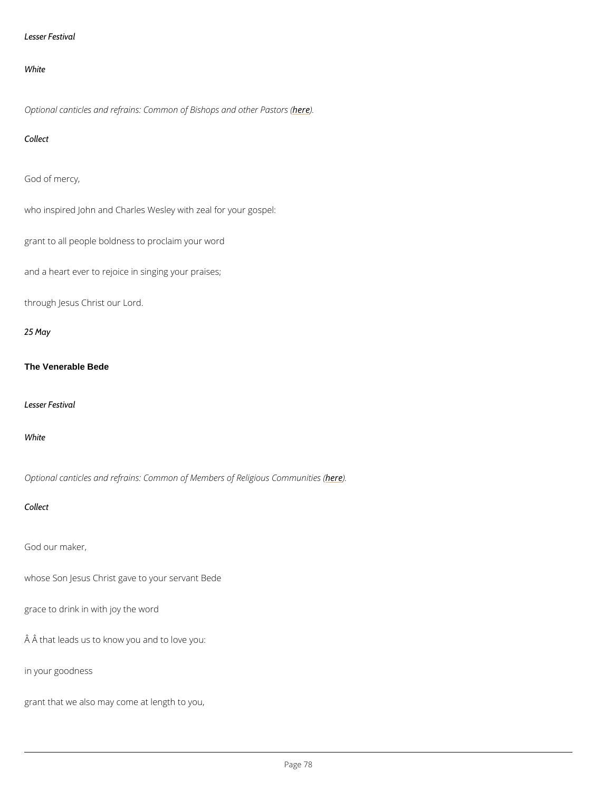### Lesser Festival

#### White

Optional canticles and refrains: Common oher bight and other Pastors (

Collect

God of mercy,

who inspired John and Charles Wesley with zeal for your gospel:

grant to all people boldness to proclaim your word

and a heart ever to rejoice in singing your praises;

through Jesus Christ our Lord.

25 May

The Venerable Bede

Lesser Festival

White

Optional canticles and refrains: Common of Member) es of Religious Communities (

Collect

God our maker,

whose Son Jesus Christ gave to your servant Bede

grace to drink in with joy the word

 $\hat{A}$   $\hat{A}$  that leads us to know you and to love you:

in your goodness

grant that we also may come at length to you,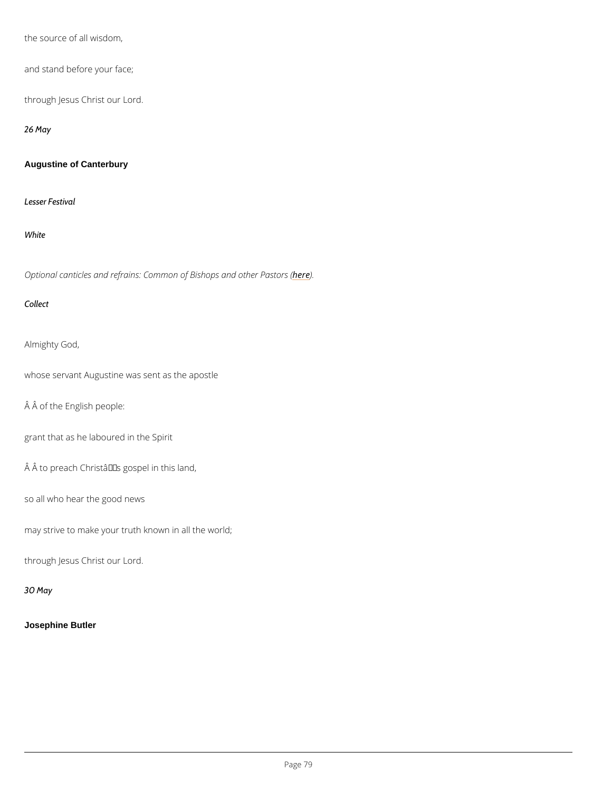the source of all wisdom,

and stand before your face;

through Jesus Christ our Lord.

26 May

Augustine of Canterbury

Lesser Festival

White

Optional canticles and refrains: Common oher in and other Pastors (

Collect

Almighty God,

whose servant Augustine was sent as the apostle

Â of the English people:

grant that as he laboured in the Spirit

 $\hat{A}$   $\hat{A}$  to preach Christa $\hat{\epsilon}$ <sup>TM</sup>s gospel in this land,

so all who hear the good news

may strive to make your truth known in all the world;

through Jesus Christ our Lord.

30 May

Josephine Butler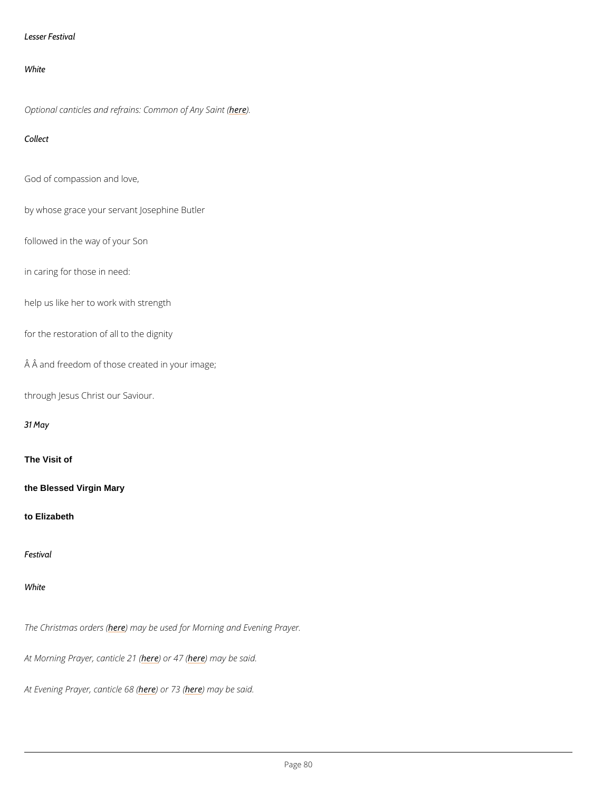```
Lesser Festival
```
White

Optional canticles and refrains: **Ceme**mon of Any Saint (

Collect

God of compassion and love,

by whose grace your servant Josephine Butler

followed in the way of your Son

in caring for those in need:

help us like her to work with strength

for the restoration of all to the dignity

A A and freedom of those created in your image;

through Jesus Christ our Saviour.

31 May

The Visit of

the Blessed Virgin Mary

to Elizabeth

Festival

White

The Christmash extred the used for Morning and Evening Prayer.

At Morning Prayer, hean book the 20 am (ay be said.

At Evening Prayer<u>heedendiches</u> needer ( ) be said.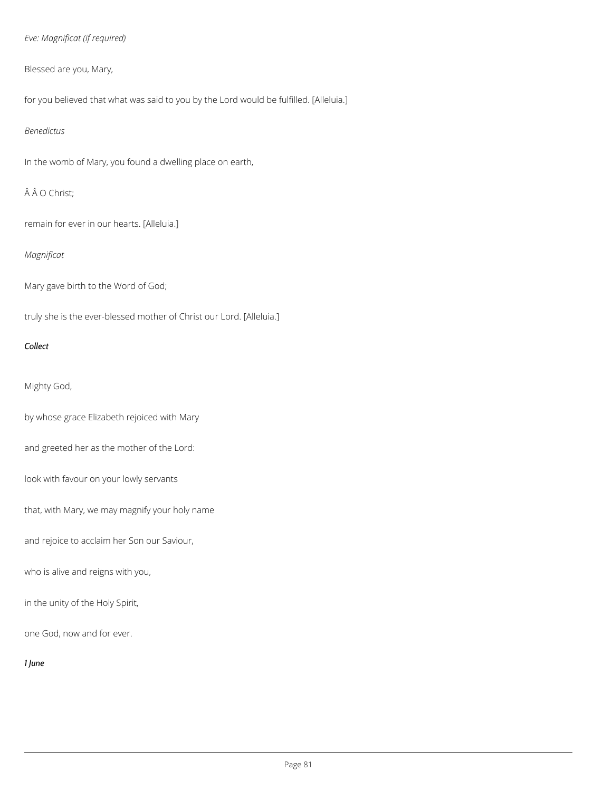# *Eve: Magnificat (if required)*

# Blessed are you, Mary,

for you believed that what was said to you by the Lord would be fulfilled. [Alleluia.]

## *Benedictus*

In the womb of Mary, you found a dwelling place on earth,

# ÂÂO Christ;

remain for ever in our hearts. [Alleluia.]

# *Magnificat*

Mary gave birth to the Word of God;

truly she is the ever-blessed mother of Christ our Lord. [Alleluia.]

## *Collect*

# Mighty God,

by whose grace Elizabeth rejoiced with Mary

and greeted her as the mother of the Lord:

look with favour on your lowly servants

that, with Mary, we may magnify your holy name

and rejoice to acclaim her Son our Saviour,

who is alive and reigns with you,

in the unity of the Holy Spirit,

one God, now and for ever.

*1 June*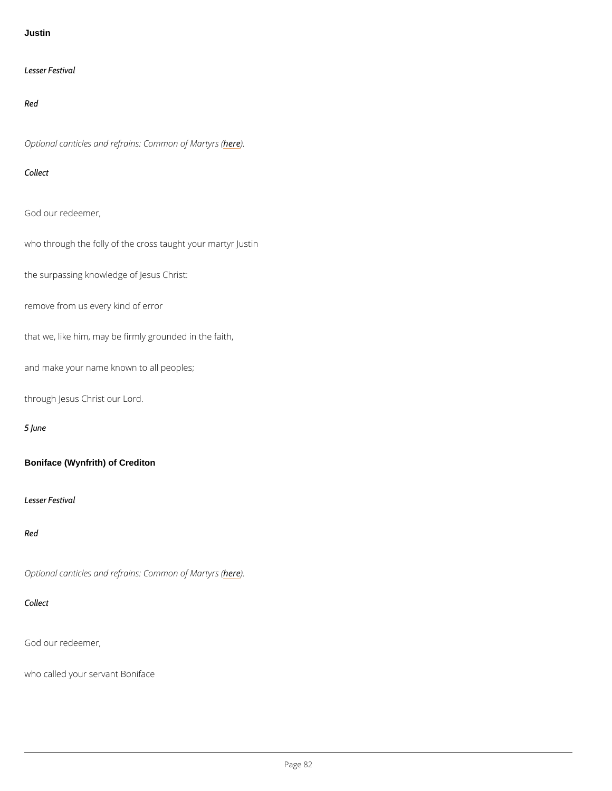**Justin** 

Lesser Festival

Red

Optional canticles and refrains: he dem mon of Martyrs (

Collect

God our redeemer,

who through the folly of the cross taught your martyr Justin

the surpassing knowledge of Jesus Christ:

remove from us every kind of error

that we, like him, may be firmly grounded in the faith,

and make your name known to all peoples;

through Jesus Christ our Lord.

5 June

Boniface (Wynfrith) of Crediton

Lesser Festival

Red

Optional canticles and refrains: heddenmon of Martyrs (

God our redeemer,

who called your servant Boniface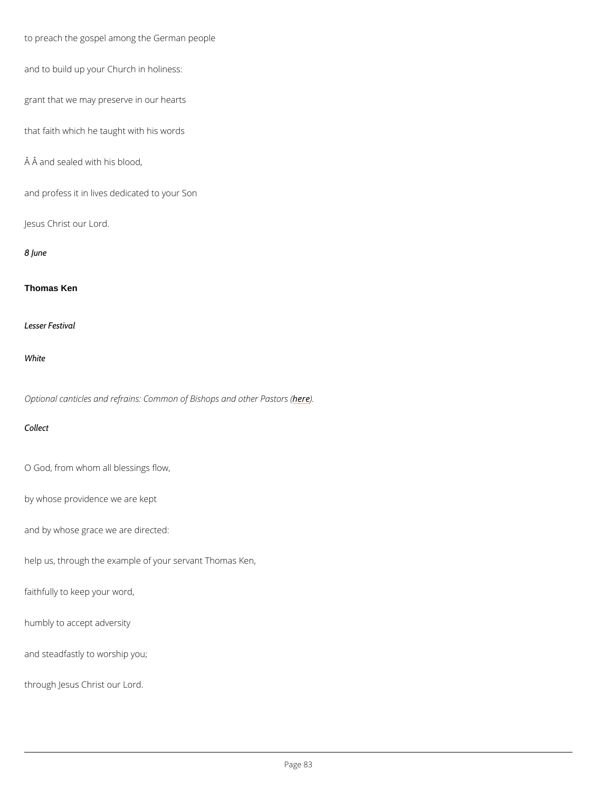to preach the gospel among the German people

and to build up your Church in holiness:

grant that we may preserve in our hearts

that faith which he taught with his words

 $A$   $A$  and sealed with his blood,

and profess it in lives dedicated to your Son

Jesus Christ our Lord.

8 June

Thomas Ken

Lesser Festival

White

Optional canticles and refrains: Common on Bijshops and other Pastors (

Collect

O God, from whom all blessings flow,

by whose providence we are kept

and by whose grace we are directed:

help us, through the example of your servant Thomas Ken,

faithfully to keep your word,

humbly to accept adversity

and steadfastly to worship you;

through Jesus Christ our Lord.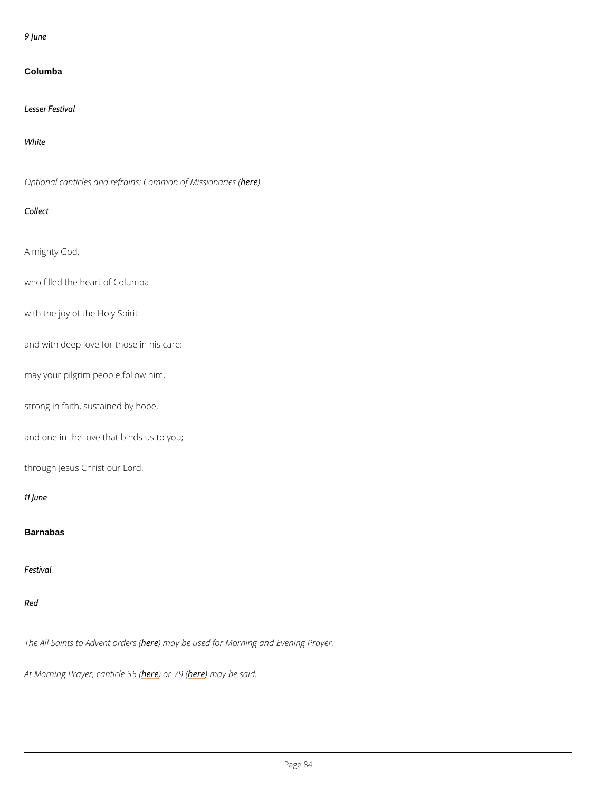9 June

Columba

Optional canticles and refrains: Comment of Missionaries (

Lesser Festival

White

Collect

Almighty God,

who filled the heart of Columba

with the joy of the Holy Spirit

and with deep love for those in his care:

may your pilgrim people follow him,

strong in faith, sustained by hope,

and one in the love that binds us to you;

through Jesus Christ our Lord.

11 June

**Barnabas** 

Festival

The All Saints to Ardev net may return stated for Morning and Evening Prayer.

At Morning Prayer, heane bird 17es 306 m (ay be said.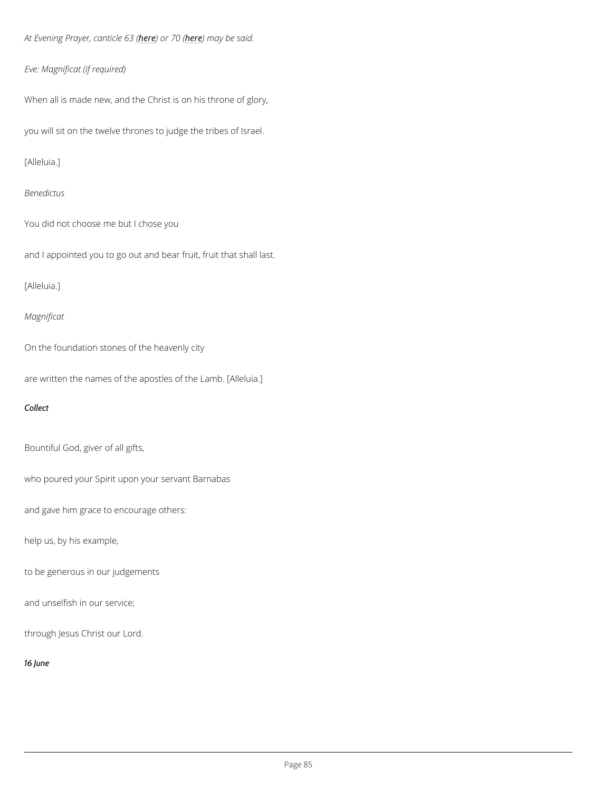At Evening Prayer here) and rche neam (ay be said.

Eve: Magnificat (if required)

When all is made new, and the Christ is on his throne of glory,

you will sit on the twelve thrones to judge the tribes of Israel.

[Alleluia.]

Benedictus

You did not choose me but I chose you

and I appointed you to go out and bear fruit, fruit that shall last.

[Alleluia.]

Magnificat

On the foundation stones of the heavenly city

are written the names of the apostles of the Lamb. [Alleluia.]

Collect

Bountiful God, giver of all gifts,

who poured your Spirit upon your servant Barnabas

and gave him grace to encourage others:

help us, by his example,

to be generous in our judgements

and unselfish in our service;

through Jesus Christ our Lord.

16 June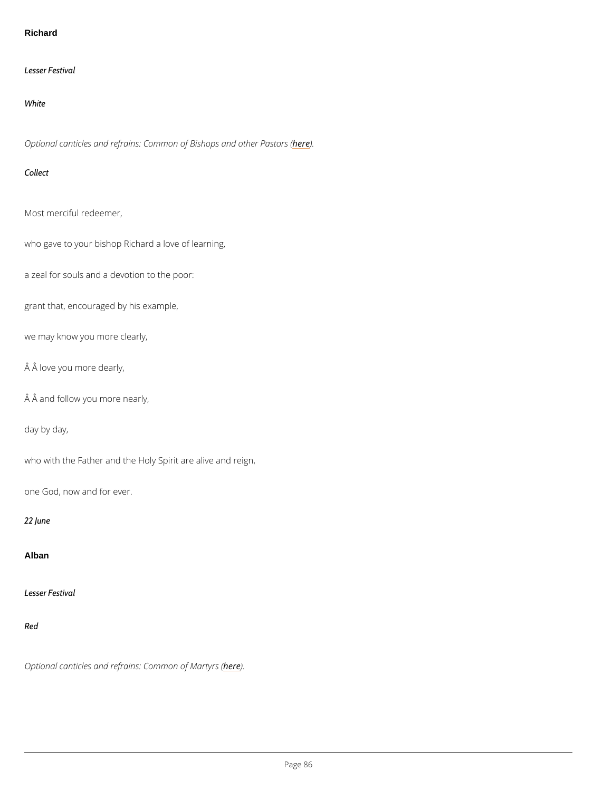#### Richard

Lesser Festival

White

Optional canticles and refrains: Common oher bightops and other Pastors (

Collect

Most merciful redeemer,

who gave to your bishop Richard a love of learning,

a zeal for souls and a devotion to the poor:

grant that, encouraged by his example,

we may know you more clearly,

Â love you more dearly,

Â and follow you more nearly,

day by day,

who with the Father and the Holy Spirit are alive and reign,

one God, now and for ever.

22 June

Alban

### Lesser Festival

Red

### Optional canticles and refrains: heddenmon of Martyrs (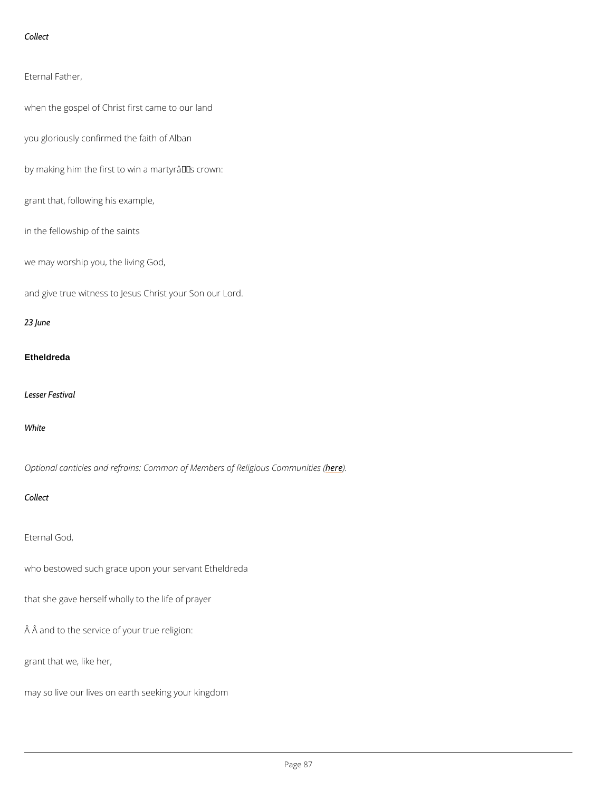Collect

Eternal Father,

when the gospel of Christ first came to our land

you gloriously confirmed the faith of Alban

by making him the first to win a martyr $\hat{a} \in \text{TM}$ s crown:

grant that, following his example,

in the fellowship of the saints

we may worship you, the living God,

and give true witness to Jesus Christ your Son our Lord.

23 June

#### Etheldreda

Lesser Festival

White

Optional canticles and refrains: Common of Member) es of Religious Communities (

Collect

Eternal God,

who bestowed such grace upon your servant Etheldreda

that she gave herself wholly to the life of prayer

Â and to the service of your true religion:

grant that we, like her,

may so live our lives on earth seeking your kingdom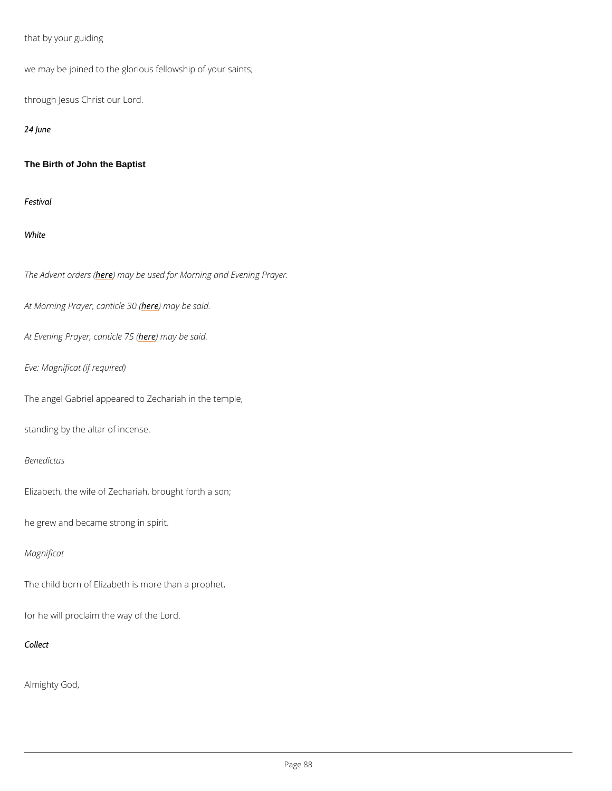that by your guiding

we may be joined to the glorious fellowship of your saints;

through Jesus Christ our Lord.

24 June

The Birth of John the Baptist

Festival

White

The Adventhoer (Next) may be used for Morning and Evening Prayer.

At Morning Prayer, heanething both 3e0 s(aid.

At Evening Prayerheedenmiacyeb 25 Said.

Eve: Magnificat (if required)

The angel Gabriel appeared to Zechariah in the temple,

standing by the altar of incense.

Benedictus

Elizabeth, the wife of Zechariah, brought forth a son;

he grew and became strong in spirit.

## Magnificat

The child born of Elizabeth is more than a prophet,

for he will proclaim the way of the Lord.

Collect

Almighty God,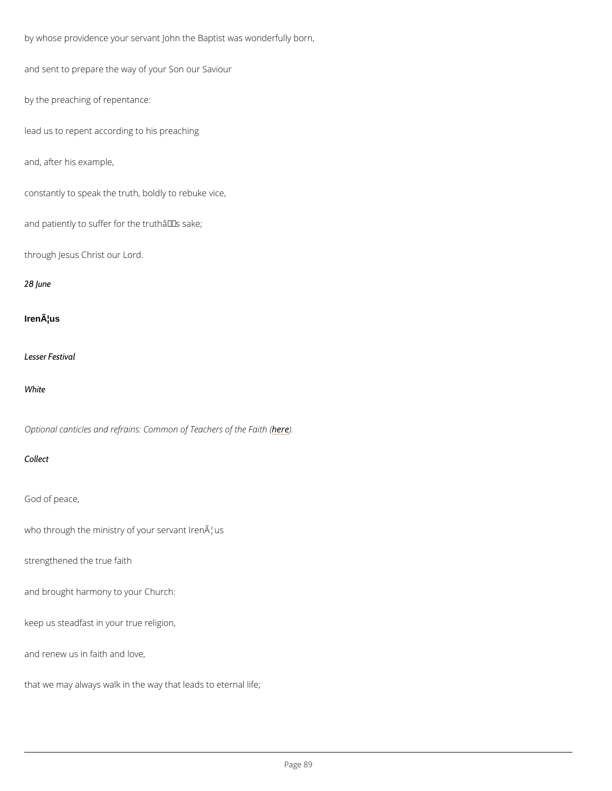```
by whose providence your servant John the Baptist was wonderfully born,
and sent to prepare the way of your Son our Saviour
by the preaching of repentance:
lead us to repent according to his preaching
and, after his example,
constantly to speak the truth, boldly to rebuke vice,
and patiently to suffer for the trutha \in \mathbb{M} s sake;
through Jesus Christ our Lord.
28 June
Iren¦us
Lesser Festival
White
Optional canticles and refrains: Commoheo) E Teachers of the Faith (
Collect
God of peace,
who through the ministry of your servant IrenAlus
strengthened the true faith
```
and brought harmony to your Church:

keep us steadfast in your true religion,

and renew us in faith and love,

that we may always walk in the way that leads to eternal life;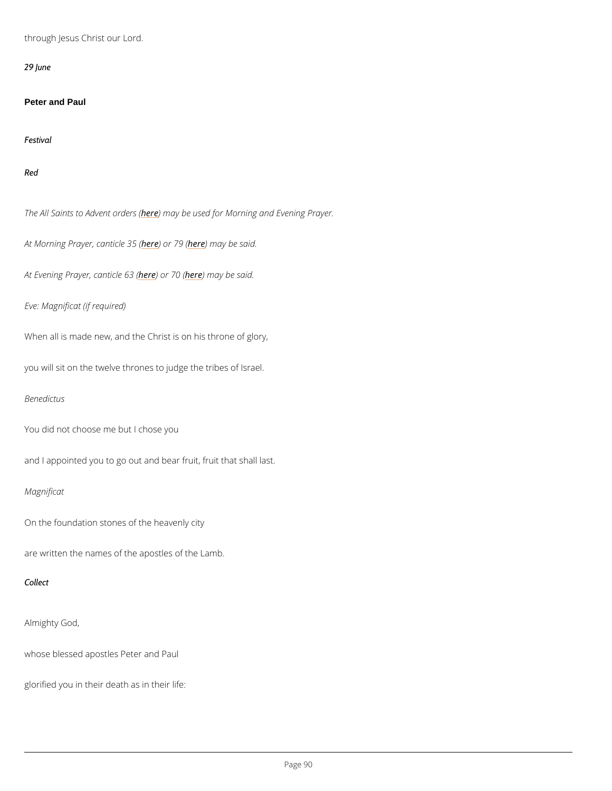through Jesus Christ our Lord.

29 June

Peter and Paul

Festival

Red

The All Saints to Ardev permiacy robeers as (ed for Morning and Evening Prayer.

At Morning Prayer, heane bird 17es 316 m (ay be said.

At Evening Prayer<u>heedendichee</u> neamely be said.

Eve: Magnificat (if required)

When all is made new, and the Christ is on his throne of glory,

you will sit on the twelve thrones to judge the tribes of Israel.

Benedictus

You did not choose me but I chose you

and I appointed you to go out and bear fruit, fruit that shall last.

Magnificat

On the foundation stones of the heavenly city

are written the names of the apostles of the Lamb.

Collect

Almighty God,

whose blessed apostles Peter and Paul

glorified you in their death as in their life: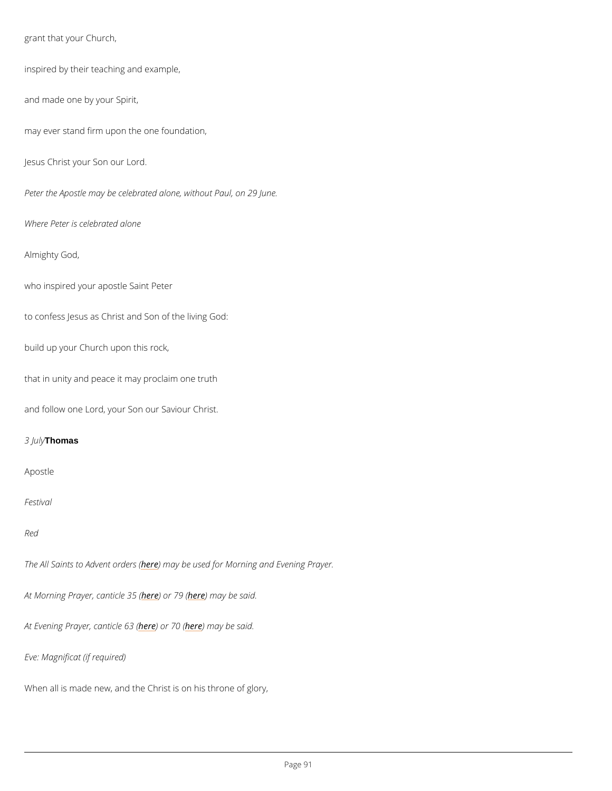grant that your Church, inspired by their teaching and example, and made one by your Spirit, may ever stand firm upon the one foundation, Jesus Christ your Son our Lord. Peter the Apostle may be celebrated alone, without Paul, on 29 June. Where Peter is celebrated alone Almighty God, who inspired your apostle Saint Peter to confess Jesus as Christ and Son of the living God: build up your Church upon this rock, that in unity and peace it may proclaim one truth and follow one Lord, your Son our Saviour Christ. 3 J Thomas Apostle Festival

Red

The All Saints to Ahdevmeent aayrobeersus (ed for Morning and Evening Prayer.

At Morning Prayer, heane bird the 36 m (ay be said.

At Evening Prayer here) and rche feam (ay be said.

```
Eve: Magnificat (if required)
```
When all is made new, and the Christ is on his throne of glory,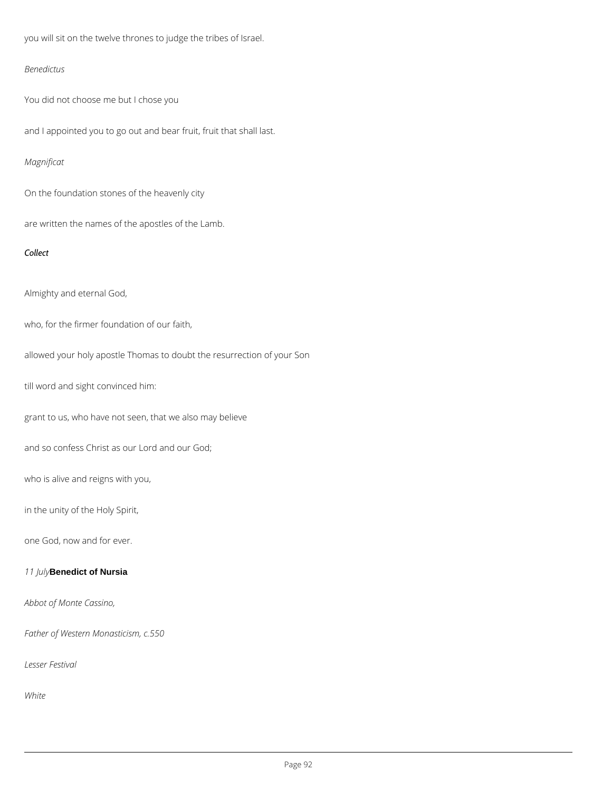you will sit on the twelve thrones to judge the tribes of Israel.

## *Benedictus*

You did not choose me but I chose you

and I appointed you to go out and bear fruit, fruit that shall last.

# *Magnificat*

On the foundation stones of the heavenly city

are written the names of the apostles of the Lamb.

## *Collect*

Almighty and eternal God,

who, for the firmer foundation of our faith,

allowed your holy apostle Thomas to doubt the resurrection of your Son

till word and sight convinced him:

grant to us, who have not seen, that we also may believe

and so confess Christ as our Lord and our God;

who is alive and reigns with you,

in the unity of the Holy Spirit,

one God, now and for ever.

*11 July***Benedict of Nursia**

*Abbot of Monte Cassino,*

*Father of Western Monasticism, c.550*

*Lesser Festival*

*White*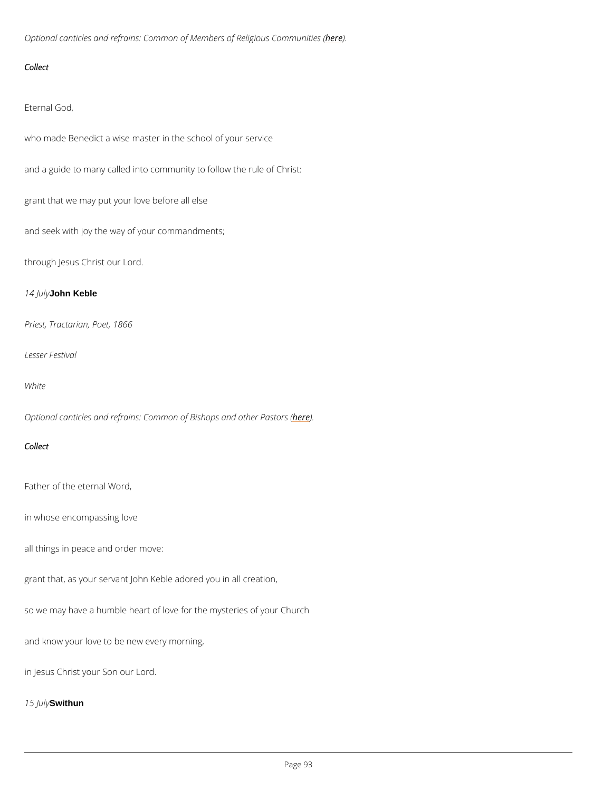Optional canticles and refrains: Common of Member es of Religious Communities (

Collect

Eternal God,

who made Benedict a wise master in the school of your service

and a guide to many called into community to follow the rule of Christ:

grant that we may put your love before all else

and seek with joy the way of your commandments;

through Jesus Christ our Lord.

14 Junhy Keble

Priest, Tractarian, Poet, 1866

Lesser Festival

White

Optional canticles and refrains: Common oher bightops and other Pastors (

Collect

Father of the eternal Word,

in whose encompassing love

all things in peace and order move:

grant that, as your servant John Keble adored you in all creation,

so we may have a humble heart of love for the mysteries of your Church

and know your love to be new every morning,

in Jesus Christ your Son our Lord.

15 Jawithun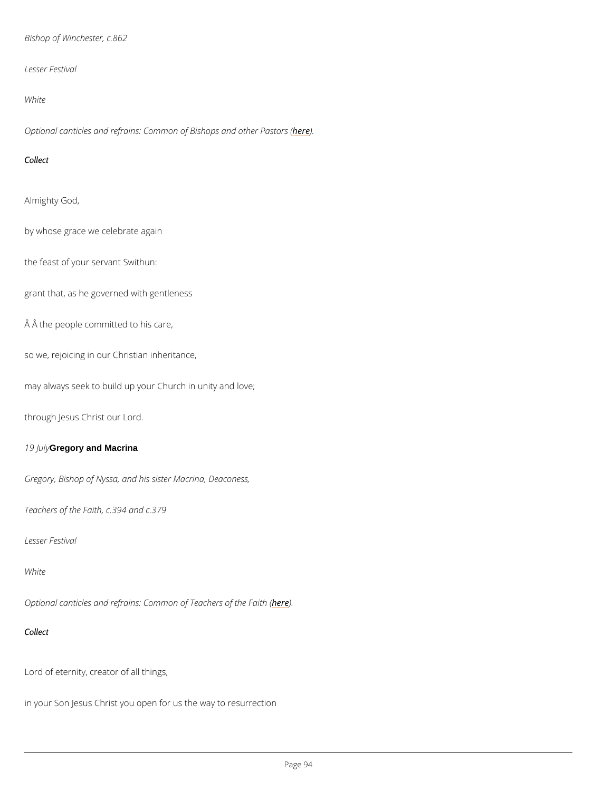Bishop of Winchester, c.862

Lesser Festival

White

Optional canticles and refrains: Common oher end other Pastors (

Collect

Almighty God,

by whose grace we celebrate again

the feast of your servant Swithun:

grant that, as he governed with gentleness

 $\hat{A}$   $\hat{A}$  the people committed to his care,

so we, rejoicing in our Christian inheritance,

may always seek to build up your Church in unity and love;

through Jesus Christ our Lord.

19 July Gregory and Macrina

Gregory, Bishop of Nyssa, and his sister Macrina, Deaconess,

Teachers of the Faith, c.394 and c.379

Lesser Festival

White

Optional canticles and refrains: Commoheo) E Teachers of the Faith (

Collect

Lord of eternity, creator of all things,

in your Son Jesus Christ you open for us the way to resurrection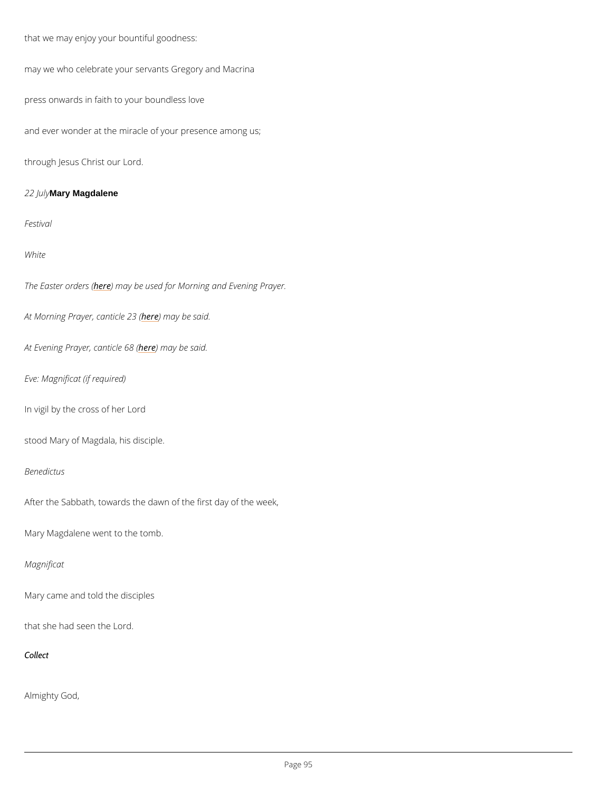that we may enjoy your bountiful goodness:

may we who celebrate your servants Gregory and Macrina

press onwards in faith to your boundless love

and ever wonder at the miracle of your presence among us;

through Jesus Christ our Lord.

2 2 JMalry Magdalene

Festival

White

The Easter hoern) beem say ( be used for Morning and Evening Prayer.

At Morning Prayer, heane thin a by boas s(aid.

At Evening Prayerheedenmiacyeb@8s&id.

Eve: Magnificat (if required)

In vigil by the cross of her Lord

stood Mary of Magdala, his disciple.

Benedictus

After the Sabbath, towards the dawn of the first day of the week,

Mary Magdalene went to the tomb.

Magnificat

Mary came and told the disciples

that she had seen the Lord.

Collect

Almighty God,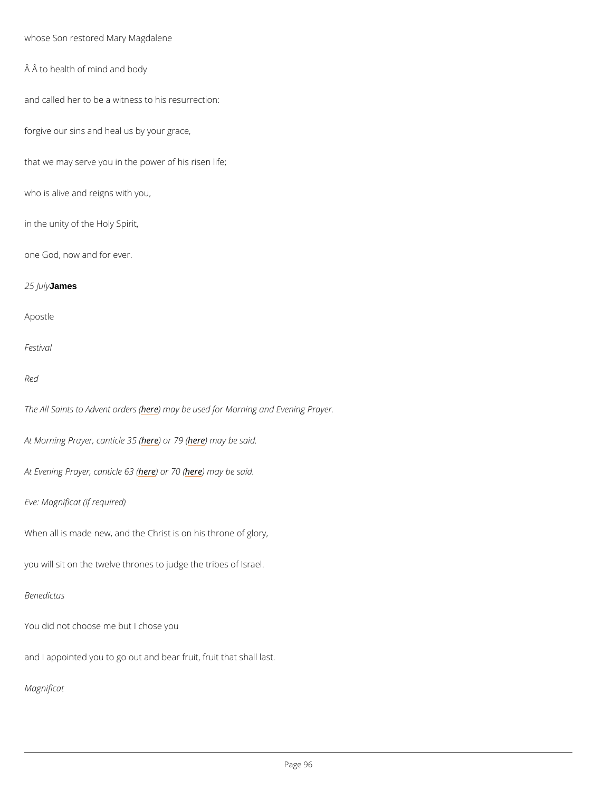whose Son restored Mary Magdalene

 $\hat{A}$   $\hat{A}$  to health of mind and body

and called her to be a witness to his resurrection:

forgive our sins and heal us by your grace,

that we may serve you in the power of his risen life;

who is alive and reigns with you,

in the unity of the Holy Spirit,

one God, now and for ever.

25 Julantyes

Apostle

Festival

Red

The All Saints to Ardev net may robeer sus (ed for Morning and Evening Prayer.

At Morning Prayer, heane bind the 30 m (ay be said.

At Evening Prayer here) and riche free 3 m (a y be said.

Eve: Magnificat (if required)

When all is made new, and the Christ is on his throne of glory,

you will sit on the twelve thrones to judge the tribes of Israel.

### Benedictus

You did not choose me but I chose you

and I appointed you to go out and bear fruit, fruit that shall last.

Magnificat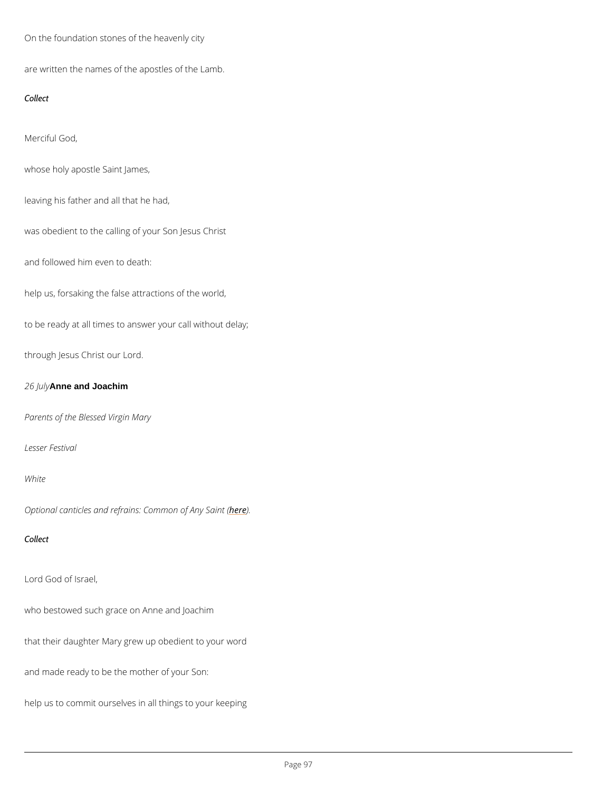On the foundation stones of the heavenly city

are written the names of the apostles of the Lamb.

Collect

Merciful God,

whose holy apostle Saint James,

leaving his father and all that he had,

was obedient to the calling of your Son Jesus Christ

and followed him even to death:

help us, forsaking the false attractions of the world,

to be ready at all times to answer your call without delay;

through Jesus Christ our Lord.

26  $\mu$ nhe and Joachim

Parents of the Blessed Virgin Mary

Lesser Festival

White

Optional canticles and refrains: Commemon of Any Saint (

Collect

Lord God of Israel,

who bestowed such grace on Anne and Joachim

that their daughter Mary grew up obedient to your word

and made ready to be the mother of your Son:

help us to commit ourselves in all things to your keeping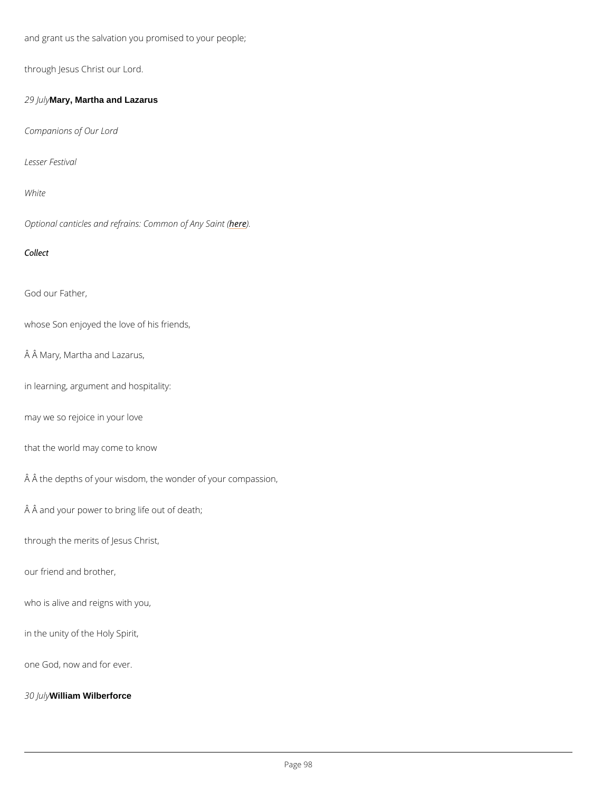and grant us the salvation you promised to your people;

through Jesus Christ our Lord.

29 Julalry, Martha and Lazarus

Companions of Our Lord

Lesser Festival

White

Optional canticles and refrains: **Ceme**mon of Any Saint (

Collect

God our Father,

whose Son enjoyed the love of his friends,

Â Mary, Martha and Lazarus,

in learning, argument and hospitality:

may we so rejoice in your love

that the world may come to know

 $\hat{A}$   $\hat{A}$  the depths of your wisdom, the wonder of your compassion,

 $\hat{A}$   $\hat{A}$  and your power to bring life out of death;

through the merits of Jesus Christ,

our friend and brother,

who is alive and reigns with you,

in the unity of the Holy Spirit,

one God, now and for ever.

30 Milliam Wilberforce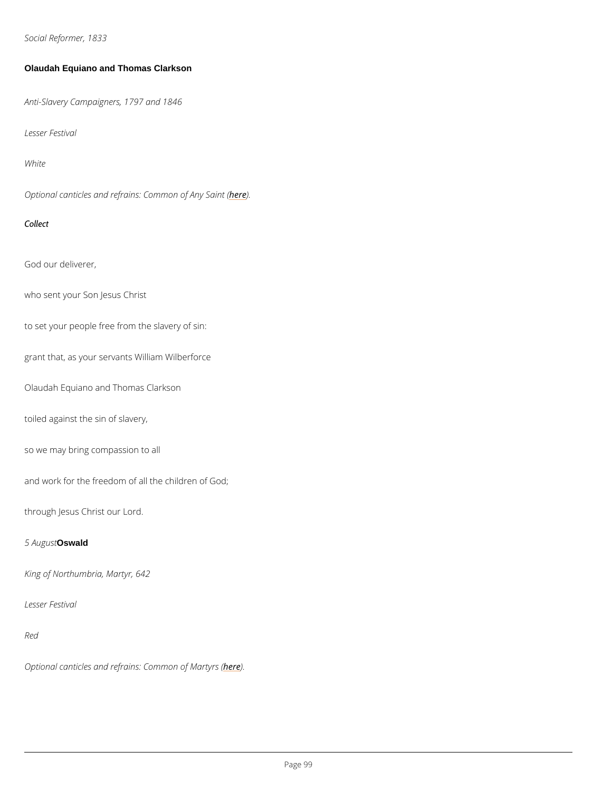Social Reformer, 1833

Olaudah Equiano and Thomas Clarkson

Anti-Slavery Campaigners, 1797 and 1846

Lesser Festival

White

Optional canticles and refrains: **Ceme**mon of Any Saint (

Collect

God our deliverer,

who sent your Son Jesus Christ

to set your people free from the slavery of sin:

grant that, as your servants William Wilberforce

Olaudah Equiano and Thomas Clarkson

toiled against the sin of slavery,

so we may bring compassion to all

and work for the freedom of all the children of God;

through Jesus Christ our Lord.

### 5 AugOswald

King of Northumbria, Martyr, 642

### Lesser Festival

Red

## Optional canticles and refrains: he dem mon of Martyrs (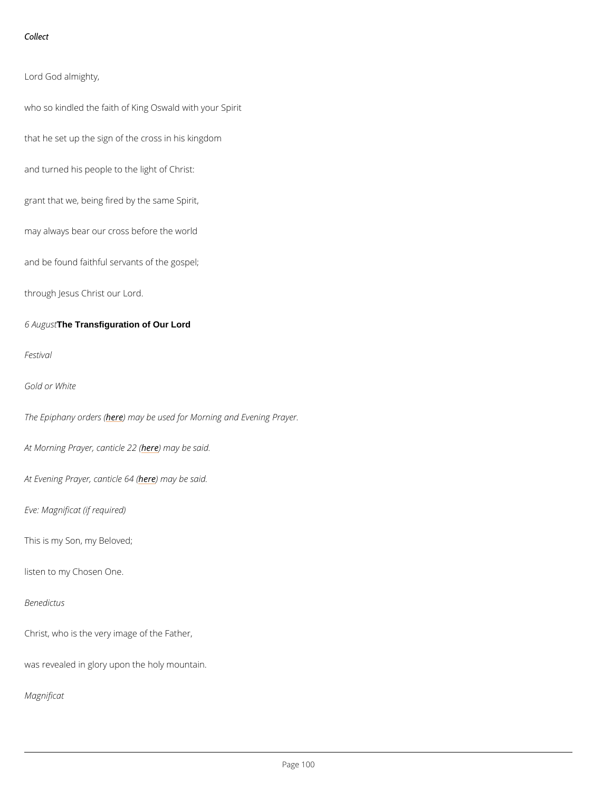Collect

Lord God almighty,

who so kindled the faith of King Oswald with your Spirit

that he set up the sign of the cross in his kingdom

and turned his people to the light of Christ:

grant that we, being fired by the same Spirit,

may always bear our cross before the world

and be found faithful servants of the gospel;

through Jesus Christ our Lord.

6 A u **The Transfiguration of Our Lord** 

Festival

Gold or White

The Epiphanyhor) denrasy (be used for Morning and Evening Prayer.

At Morning Prayer, heanething blee 2 s(aid.

At Evening Prayerheedenmiacyeb@4s&id.

Eve: Magnificat (if required)

This is my Son, my Beloved;

listen to my Chosen One.

#### Benedictus

Christ, who is the very image of the Father,

was revealed in glory upon the holy mountain.

Magnificat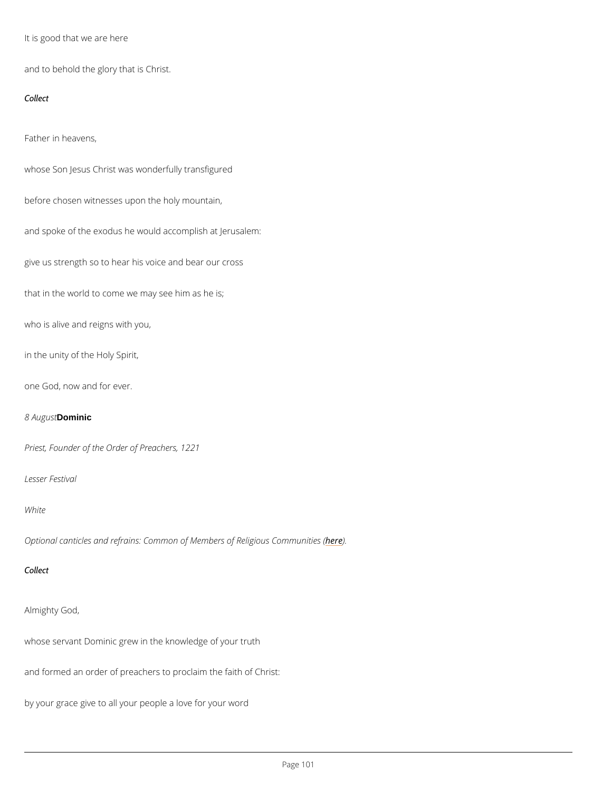It is good that we are here

and to behold the glory that is Christ.

Collect

Father in heavens,

whose Son Jesus Christ was wonderfully transfigured

before chosen witnesses upon the holy mountain,

and spoke of the exodus he would accomplish at Jerusalem:

give us strength so to hear his voice and bear our cross

that in the world to come we may see him as he is;

who is alive and reigns with you,

in the unity of the Holy Spirit,

one God, now and for ever.

### 8 AugDomsithic

Priest, Founder of the Order of Preachers, 1221

Lesser Festival

#### White

Optional canticles and refrains: Common of Member) es of Religious Communities (

#### Collect

```
Almighty God,
```
whose servant Dominic grew in the knowledge of your truth

and formed an order of preachers to proclaim the faith of Christ:

by your grace give to all your people a love for your word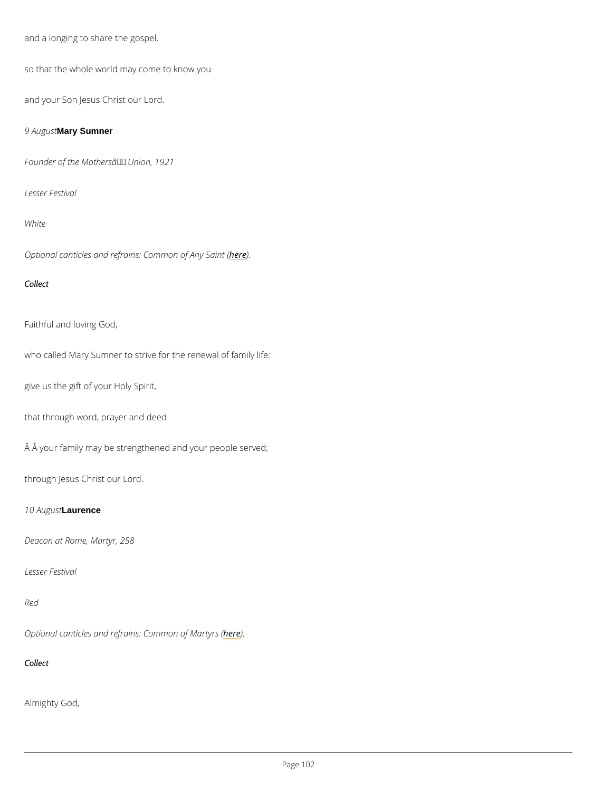```
and a longing to share the gospel,
```
so that the whole world may come to know you

and your Son Jesus Christ our Lord.

9 A u **MasytSumner** 

Founder of the Mothers' Union, 1921

Lesser Festival

White

Optional canticles and refrains: **Ceme**mon of Any Saint (

Collect

Faithful and loving God,

who called Mary Sumner to strive for the renewal of family life:

give us the gift of your Holy Spirit,

that through word, prayer and deed

Â your family may be strengthened and your people served;

through Jesus Christ our Lord.

10 Augausence

Deacon at Rome, Martyr, 258

Lesser Festival

Optional canticles and refrains: he dem mon of Martyrs (

Collect

Almighty God,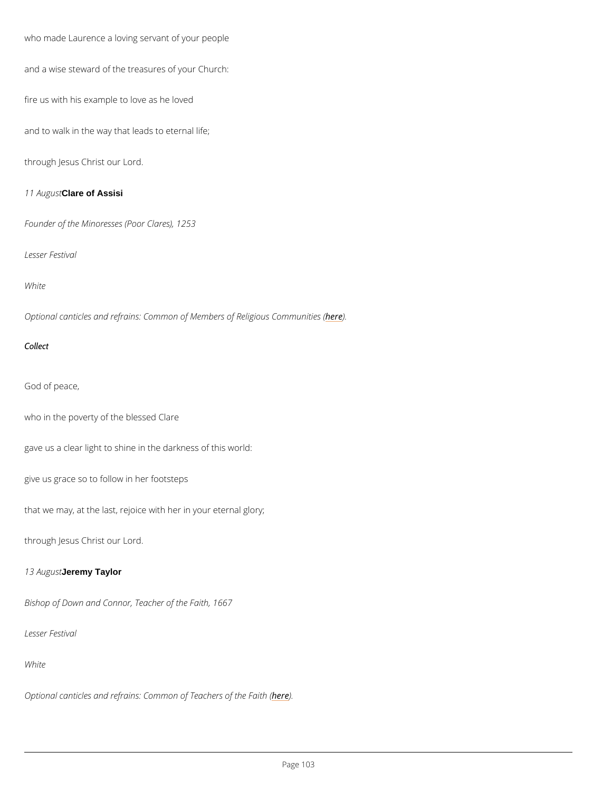who made Laurence a loving servant of your people and a wise steward of the treasures of your Church: fire us with his example to love as he loved and to walk in the way that leads to eternal life; through Jesus Christ our Lord. 11 Au Glars tof Assisi Founder of the Minoresses (Poor Clares), 1253 Lesser Festival White Optional canticles and refrains: Common of Member) es of Religious Communities ( Collect God of peace, who in the poverty of the blessed Clare gave us a clear light to shine in the darkness of this world: give us grace so to follow in her footsteps

that we may, at the last, rejoice with her in your eternal glory;

through Jesus Christ our Lord.

13 A u decreatly Taylor

Bishop of Down and Connor, Teacher of the Faith, 1667

Lesser Festival

White

Optional canticles and refrains: Commoneo) E Teachers of the Faith (

 $P$ ag  $603$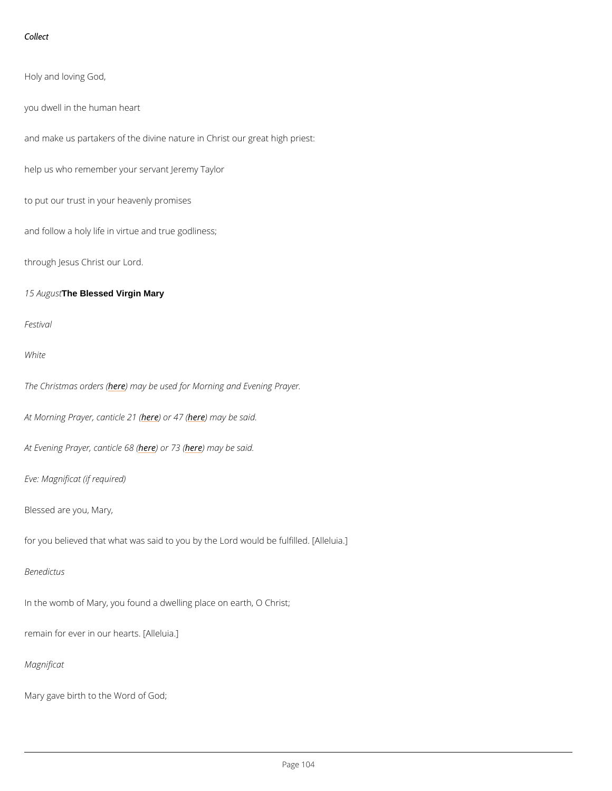Collect

Holy and loving God,

you dwell in the human heart

and make us partakers of the divine nature in Christ our great high priest:

help us who remember your servant Jeremy Taylor

to put our trust in your heavenly promises

and follow a holy life in virtue and true godliness;

through Jesus Christ our Lord.

15 A u The Stessed Virgin Mary

Festival

White

The Christmash extredues asy (be used for Morning and Evening Prayer.

At Morning Prayer, heane bind the 22 (4 m (ay be said.

At Evening Prayerhedendiche nice 198 may be said.

Eve: Magnificat (if required)

Blessed are you, Mary,

for you believed that what was said to you by the Lord would be fulfilled. [Alleluia.]

Benedictus

In the womb of Mary, you found a dwelling place on earth, O Christ;

remain for ever in our hearts. [Alleluia.]

Magnificat

Mary gave birth to the Word of God;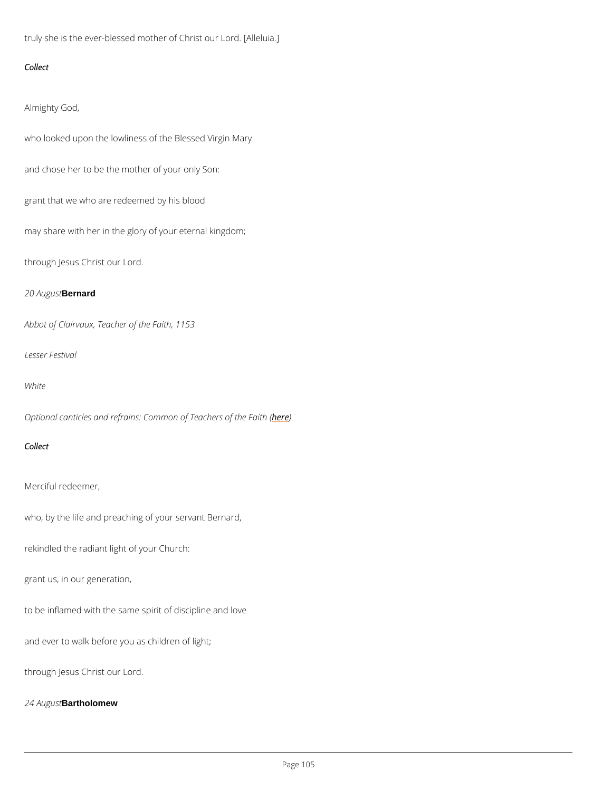truly she is the ever-blessed mother of Christ our Lord. [Alleluia.]

Collect

Almighty God,

who looked upon the lowliness of the Blessed Virgin Mary

and chose her to be the mother of your only Son:

grant that we who are redeemed by his blood

may share with her in the glory of your eternal kingdom;

through Jesus Christ our Lord.

20 Au**Bernsatrd** 

Abbot of Clairvaux, Teacher of the Faith, 1153

Lesser Festival

White

Optional canticles and refrains: Commoheo) E Teachers of the Faith (

Collect

Merciful redeemer,

who, by the life and preaching of your servant Bernard,

rekindled the radiant light of your Church:

grant us, in our generation,

to be inflamed with the same spirit of discipline and love

and ever to walk before you as children of light;

through Jesus Christ our Lord.

24 Au Bartholomew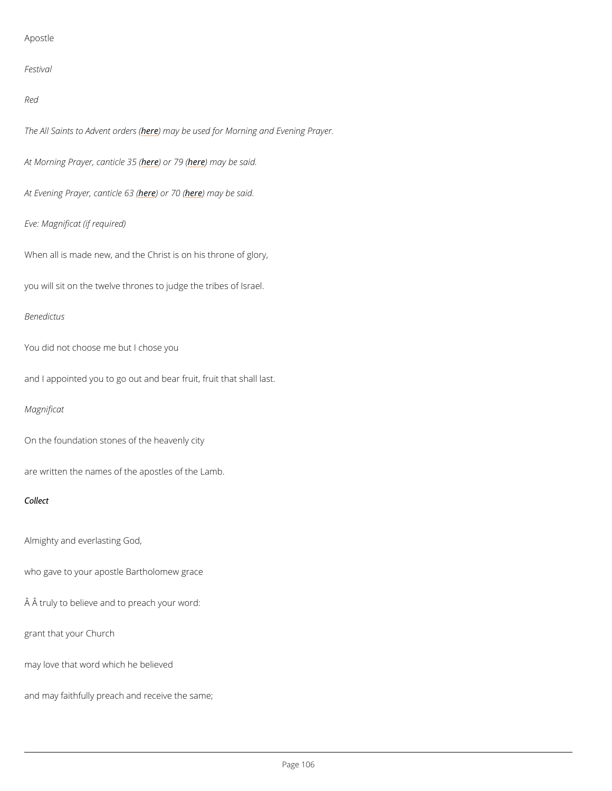### Apostle

Festival

Red

The All Saints to Ardev net may robe ersus (ed for Morning and Evening Prayer.

At Morning Prayer, hean) bind the 36 m (ay be said.

At Evening Prayerhedendiche neam (ay be said.

Eve: Magnificat (if required)

When all is made new, and the Christ is on his throne of glory,

you will sit on the twelve thrones to judge the tribes of Israel.

Benedictus

You did not choose me but I chose you

and I appointed you to go out and bear fruit, fruit that shall last.

Magnificat

On the foundation stones of the heavenly city

are written the names of the apostles of the Lamb.

Collect

Almighty and everlasting God,

who gave to your apostle Bartholomew grace

 $\hat{A}$   $\hat{A}$  truly to believe and to preach your word:

grant that your Church

may love that word which he believed

and may faithfully preach and receive the same;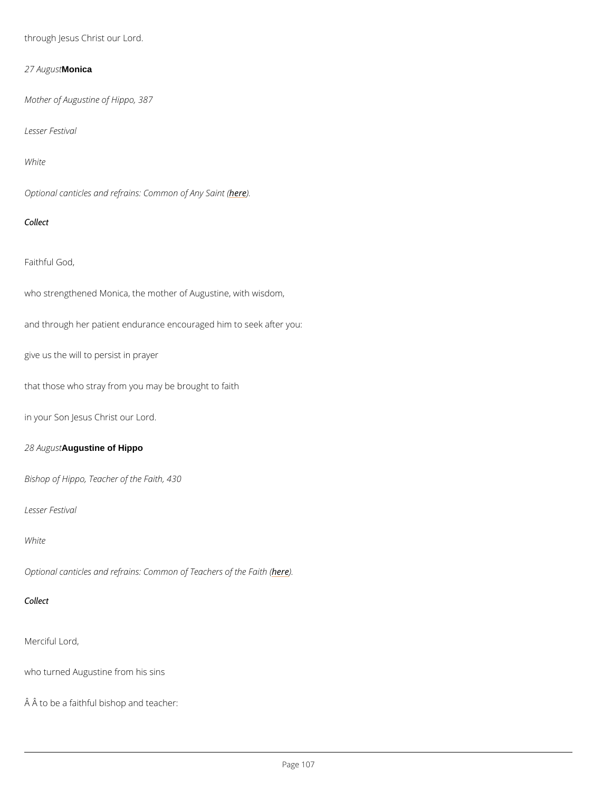through Jesus Christ our Lord.

27 Au**glonscha** 

Mother of Augustine of Hippo, 387

Lesser Festival

White

Optional canticles and refrains: **Ceme**mon of Any Saint (

Collect

Faithful God,

who strengthened Monica, the mother of Augustine, with wisdom,

and through her patient endurance encouraged him to seek after you:

give us the will to persist in prayer

that those who stray from you may be brought to faith

in your Son Jesus Christ our Lord.

28 A u Augustine of Hippo

Bishop of Hippo, Teacher of the Faith, 430

Lesser Festival

White

Optional canticles and refrains: Commoheo) E Teachers of the Faith (

Merciful Lord,

who turned Augustine from his sins

 $\hat{A}$   $\hat{A}$  to be a faithful bishop and teacher: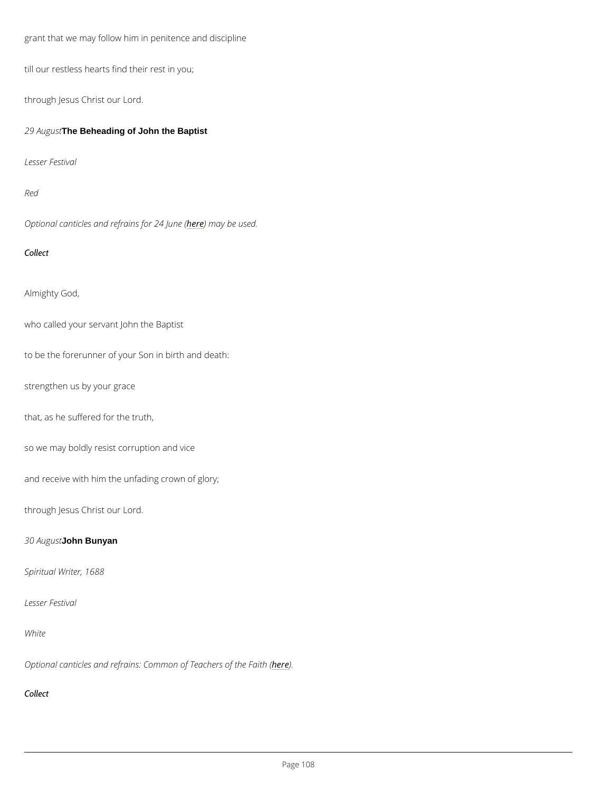grant that we may follow him in penitence and discipline

till our restless hearts find their rest in you;

through Jesus Christ our Lord.

29 A u The Beheading of John the Baptist

Lesser Festival

Red

Optional canticles and refinaries for b2e4 usuende. (

Collect

Almighty God,

who called your servant John the Baptist

to be the forerunner of your Son in birth and death:

strengthen us by your grace

that, as he suffered for the truth,

so we may boldly resist corruption and vice

and receive with him the unfading crown of glory;

through Jesus Christ our Lord.

30 Audouns Bunyan

Spiritual Writer, 1688

### Lesser Festival

White

## Optional canticles and refrains: Commoheo) E Teachers of the Faith (

Collect

 $P$ ag  $608$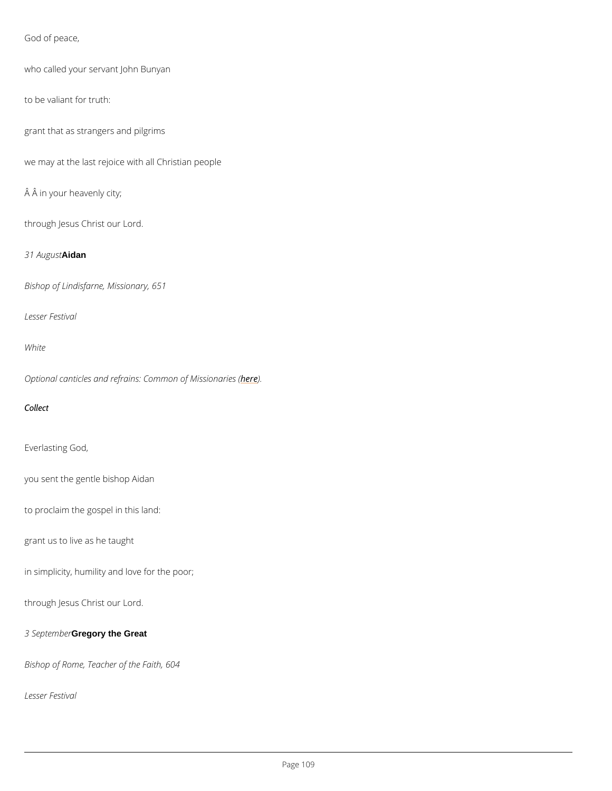God of peace,

```
who called your servant John Bunyan
```
to be valiant for truth:

grant that as strangers and pilgrims

we may at the last rejoice with all Christian people

 $\hat{A}$   $\hat{A}$  in your heavenly city;

through Jesus Christ our Lord.

31 Au Aidant

Bishop of Lindisfarne, Missionary, 651

Lesser Festival

White

Optional canticles and refrains: Comme meon of Missionaries (

Collect

Everlasting God,

you sent the gentle bishop Aidan

to proclaim the gospel in this land:

grant us to live as he taught

in simplicity, humility and love for the poor;

through Jesus Christ our Lord.

3 SepteCondgoery the Great

Bishop of Rome, Teacher of the Faith, 604

Lesser Festival

Page 09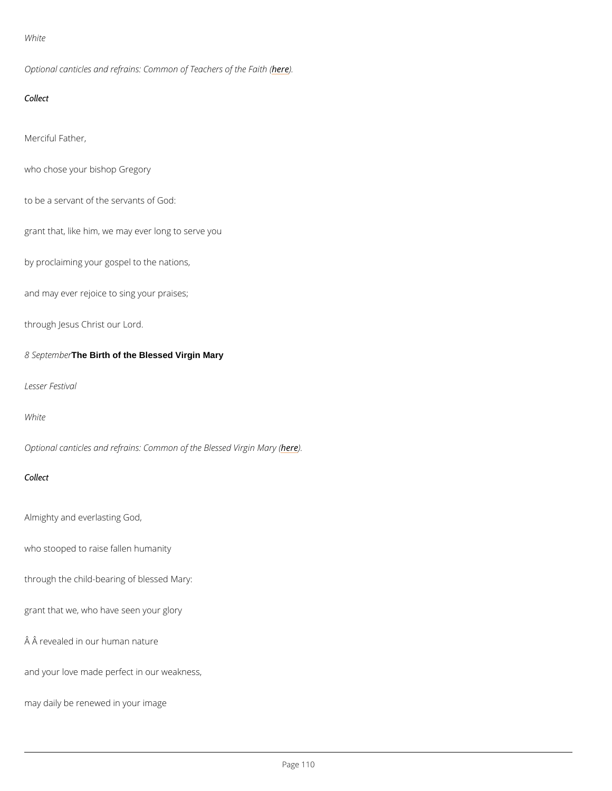White

Optional canticles and refrains: Commoheo) E Teachers of the Faith (

Collect

Merciful Father,

who chose your bishop Gregory

to be a servant of the servants of God:

grant that, like him, we may ever long to serve you

by proclaiming your gospel to the nations,

and may ever rejoice to sing your praises;

through Jesus Christ our Lord.

8 Septel The Birth of the Blessed Virgin Mary

Lesser Festival

White

Optional canticles and refrains: Common hoer) the Blessed Virgin Mary (

Collect

Almighty and everlasting God,

who stooped to raise fallen humanity

through the child-bearing of blessed Mary:

grant that we, who have seen your glory

Â revealed in our human nature

and your love made perfect in our weakness,

may daily be renewed in your image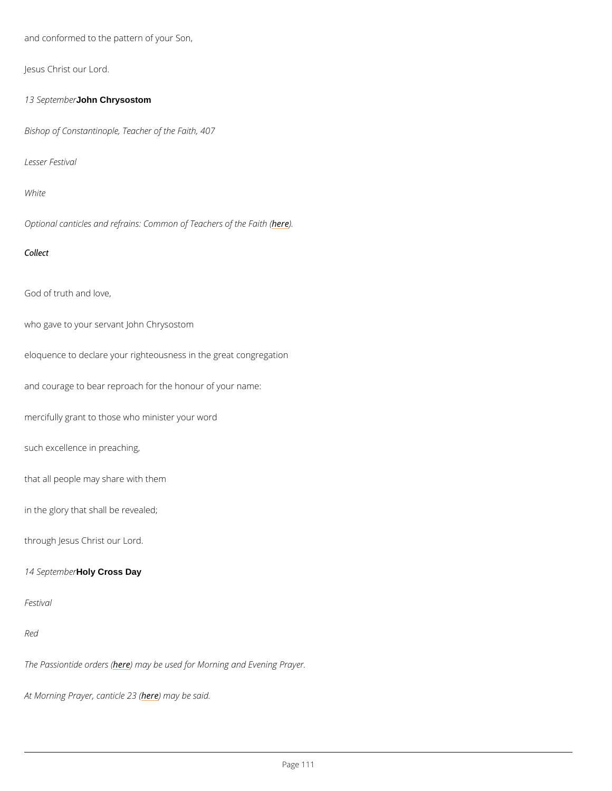and conformed to the pattern of your Son,

Jesus Christ our Lord.

13 Septelomhnb Ghrrysostom

Bishop of Constantinople, Teacher of the Faith, 407

Lesser Festival

White

Optional canticles and refrains: Commoheo) E Teachers of the Faith (

Collect

God of truth and love,

who gave to your servant John Chrysostom

eloquence to declare your righteousness in the great congregation

and courage to bear reproach for the honour of your name:

mercifully grant to those who minister your word

such excellence in preaching,

that all people may share with them

in the glory that shall be revealed;

through Jesus Christ our Lord.

14 SepteHorlyb@ross Day

Red

The Passiontiche members ble used for Morning and Evening Prayer.

At Morning Prayer, heane thin a be been said.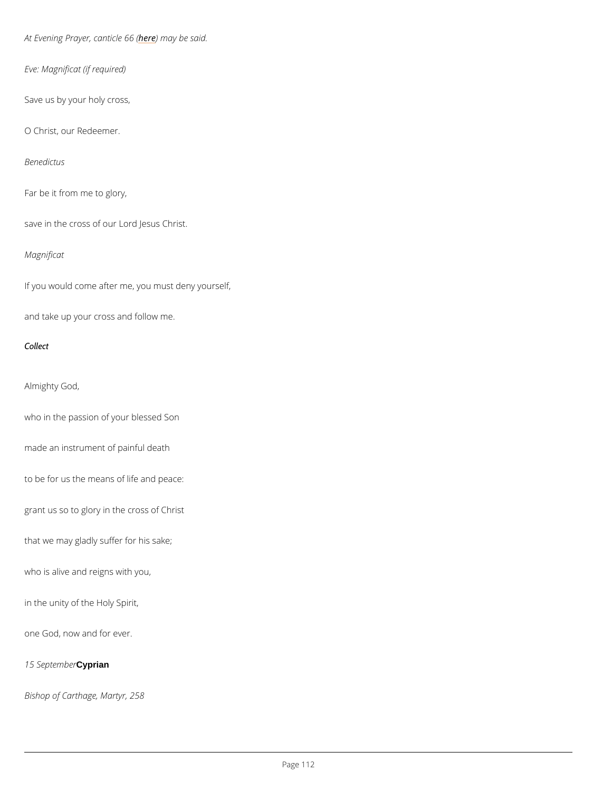At Evening Prayerheedenmiacyeb@e6s@id.

Eve: Magnificat (if required)

Save us by your holy cross,

O Christ, our Redeemer.

Benedictus

Far be it from me to glory,

save in the cross of our Lord Jesus Christ.

Magnificat

If you would come after me, you must deny yourself,

and take up your cross and follow me.

Collect

Almighty God,

who in the passion of your blessed Son

made an instrument of painful death

to be for us the means of life and peace:

grant us so to glory in the cross of Christ

that we may gladly suffer for his sake;

who is alive and reigns with you,

in the unity of the Holy Spirit,

one God, now and for ever.

15 Septemptiann

Bishop of Carthage, Martyr, 258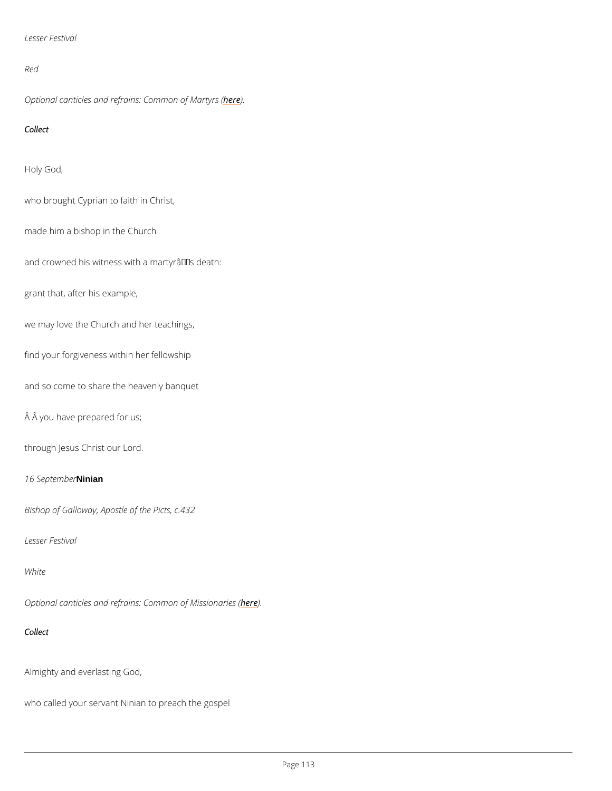```
Lesser Festival
```
# Red

Optional canticles and refrains: he dem mon of Martyrs (

Collect

Holy God,

who brought Cyprian to faith in Christ,

made him a bishop in the Church

and crowned his witness with a martyr $a \in \mathbb{M}$  s death:

grant that, after his example,

we may love the Church and her teachings,

find your forgiveness within her fellowship

and so come to share the heavenly banquet

Â you have prepared for us;

through Jesus Christ our Lord.

16 SepteMinibrer

Bishop of Galloway, Apostle of the Picts, c.432

Lesser Festival

White

Optional canticles and refrains: Comme meon of Missionaries (

Collect

Almighty and everlasting God,

who called your servant Ninian to preach the gospel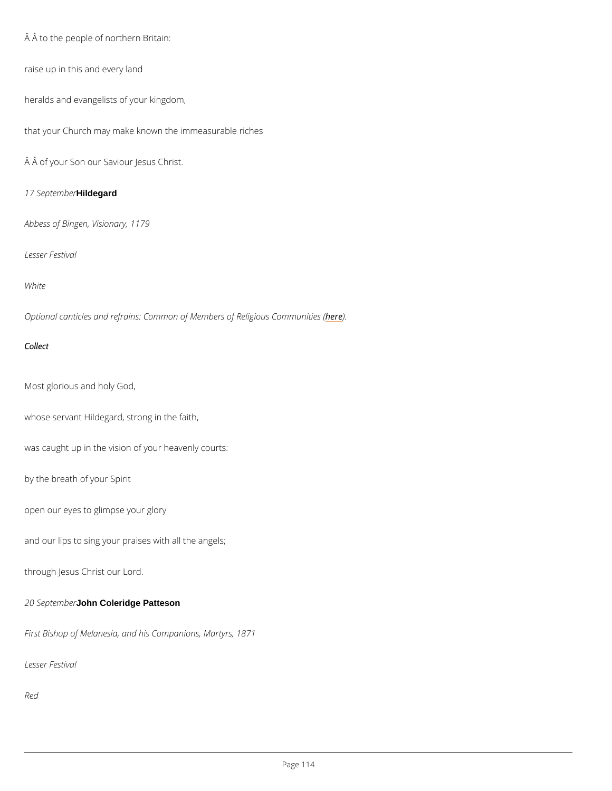Â to the people of northern Britain:

raise up in this and every land

heralds and evangelists of your kingdom,

that your Church may make known the immeasurable riches

Â of your Son our Saviour Jesus Christ.

17 SepteHindbgeard

Abbess of Bingen, Visionary, 1179

Lesser Festival

White

Optional canticles and refrains: Common of Member) es of Religious Communities (

Collect

Most glorious and holy God,

whose servant Hildegard, strong in the faith,

was caught up in the vision of your heavenly courts:

by the breath of your Spirit

open our eyes to glimpse your glory

and our lips to sing your praises with all the angels;

through Jesus Christ our Lord.

## 20 September Goleridge Patteson

First Bishop of Melanesia, and his Companions, Martyrs, 1871

Lesser Festival

Red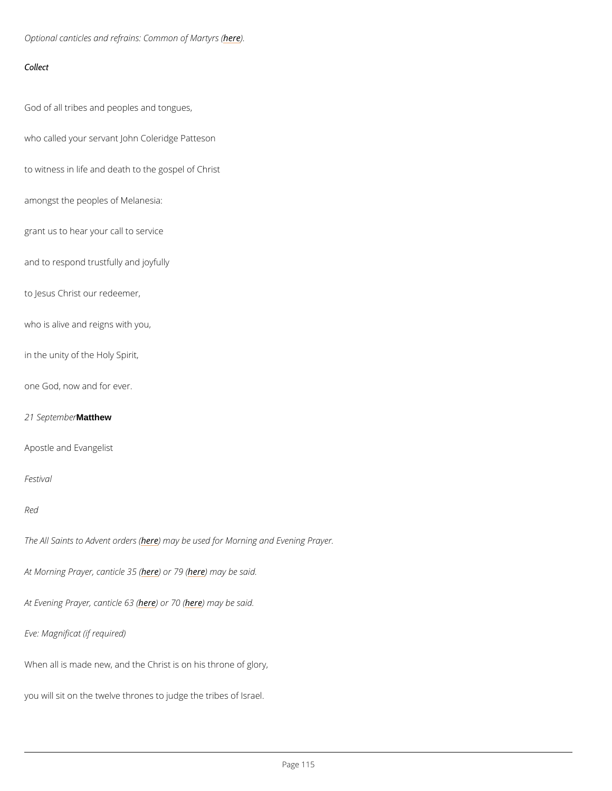Optional canticles and refrains: he dem mon of Martyrs (

Collect

God of all tribes and peoples and tongues,

who called your servant John Coleridge Patteson

to witness in life and death to the gospel of Christ

amongst the peoples of Melanesia:

grant us to hear your call to service

and to respond trustfully and joyfully

to Jesus Christ our redeemer,

who is alive and reigns with you,

in the unity of the Holy Spirit,

one God, now and for ever.

21 SepteMatthew

Apostle and Evangelist

Festival

Red

The All Saints to Ardev net may robeer sus (ed for Morning and Evening Prayer.

At Morning Prayer, hea) biol Te[le 3](/var/www/www.churchofengland.org/web/canticles-daily-prayer/79-te-deum-laudamus-song-church)16 m (ay be said.

At Evening Prayer<u>heedendichee</u> needor ay be said.

Eve: Magnificat (if required)

When all is made new, and the Christ is on his throne of glory,

you will sit on the twelve thrones to judge the tribes of Israel.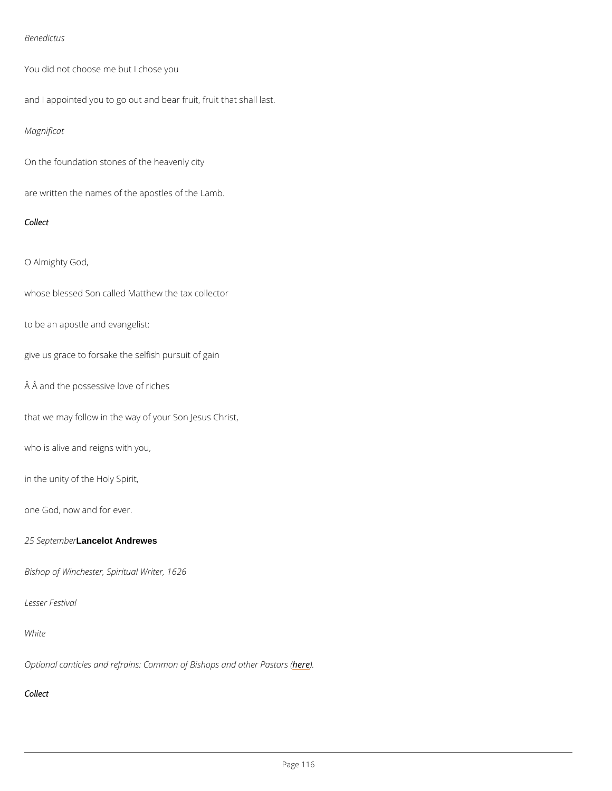### Benedictus

You did not choose me but I chose you

and I appointed you to go out and bear fruit, fruit that shall last.

Magnificat

On the foundation stones of the heavenly city

are written the names of the apostles of the Lamb.

Collect

O Almighty God,

whose blessed Son called Matthew the tax collector

to be an apostle and evangelist:

give us grace to forsake the selfish pursuit of gain

Â and the possessive love of riches

that we may follow in the way of your Son Jesus Christ,

who is alive and reigns with you,

in the unity of the Holy Spirit,

one God, now and for ever.

## 25 Septelandedot Andrewes

Bishop of Winchester, Spiritual Writer, 1626

## Lesser Festival

White

# Optional canticles and refrains: Common oher bightops and other Pastors (

Collect

Page 16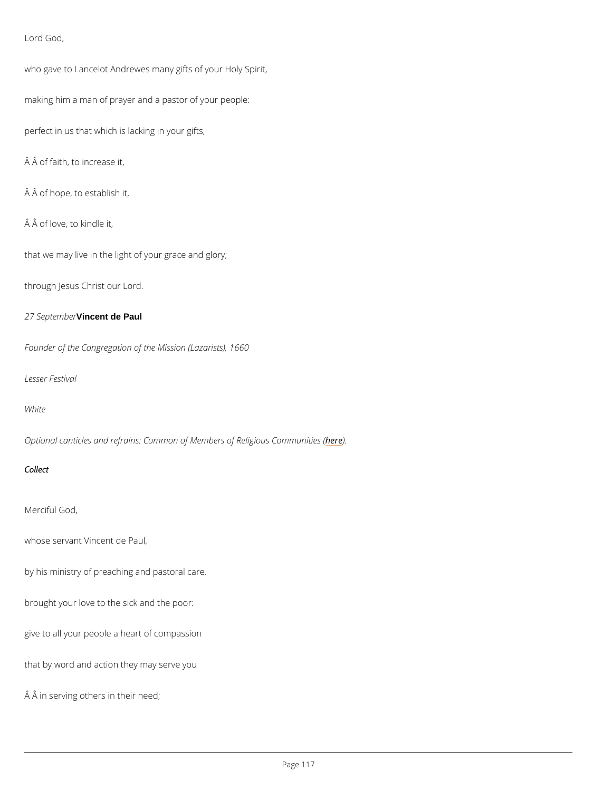Lord God,

who gave to Lancelot Andrewes many gifts of your Holy Spirit,

making him a man of prayer and a pastor of your people:

perfect in us that which is lacking in your gifts,

 $\hat{A}$   $\hat{A}$  of faith, to increase it,

 $\hat{A}$   $\hat{A}$  of hope, to establish it,

 $\hat{A}$   $\hat{A}$  of love, to kindle it,

that we may live in the light of your grace and glory;

through Jesus Christ our Lord.

27 SepteVindenet rde Paul

Founder of the Congregation of the Mission (Lazarists), 1660

Lesser Festival

### White

Optional canticles and refrains: Common of Member) es of Religious Communities (

Collect

Merciful God,

whose servant Vincent de Paul,

by his ministry of preaching and pastoral care,

brought your love to the sick and the poor:

give to all your people a heart of compassion

that by word and action they may serve you

Â in serving others in their need;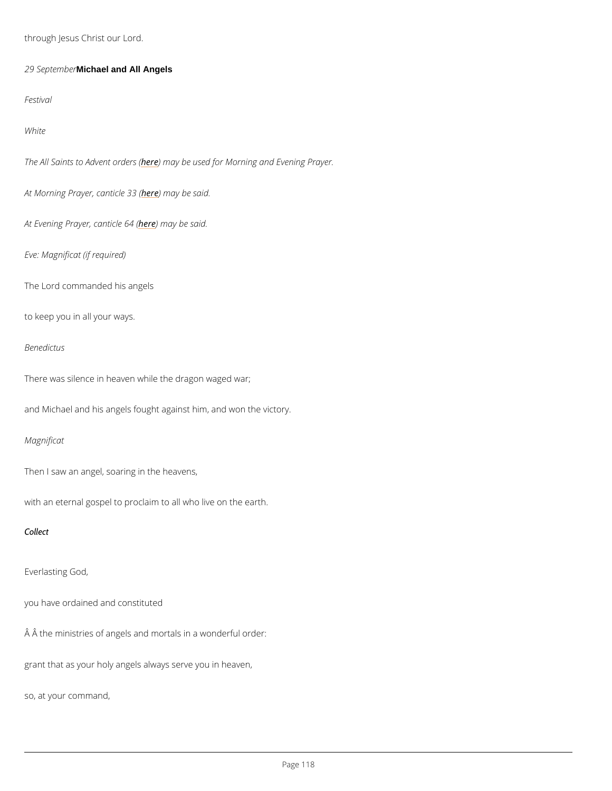through Jesus Christ our Lord.

29 SepteMichaelrand All Angels

Festival

White

The All Saints to Ardevreemt a grother sus (ed for Morning and Evening Prayer.

At Morning Prayer, heane thin a he been said.

At Evening Prayerheedenmiacyeb@4s&id.

Eve: Magnificat (if required)

The Lord commanded his angels

to keep you in all your ways.

Benedictus

There was silence in heaven while the dragon waged war;

and Michael and his angels fought against him, and won the victory.

Magnificat

Then I saw an angel, soaring in the heavens,

with an eternal gospel to proclaim to all who live on the earth.

Collect

Everlasting God,

# you have ordained and constituted

 $\hat{A}$   $\hat{A}$  the ministries of angels and mortals in a wonderful order:

grant that as your holy angels always serve you in heaven,

so, at your command,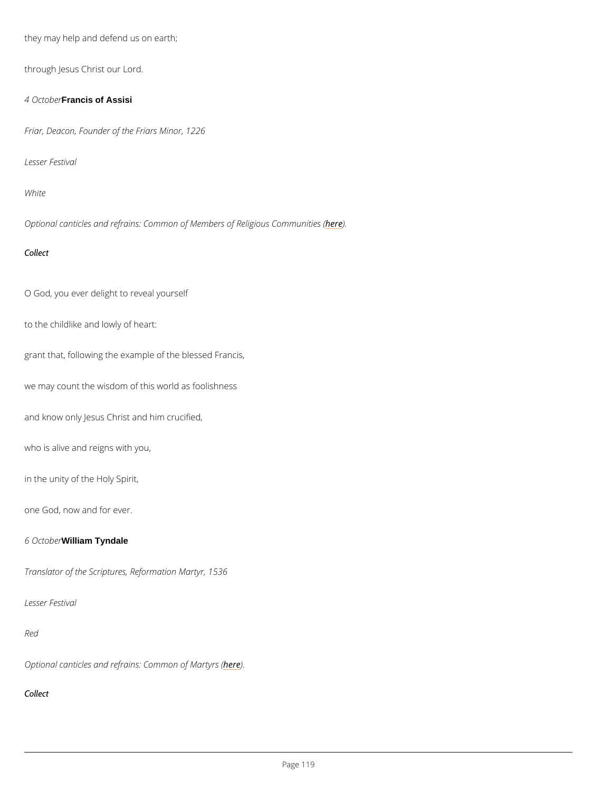they may help and defend us on earth;

through Jesus Christ our Lord.

4 Oct Francis of Assisi

Friar, Deacon, Founder of the Friars Minor, 1226

Lesser Festival

White

Optional canticles and refrains: Common of Member) es of Religious Communities (

Collect

O God, you ever delight to reveal yourself

to the childlike and lowly of heart:

grant that, following the example of the blessed Francis,

we may count the wisdom of this world as foolishness

and know only Jesus Christ and him crucified,

who is alive and reigns with you,

in the unity of the Holy Spirit,

one God, now and for ever.

6 Oct William Tyndale

Translator of the Scriptures, Reformation Martyr, 1536

## Lesser Festival

Red

# Optional canticles and refrains: hedem mon of Martyrs (

Collect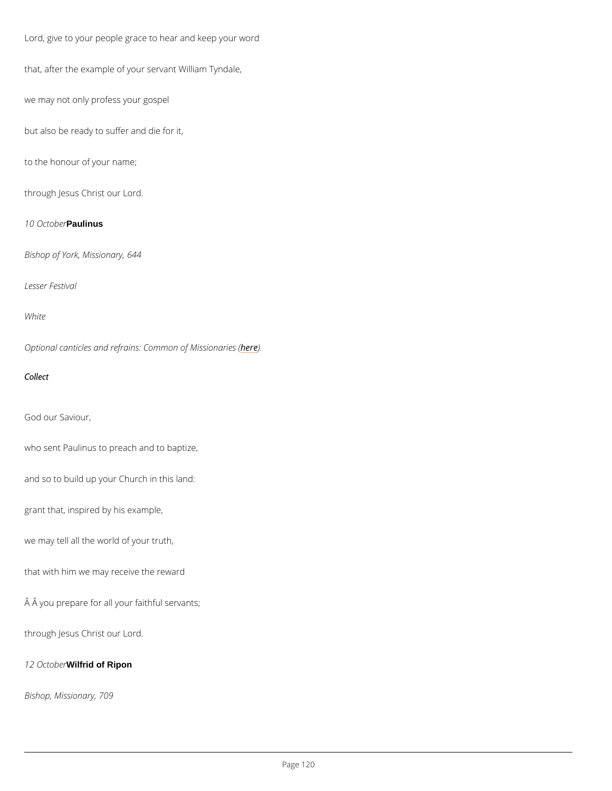Lord, give to your people grace to hear and keep your word

that, after the example of your servant William Tyndale,

we may not only profess your gospel

but also be ready to suffer and die for it,

to the honour of your name;

through Jesus Christ our Lord.

10 Oct**Paulinus** 

Bishop of York, Missionary, 644

Lesser Festival

White

Optional canticles and refrains: Comment of Missionaries (

Collect

God our Saviour,

who sent Paulinus to preach and to baptize,

and so to build up your Church in this land:

grant that, inspired by his example,

we may tell all the world of your truth,

that with him we may receive the reward

Â you prepare for all your faithful servants;

through Jesus Christ our Lord.

12 Oct Will freidrof Ripon

Bishop, Missionary, 709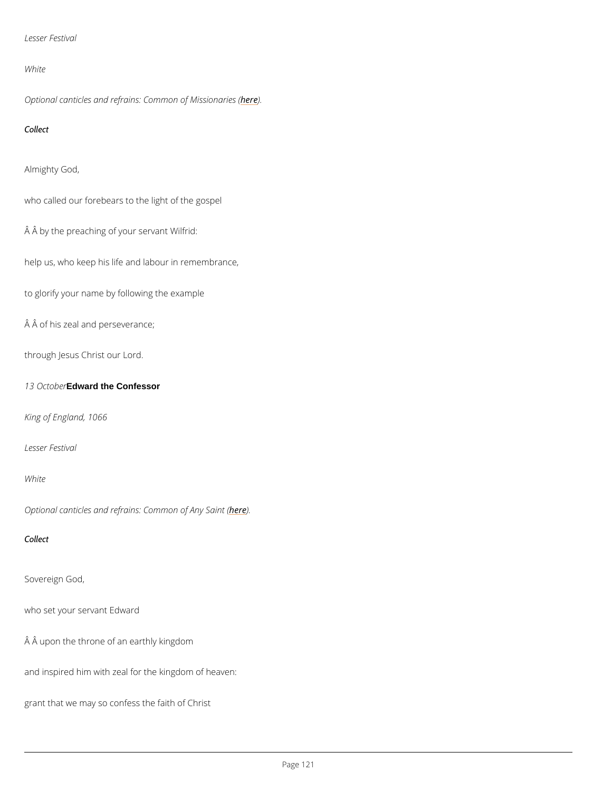```
Lesser Festival
```
White

Optional canticles and refrains: Comment of Missionaries (

Collect

Almighty God,

who called our forebears to the light of the gospel

Â by the preaching of your servant Wilfrid:

help us, who keep his life and labour in remembrance,

to glorify your name by following the example

 $\hat{A}$   $\hat{A}$  of his zeal and perseverance;

through Jesus Christ our Lord.

13 Oct**Edward** the Confessor

King of England, 1066

Lesser Festival

White

Optional canticles and refrains: **Ceme**mon of Any Saint (

Collect

Sovereign God,

who set your servant Edward

Â upon the throne of an earthly kingdom

and inspired him with zeal for the kingdom of heaven:

grant that we may so confess the faith of Christ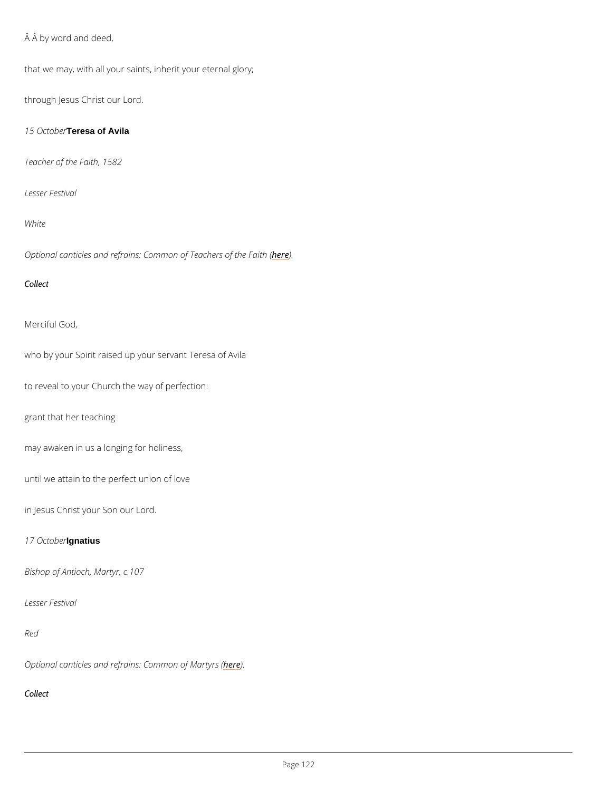$\hat{A}$   $\hat{A}$  by word and deed,

that we may, with all your saints, inherit your eternal glory;

through Jesus Christ our Lord.

15 Oct Tebessa of Avila

Teacher of the Faith, 1582

Lesser Festival

White

Optional canticles and refrains: Commoheo) E Teachers of the Faith (

Collect

Merciful God,

who by your Spirit raised up your servant Teresa of Avila

to reveal to your Church the way of perfection:

grant that her teaching

may awaken in us a longing for holiness,

until we attain to the perfect union of love

in Jesus Christ your Son our Lord.

# 17 Octloghadeiurs

Bishop of Antioch, Martyr, c.107

## Lesser Festival

Red

# Optional canticles and refrains: hedem mon of Martyrs (

Collect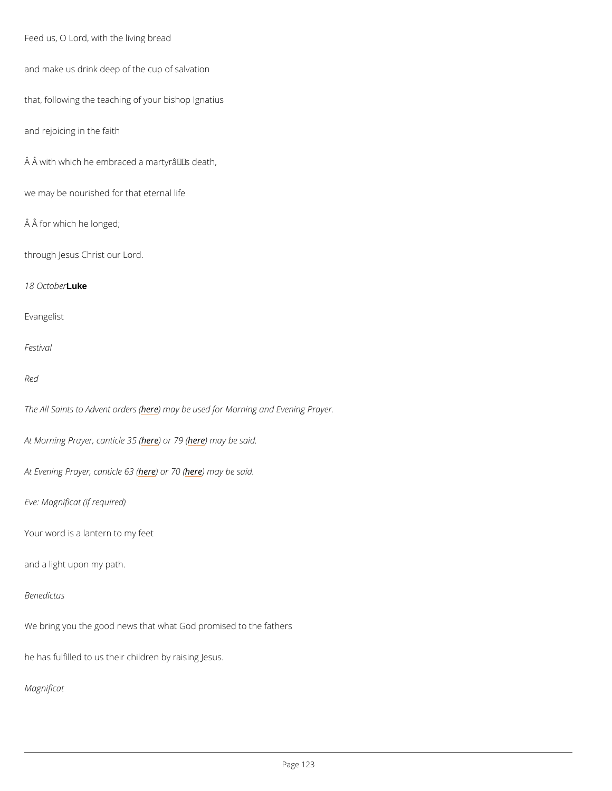```
Feed us, O Lord, with the living bread
```
and make us drink deep of the cup of salvation

that, following the teaching of your bishop Ignatius

and rejoicing in the faith

 $\hat{A}$   $\hat{A}$  with which he embraced a martyrâ $\epsilon$ <sup>TM</sup>s death,

we may be nourished for that eternal life

Â for which he longed;

through Jesus Christ our Lord.

18 Octloukeer

Evangelist

Festival

Red

The All Saints to Ardev net may robeer sus (ed for Morning and Evening Prayer.

At Morning Prayer, heane bind the 30 m (ay be said.

At Evening Prayer here) and riche free 3 m (a y be said.

Eve: Magnificat (if required)

Your word is a lantern to my feet

and a light upon my path.

We bring you the good news that what God promised to the fathers

he has fulfilled to us their children by raising Jesus.

Magnificat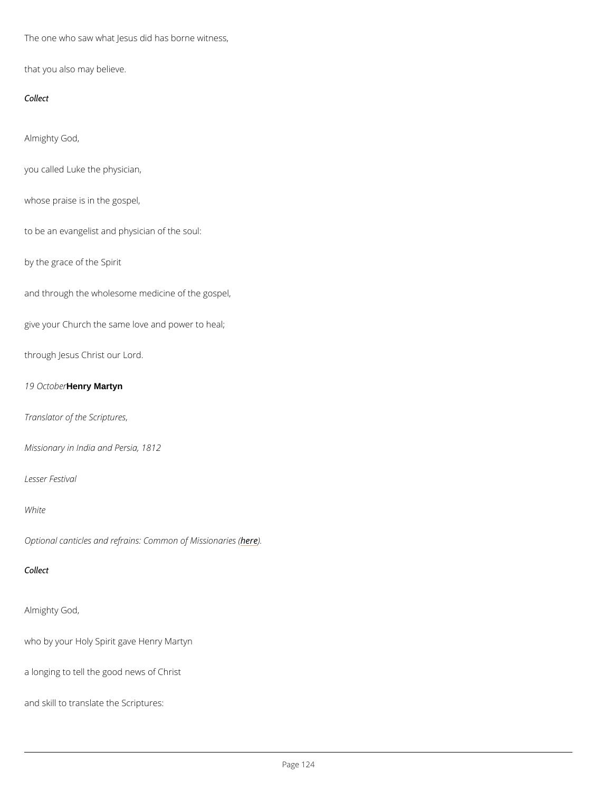The one who saw what Jesus did has borne witness,

that you also may believe.

Collect

Almighty God,

you called Luke the physician,

whose praise is in the gospel,

to be an evangelist and physician of the soul:

by the grace of the Spirit

and through the wholesome medicine of the gospel,

give your Church the same love and power to heal;

through Jesus Christ our Lord.

19 Oct deneyrMartyn

Translator of the Scriptures ,

Missionary in India and Persia, 1812

Lesser Festival

White

Optional canticles and refrains: Comme meon of Missionaries (

Collect

```
Almighty God,
```
who by your Holy Spirit gave Henry Martyn

a longing to tell the good news of Christ

and skill to translate the Scriptures: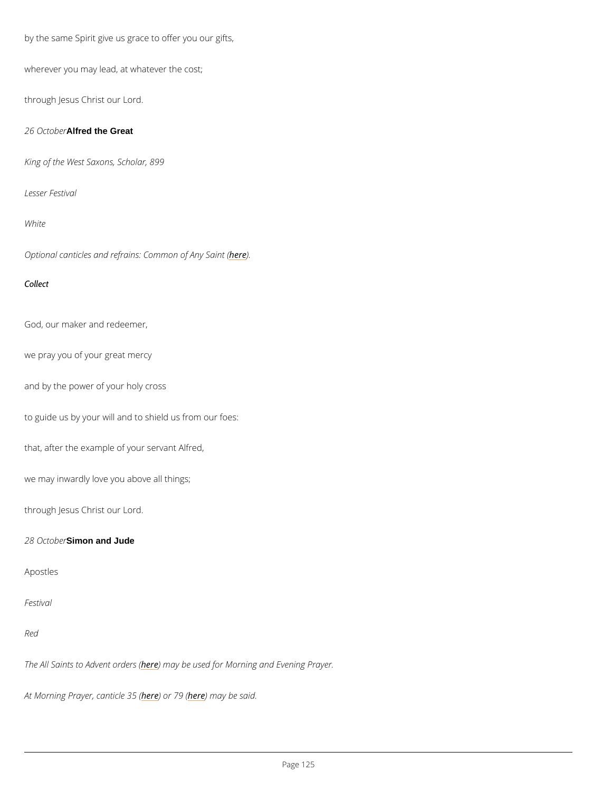by the same Spirit give us grace to offer you our gifts,

wherever you may lead, at whatever the cost;

through Jesus Christ our Lord.

26 Oct Altreathe Great

King of the West Saxons, Scholar, 899

Lesser Festival

White

Optional canticles and refrains: **Ceme**mon of Any Saint (

Collect

God, our maker and redeemer,

we pray you of your great mercy

and by the power of your holy cross

to guide us by your will and to shield us from our foes:

that, after the example of your servant Alfred,

we may inwardly love you above all things;

through Jesus Christ our Lord.

28 OctSimon and Jude

Apostles

Red

The All Saints to Ahdevitent adyrobeersus (ed for Morning and Evening Prayer.

At Morning Prayer, hea) a binclose 3% 6 m (ay be said.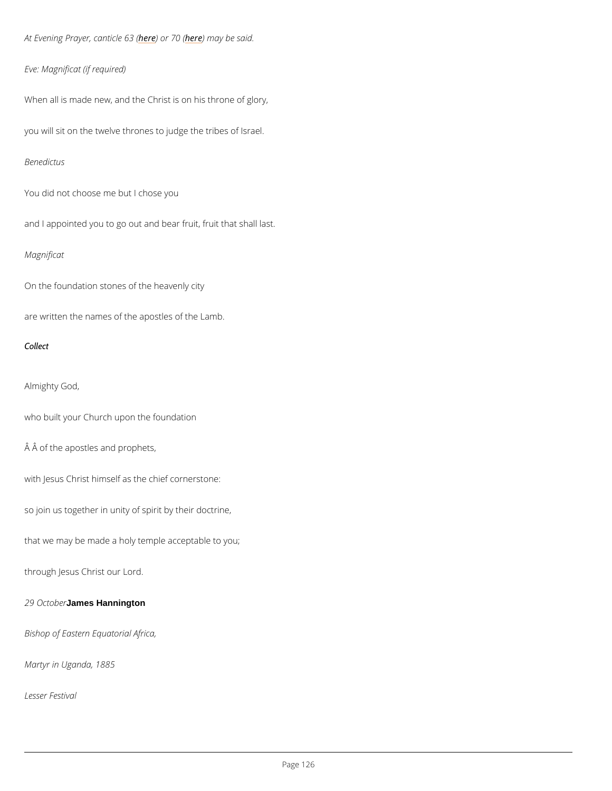At Evening Prayer here) and rche neam (ay be said.

Eve: Magnificat (if required)

When all is made new, and the Christ is on his throne of glory,

you will sit on the twelve thrones to judge the tribes of Israel.

Benedictus

You did not choose me but I chose you

and I appointed you to go out and bear fruit, fruit that shall last.

Magnificat

On the foundation stones of the heavenly city

are written the names of the apostles of the Lamb.

Collect

Almighty God,

who built your Church upon the foundation

Â of the apostles and prophets,

with Jesus Christ himself as the chief cornerstone:

so join us together in unity of spirit by their doctrine,

that we may be made a holy temple acceptable to you;

through Jesus Christ our Lord.

## 29 Octdames Hannington

Bishop of Eastern Equatorial Africa,

Martyr in Uganda, 1885

Lesser Festival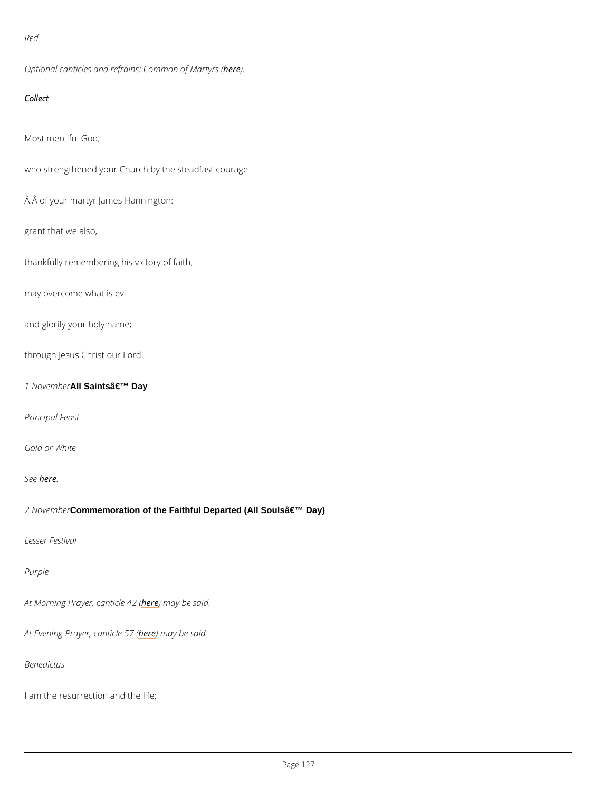```
Red
```
Optional canticles and refrains: heddenmon of Martyrs (

Collect

Most merciful God,

who strengthened your Church by the steadfast courage

Â of your martyr James Hannington:

grant that we also,

thankfully remembering his victory of faith,

may overcome what is evil

and glorify your holy name;

through Jesus Christ our Lord.

1 Nove mNIbSeaints' Day

Principal Feast

Gold or White

## Seber.e

2 Nove © Commemoration of the Faithful Departed (All Souls a €<sup>™</sup> Day)

Lesser Festival

Purple

At Morning Prayer, heane thin a by e ble 2 s(aid.

At Evening Prayerheedenmiacyeb 57s (aid.

Benedictus

I am the resurrection and the life;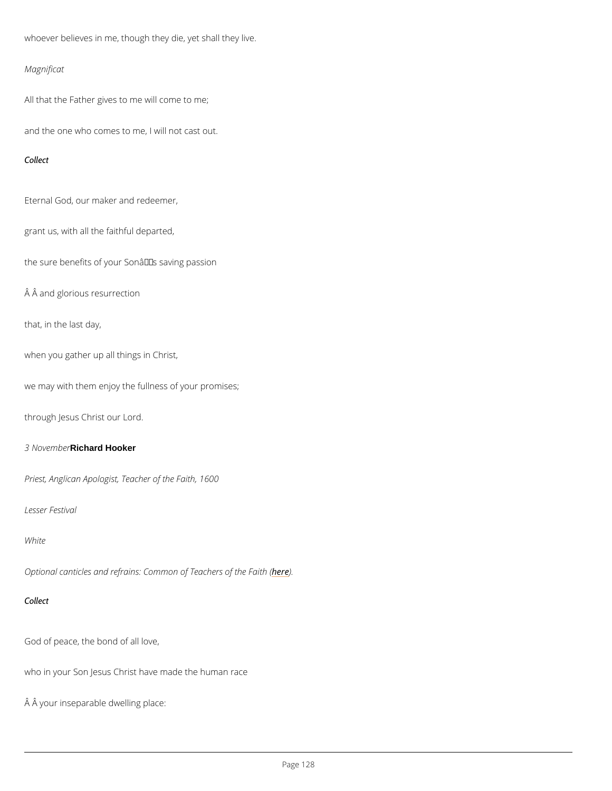whoever believes in me, though they die, yet shall they live.

Magnificat

All that the Father gives to me will come to me;

and the one who comes to me, I will not cast out.

Collect

Eternal God, our maker and redeemer,

grant us, with all the faithful departed,

the sure benefits of your Son $\hat{\mathbf{a}} \in \mathbb{M}$ s saving passion

Â and glorious resurrection

that, in the last day,

when you gather up all things in Christ,

we may with them enjoy the fullness of your promises;

through Jesus Christ our Lord.

3 Nove Richard Hooker

Priest, Anglican Apologist, Teacher of the Faith, 1600

Lesser Festival

White

Optional canticles and refrains: Commoheo) E Teachers of the Faith (

God of peace, the bond of all love,

who in your Son Jesus Christ have made the human race

Â your inseparable dwelling place: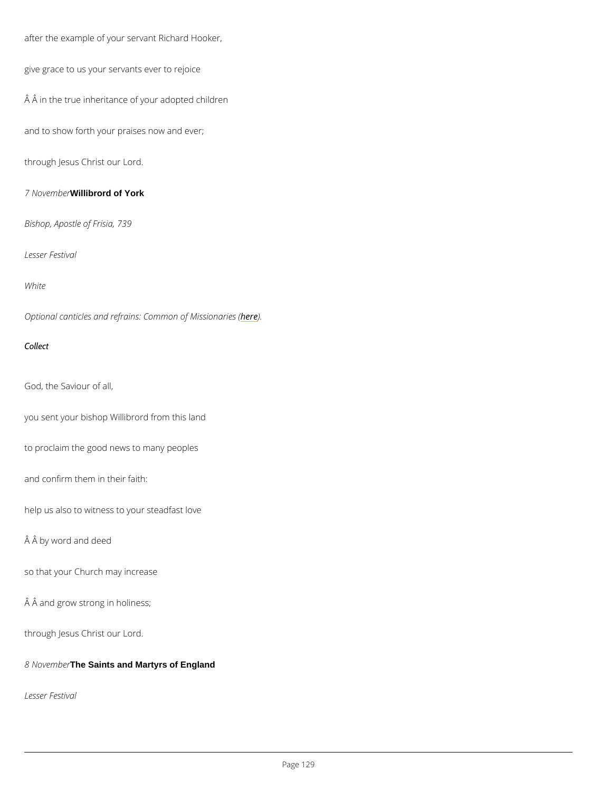after the example of your servant Richard Hooker,

give grace to us your servants ever to rejoice

Â in the true inheritance of your adopted children

and to show forth your praises now and ever;

through Jesus Christ our Lord.

7 Novem Willibrord of York

Bishop, Apostle of Frisia, 739

Lesser Festival

White

Optional canticles and refrains: Comment of Missionaries (

Collect

God, the Saviour of all,

you sent your bishop Willibrord from this land

to proclaim the good news to many peoples

and confirm them in their faith:

help us also to witness to your steadfast love

 $\hat{A}$   $\hat{A}$  by word and deed

so that your Church may increase

Â and grow strong in holiness;

through Jesus Christ our Lord.

8 November Saints and Martyrs of England

Lesser Festival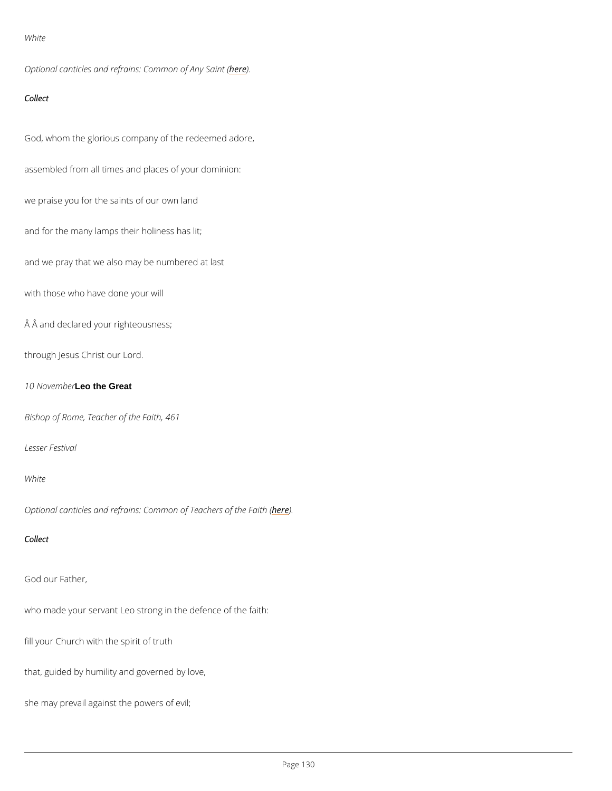### White

Optional canticles and refrains: **Ceme**mon of Any Saint (

Collect

God, whom the glorious company of the redeemed adore,

assembled from all times and places of your dominion:

we praise you for the saints of our own land

and for the many lamps their holiness has lit;

and we pray that we also may be numbered at last

with those who have done your will

 $\hat{A}$   $\hat{A}$  and declared your righteousness;

through Jesus Christ our Lord.

10 Novelmether Great

Bishop of Rome, Teacher of the Faith, 461

Lesser Festival

### White

Optional canticles and refrains: Commoheo) E Teachers of the Faith (

Collect

God our Father,

who made your servant Leo strong in the defence of the faith:

fill your Church with the spirit of truth

that, guided by humility and governed by love,

she may prevail against the powers of evil;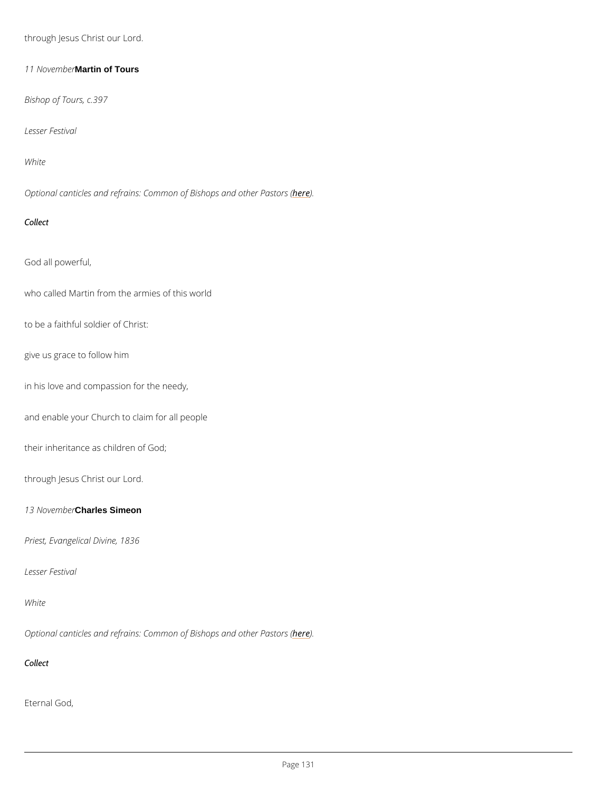through Jesus Christ our Lord.

11 NoveMatrie of Tours

Bishop of Tours, c.397

Lesser Festival

White

Optional canticles and refrains: Common oher end other Pastors (

Collect

God all powerful,

who called Martin from the armies of this world

to be a faithful soldier of Christ:

give us grace to follow him

in his love and compassion for the needy,

and enable your Church to claim for all people

their inheritance as children of God;

through Jesus Christ our Lord.

13 NoveCharles Simeon

Priest, Evangelical Divine, 1836

Lesser Festival



Optional canticles and refrains: Common on **Brishops** and other Pastors (

Collect

Eternal God,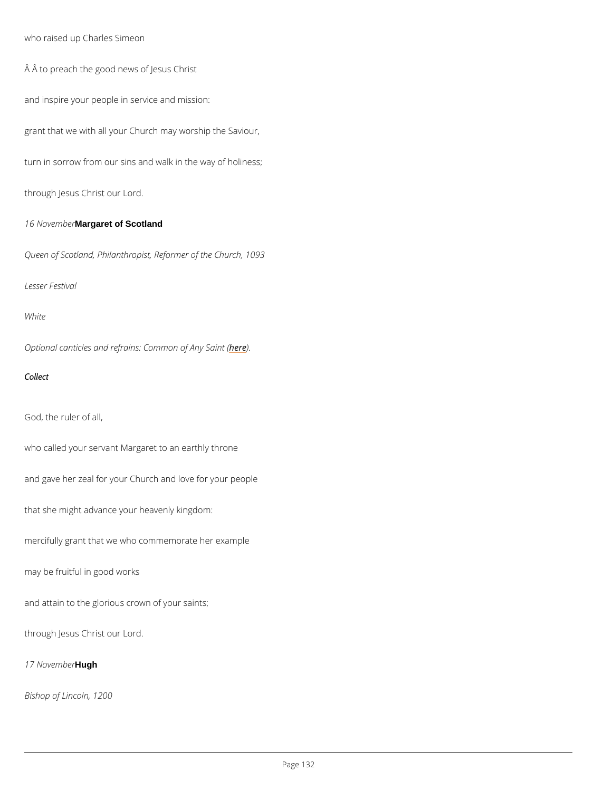who raised up Charles Simeon

Â to preach the good news of Jesus Christ

and inspire your people in service and mission:

grant that we with all your Church may worship the Saviour,

turn in sorrow from our sins and walk in the way of holiness;

through Jesus Christ our Lord.

16 NoveMabgaret of Scotland

Queen of Scotland, Philanthropist, Reformer of the Church, 1093

Lesser Festival

White

Optional canticles and refrains: **Ceme**mon of Any Saint (

Collect

God, the ruler of all,

who called your servant Margaret to an earthly throne

and gave her zeal for your Church and love for your people

that she might advance your heavenly kingdom:

mercifully grant that we who commemorate her example

may be fruitful in good works

and attain to the glorious crown of your saints;

through Jesus Christ our Lord.

17 Novelmlugher

Bishop of Lincoln, 1200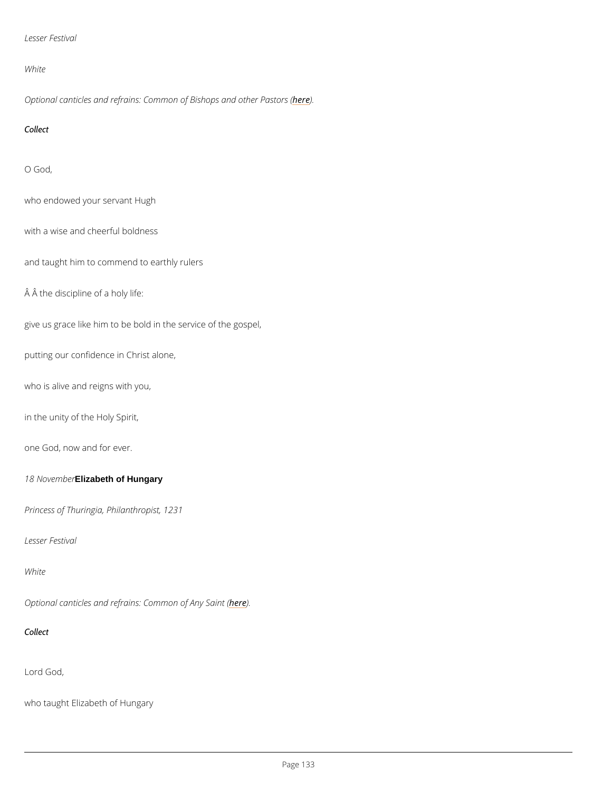```
Lesser Festival
```
White

Optional canticles and refrains: Common oher bighes and other Pastors (

Collect

O God,

who endowed your servant Hugh

with a wise and cheerful boldness

and taught him to commend to earthly rulers

Â the discipline of a holy life:

give us grace like him to be bold in the service of the gospel,

putting our confidence in Christ alone,

who is alive and reigns with you,

in the unity of the Holy Spirit,

one God, now and for ever.

18 NoveEnlizabeth of Hungary

Princess of Thuringia, Philanthropist, 1231

Lesser Festival

White

Optional canticles and refrains: Commemon of Any Saint (

Collect

Lord God,

who taught Elizabeth of Hungary

Page 33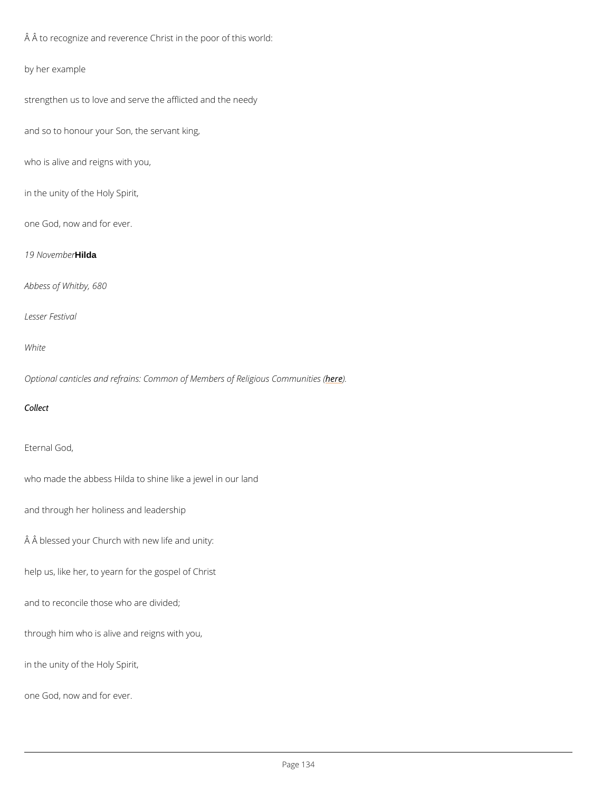Â to recognize and reverence Christ in the poor of this world:

by her example

strengthen us to love and serve the afflicted and the needy

and so to honour your Son, the servant king,

who is alive and reigns with you,

in the unity of the Holy Spirit,

one God, now and for ever.

19 Novembudger

Abbess of Whitby, 680

Lesser Festival

White

Optional canticles and refrains: Common of Member) es of Religious Communities (

Collect

Eternal God,

who made the abbess Hilda to shine like a jewel in our land

and through her holiness and leadership

Â blessed your Church with new life and unity:

help us, like her, to yearn for the gospel of Christ

and to reconcile those who are divided;

through him who is alive and reigns with you,

in the unity of the Holy Spirit,

one God, now and for ever.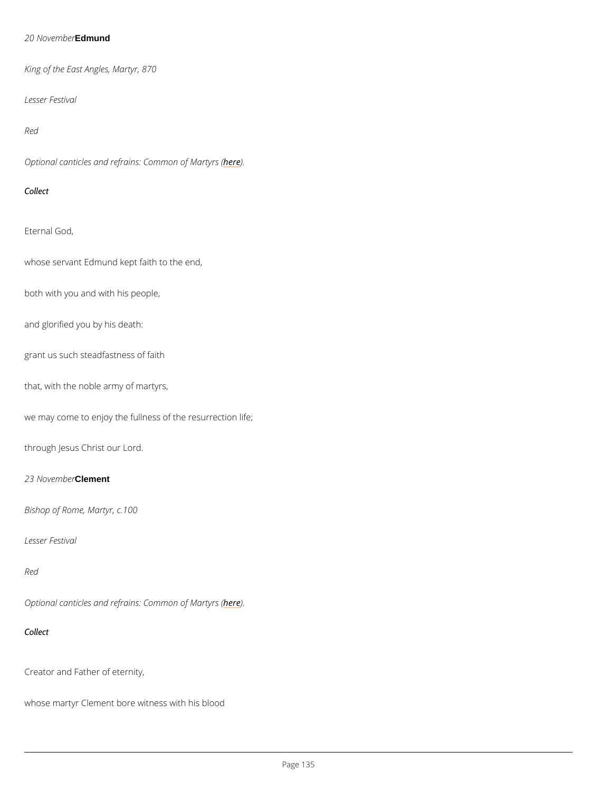## 20 NoveEndmund

King of the East Angles, Martyr, 870

Lesser Festival

Red

Optional canticles and refrains: he dem mon of Martyrs (

Collect

Eternal God,

whose servant Edmund kept faith to the end,

both with you and with his people,

and glorified you by his death:

grant us such steadfastness of faith

that, with the noble army of martyrs,

we may come to enjoy the fullness of the resurrection life;

through Jesus Christ our Lord.

23 NoveChebneent

Bishop of Rome, Martyr, c.100

Lesser Festival

Red

Optional canticles and refrains: he dem mon of Martyrs (

Collect

Creator and Father of eternity,

whose martyr Clement bore witness with his blood

Page 35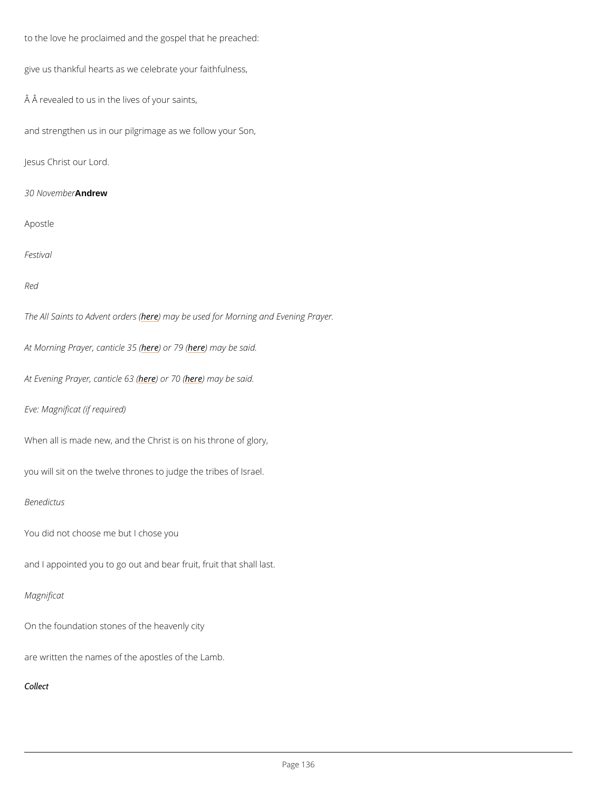to the love he proclaimed and the gospel that he preached:

give us thankful hearts as we celebrate your faithfulness,

 $\hat{A}$   $\hat{A}$  revealed to us in the lives of your saints,

and strengthen us in our pilgrimage as we follow your Son,

Jesus Christ our Lord.

30 Nove Annubrew

Apostle

Festival

Red

The All Saints to Ahdevmeent aayrobeersus (ed for Morning and Evening Prayer.

At Morning Prayer, heape bircle 26 (6 m (ay be said.

At Evening Prayerheedendiche nighed may be said.

Eve: Magnificat (if required)

When all is made new, and the Christ is on his throne of glory,

you will sit on the twelve thrones to judge the tribes of Israel.

Benedictus

You did not choose me but I chose you

and I appointed you to go out and bear fruit, fruit that shall last.

# Magnificat

On the foundation stones of the heavenly city

are written the names of the apostles of the Lamb.

Collect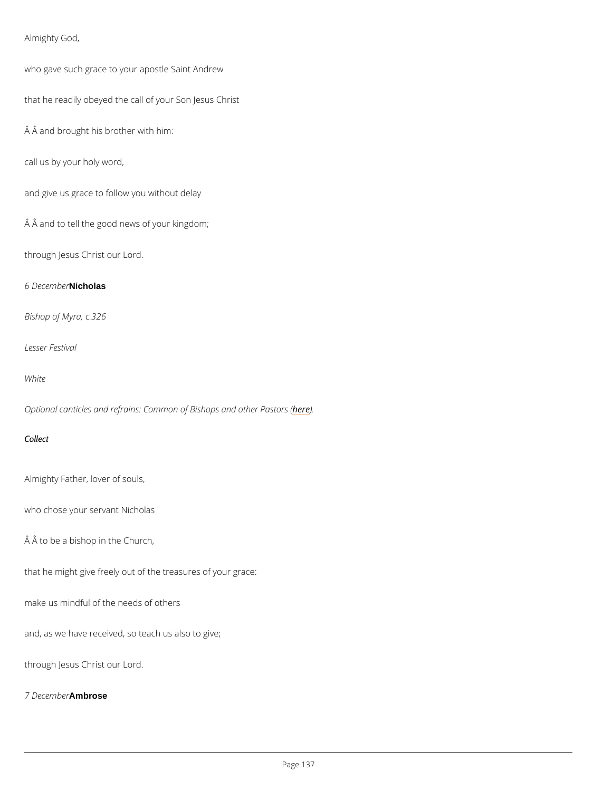Almighty God,

who gave such grace to your apostle Saint Andrew

that he readily obeyed the call of your Son Jesus Christ

Â and brought his brother with him:

call us by your holy word,

and give us grace to follow you without delay

 $\hat{A}$   $\hat{A}$  and to tell the good news of your kingdom;

through Jesus Christ our Lord.

 $6$  December  $6$  December  $6$ 

Bishop of Myra, c.326

Lesser Festival

White

Optional canticles and refrains: Common oher bightops and other Pastors (

Collect

Almighty Father, lover of souls,

who chose your servant Nicholas

Â to be a bishop in the Church,

that he might give freely out of the treasures of your grace:

make us mindful of the needs of others

and, as we have received, so teach us also to give;

through Jesus Christ our Lord.

7 December se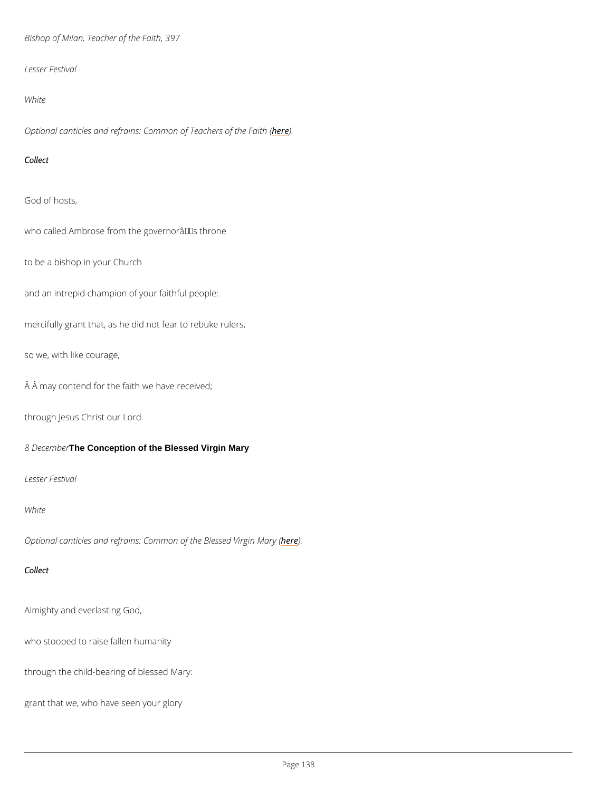Bishop of Milan, Teacher of the Faith, 397

Lesser Festival

White

Optional canticles and refrains: Commoheo) E Teachers of the Faith (

Collect

God of hosts,

who called Ambrose from the governor  $\hat{a} \in \text{TM}$  s throne

to be a bishop in your Church

and an intrepid champion of your faithful people:

mercifully grant that, as he did not fear to rebuke rulers,

so we, with like courage,

Â may contend for the faith we have received;

through Jesus Christ our Lord.

8 Dece The Conception of the Blessed Virgin Mary

Lesser Festival

White

Optional canticles and refrains: Common hoefr) the Blessed Virgin Mary (

Collect

Almighty and everlasting God,

who stooped to raise fallen humanity

through the child-bearing of blessed Mary:

grant that we, who have seen your glory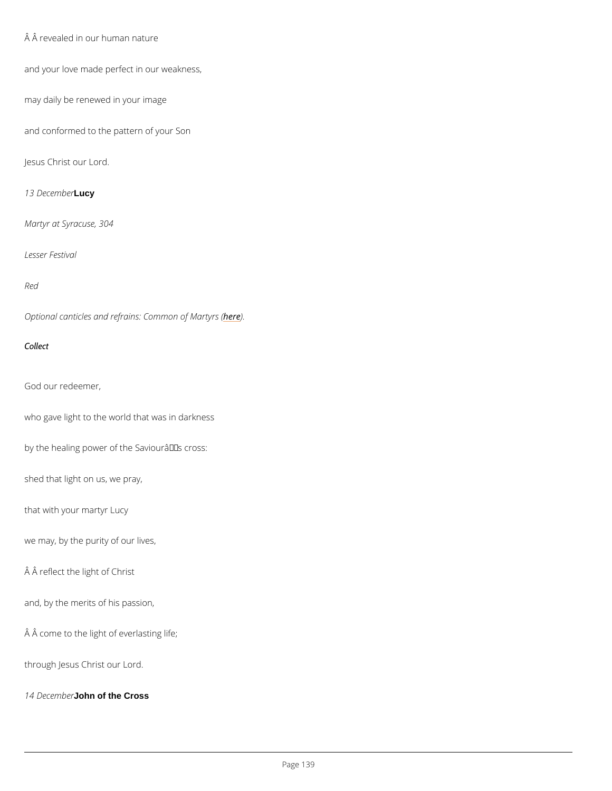```
 Â revealed in our human nature
```
and your love made perfect in our weakness,

may daily be renewed in your image

and conformed to the pattern of your Son

Jesus Christ our Lord.

13 DeceLmadyer

Martyr at Syracuse, 304

Lesser Festival

Red

Optional canticles and refrains: hedem mon of Martyrs (

Collect

God our redeemer,

who gave light to the world that was in darkness

by the healing power of the Saviourâ $\epsilon$ <sup>TM</sup>s cross:

shed that light on us, we pray,

that with your martyr Lucy

we may, by the purity of our lives,

Â reflect the light of Christ

and, by the merits of his passion,

 $\hat{A}$   $\hat{A}$  come to the light of everlasting life;

through Jesus Christ our Lord.

14 Decelonhon of the Cross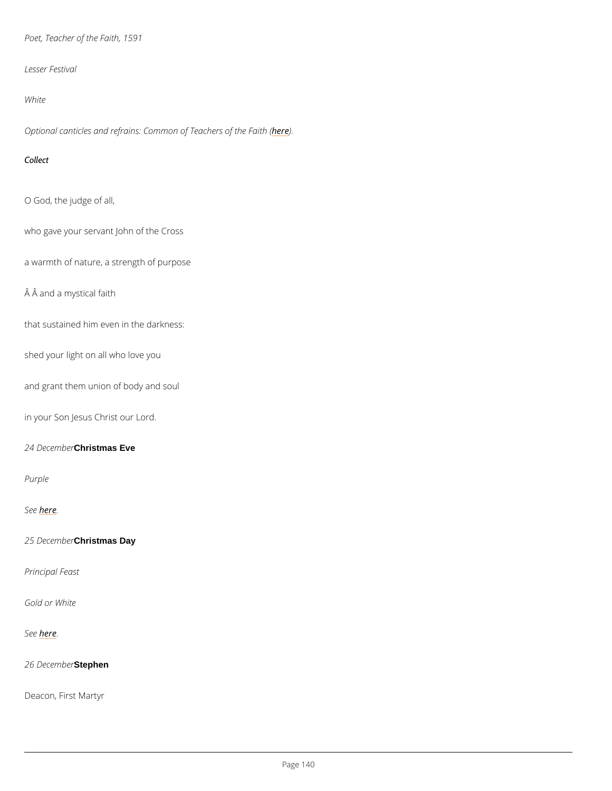Poet, Teacher of the Faith, 1591

Lesser Festival

White

Optional canticles and refrains: Commoheo) E Teachers of the Faith (

Collect

O God, the judge of all,

who gave your servant John of the Cross

a warmth of nature, a strength of purpose

Â and a mystical faith

that sustained him even in the darkness:

shed your light on all who love you

and grant them union of body and soul

in your Son Jesus Christ our Lord.

24 DeceChritistemas Eve

Purple

Seber.e

25 DeceChritistemas Day

Principal Feast

Gold or White

Seber.e

26 DeceStephen

Deacon, First Martyr

 $P$ ag  $640$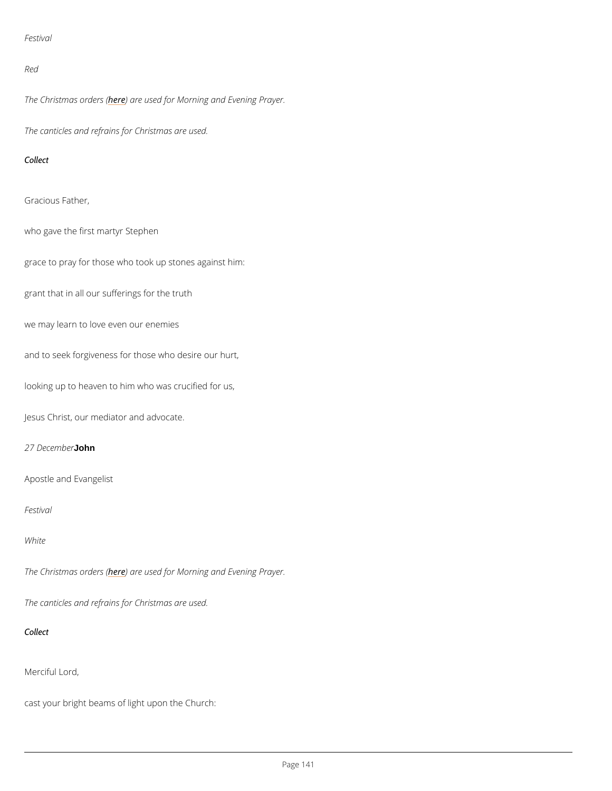## Festival

### Red

The Christmash expredeerres used for Morning and Evening Prayer.

The canticles and refrains for Christmas are used.

Collect

Gracious Father,

who gave the first martyr Stephen

grace to pray for those who took up stones against him:

grant that in all our sufferings for the truth

we may learn to love even our enemies

and to seek forgiveness for those who desire our hurt,

looking up to heaven to him who was crucified for us,

Jesus Christ, our mediator and advocate.

### 27 Decembrer

Apostle and Evangelist

Festival

White

The Christmash expredeerres used for Morning and Evening Prayer.

The canticles and refrains for Christmas are used.

Collect

Merciful Lord,

cast your bright beams of light upon the Church: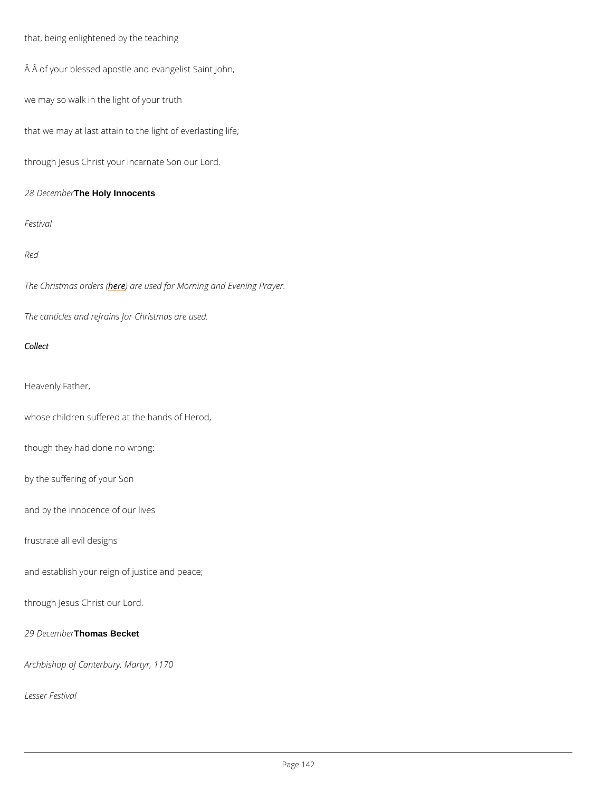that, being enlightened by the teaching

Â of your blessed apostle and evangelist Saint John,

we may so walk in the light of your truth

that we may at last attain to the light of everlasting life;

through Jesus Christ your incarnate Son our Lord.

28 DeceTrhebHeaty Innocents

Festival

Red

The Christmash expredeerres used for Morning and Evening Prayer.

The canticles and refrains for Christmas are used.

Collect

Heavenly Father,

whose children suffered at the hands of Herod,

though they had done no wrong:

by the suffering of your Son

and by the innocence of our lives

frustrate all evil designs

and establish your reign of justice and peace;

through Jesus Christ our Lord.

29 DeceThomas Becket

Archbishop of Canterbury, Martyr, 1170

Lesser Festival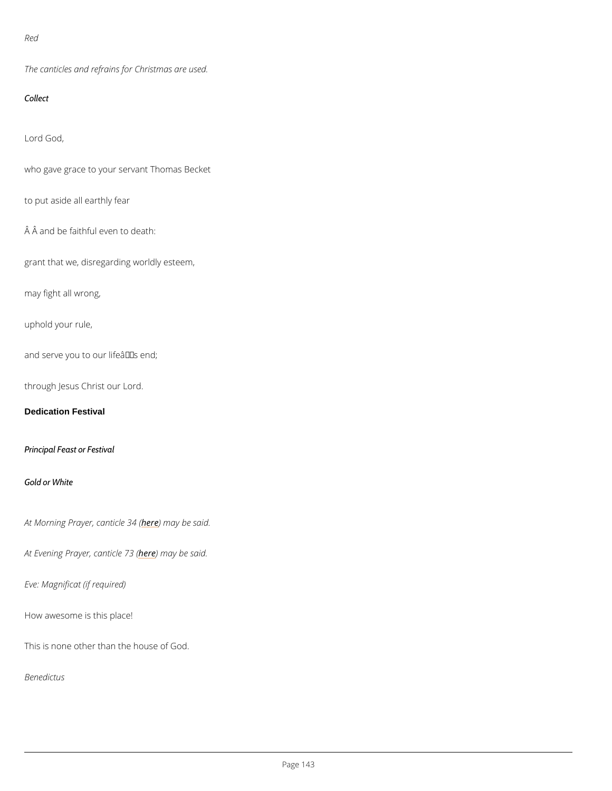Red

The canticles and refrains for Christmas are used.

Collect

Lord God,

who gave grace to your servant Thomas Becket

to put aside all earthly fear

 $\hat{A}$   $\hat{A}$  and be faithful even to death:

grant that we, disregarding worldly esteem,

may fight all wrong,

uphold your rule,

and serve you to our life  $a \in \mathbb{M}$  s end;

through Jesus Christ our Lord.

Dedication Festival

Principal Feast or Festival

Gold or White

At Morning Prayer, heane thin a by both s(aid.

At Evening Prayerheeden miacyeb 23 said.

Eve: Magnificat (if required)

How awesome is this place!

This is none other than the house of God.

Benedictus

 $P$ ag  $643$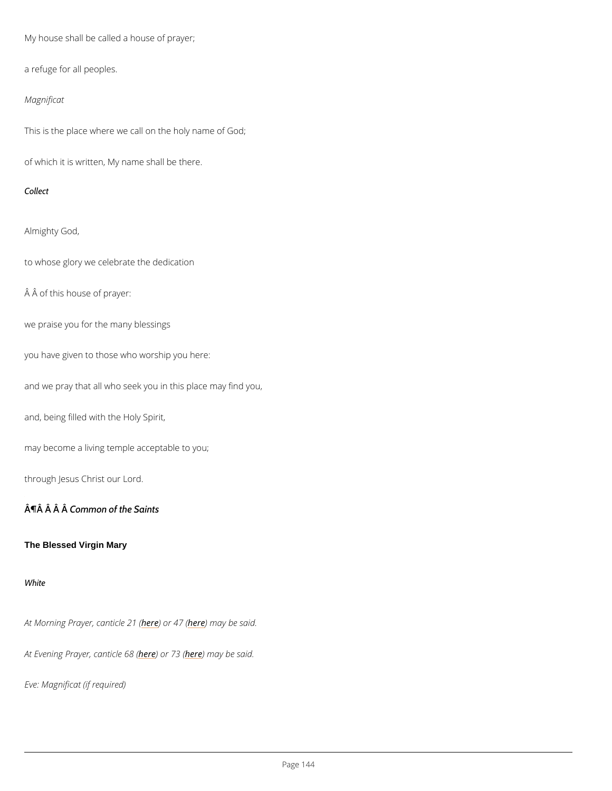My house shall be called a house of prayer;

a refuge for all peoples.

Magnificat

This is the place where we call on the holy name of God;

of which it is written, My name shall be there.

Collect

Almighty God,

to whose glory we celebrate the dedication

 $A$   $A$  of this house of prayer:

we praise you for the many blessings

you have given to those who worship you here:

and we pray that all who seek you in this place may find you,

and, being filled with the Holy Spirit,

may become a living temple acceptable to you;

through Jesus Christ our Lord.

 $\hat{A}$   $\hat{\Pi}$   $\hat{A}$   $\hat{A}$   $\hat{B}$   $\hat{B}$   $\hat{C}$   $\hat{B}$   $\hat{C}$   $\hat{C}$   $\hat{C}$   $\hat{C}$   $\hat{C}$   $\hat{C}$   $\hat{C}$   $\hat{C}$   $\hat{C}$   $\hat{C}$   $\hat{C}$   $\hat{C}$   $\hat{C}$   $\hat{C}$   $\hat{C}$   $\hat{C}$   $\hat{C}$   $\hat{C}$   $\hat{C}$   $\hat{C$ 

The Blessed Virgin Mary

White

At Morning Prayer, hean book the 20 am (ay be said.

At Evening Prayerhedendiche neam (ay be said.

Eve: Magnificat (if required)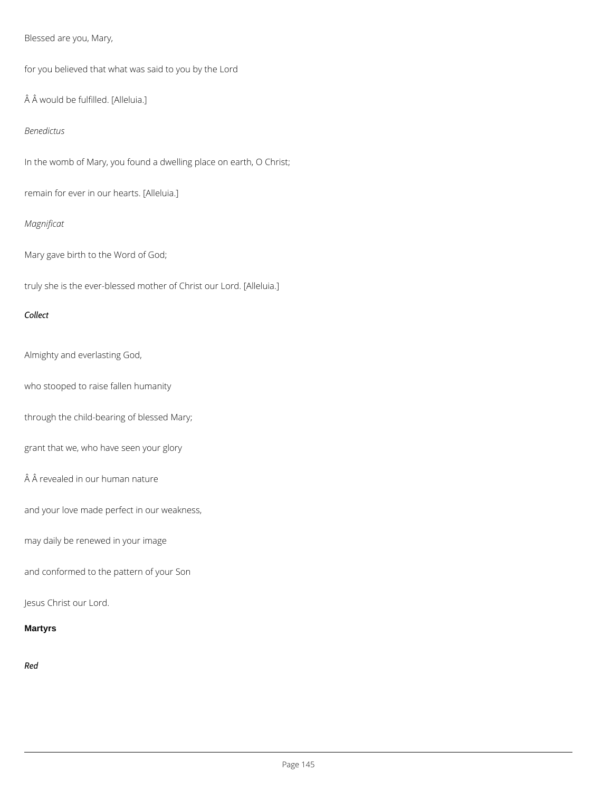# Blessed are you, Mary,

for you believed that what was said to you by the Lord

Â would be fulfilled. [Alleluia.]

#### *Benedictus*

In the womb of Mary, you found a dwelling place on earth, O Christ;

remain for ever in our hearts. [Alleluia.]

# *Magnificat*

Mary gave birth to the Word of God;

truly she is the ever-blessed mother of Christ our Lord. [Alleluia.]

#### *Collect*

Almighty and everlasting God,

who stooped to raise fallen humanity

through the child-bearing of blessed Mary;

grant that we, who have seen your glory

Â revealed in our human nature

and your love made perfect in our weakness,

may daily be renewed in your image

and conformed to the pattern of your Son

Jesus Christ our Lord.

**Martyrs**

*Red*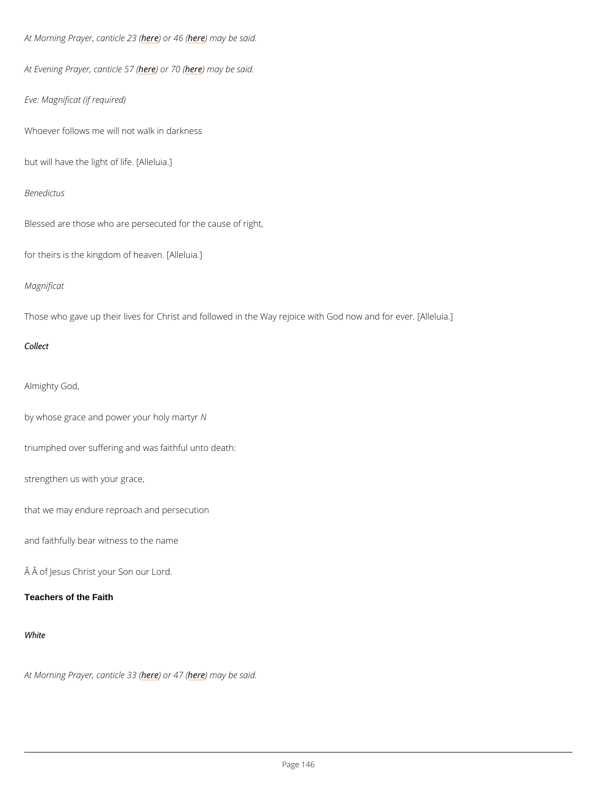```
At Morning Prayer, heane bind learned 2018 m(ay be said.
```

```
At Evening Prayerhedendiche fehren ay be said.
```
Eve: Magnificat (if required)

Whoever follows me will not walk in darkness

but will have the light of life. [Alleluia.]

Benedictus

Blessed are those who are persecuted for the cause of right,

for theirs is the kingdom of heaven. [Alleluia.]

Magnificat

Those who gave up their lives for Christ and followed in the Way rejoice with God now and fo

Collect

Almighty God,

by whose grace and power your holy martyr

triumphed over suffering and was faithful unto death:

strengthen us with your grace,

that we may endure reproach and persecution

and faithfully bear witness to the name

Â of Jesus Christ your Son our Lord.

Teachers of the Faith

White

#### At Morning Prayer, heane bircle 23 (8 m (ay be said.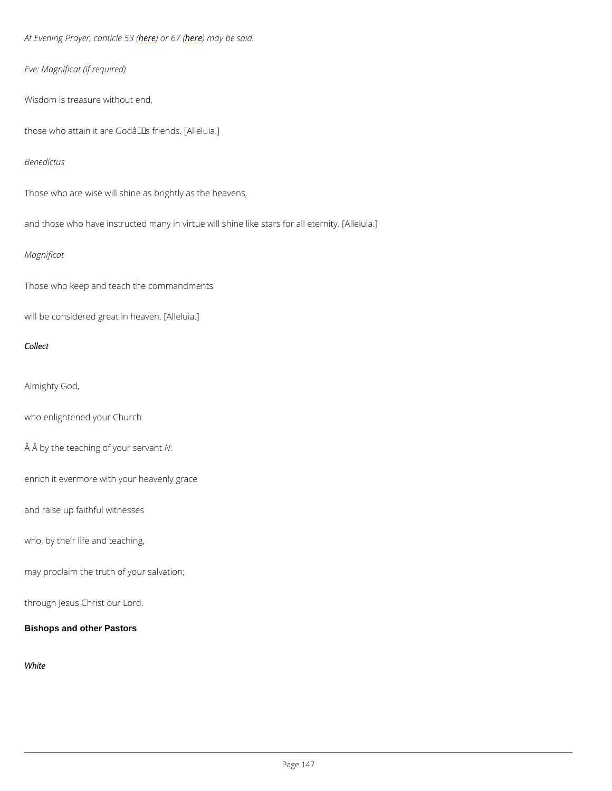At Evening Prayer here) and rchose near (a) be said.

Eve: Magnificat (if required)

Wisdom is treasure without end,

those who attain it are  $G$ odâ $\epsilon$ <sup>TM</sup>s friends. [Alleluia.]

Benedictus

Those who are wise will shine as brightly as the heavens,

and those who have instructed many in virtue will shine like stars for all eternity. [Alleluia.]

#### Magnificat

Those who keep and teach the commandments

will be considered great in heaven. [Alleluia.]

Collect

Almighty God,

who enlightened your Church

Â by the teaching of Nyour servant

enrich it evermore with your heavenly grace

and raise up faithful witnesses

who, by their life and teaching,

may proclaim the truth of your salvation;

through Jesus Christ our Lord.

Bishops and other Pastors

White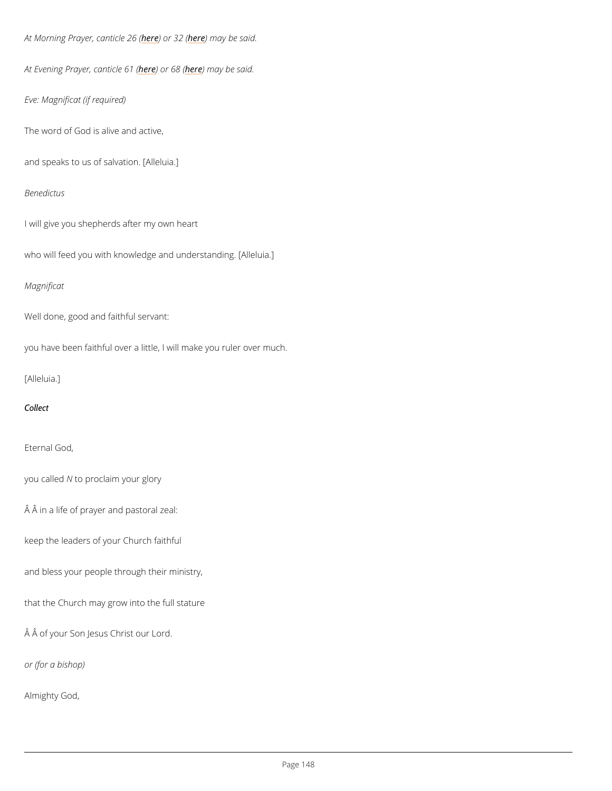```
At Morning Prayer, heane bird be 20 (6 m (ay be said.
At Evening Prayer<u>heedendicoRend</u> ( here) said.
Eve: Magnificat (if required)
The word of God is alive and active,
and speaks to us of salvation. [Alleluia.]
Benedictus
I will give you shepherds after my own heart
who will feed you with knowledge and understanding. [Alleluia.]
Magnificat
Well done, good and faithful servant:
you have been faithful over a little, I will make you ruler over much.
[Alleluia.]
Collect
Eternal God,
you called proclaim your glory
\hat{A} \hat{A} in a life of prayer and pastoral zeal:
keep the leaders of your Church faithful
```
and bless your people through their ministry,

that the Church may grow into the full stature

Â of your Son Jesus Christ our Lord.

or (for a bishop)

Almighty God,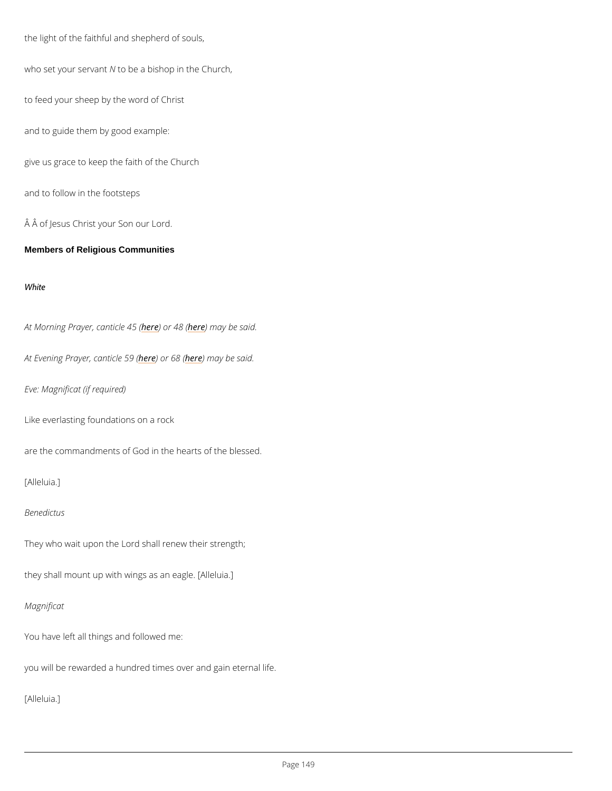```
the light of the faithful and shepherd of souls,
who set your Netrovabret a bishop in the Church,
to feed your sheep by the word of Christ
and to guide them by good example:
give us grace to keep the faith of the Church
and to follow in the footsteps
 Â of Jesus Christ your Son our Lord.
Members of Religious Communities
```
White

At Morning Prayer, heane bird learned 416 m (ay be said.

At Evening Prayerheependrches night be said.

Eve: Magnificat (if required)

Like everlasting foundations on a rock

are the commandments of God in the hearts of the blessed.

[Alleluia.]

Benedictus

They who wait upon the Lord shall renew their strength;

they shall mount up with wings as an eagle. [Alleluia.]

Magnificat

You have left all things and followed me:

you will be rewarded a hundred times over and gain eternal life.

[Alleluia.]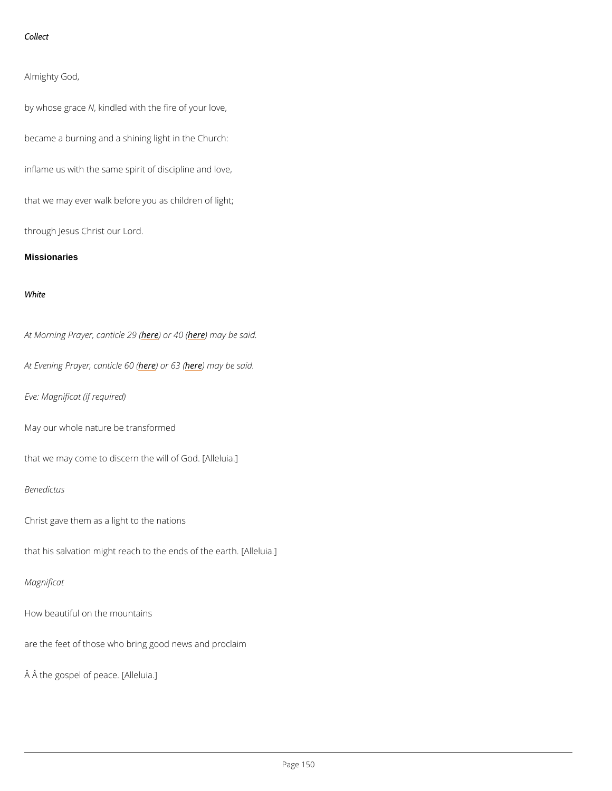Collect

Almighty God,

by whose  $\oint$  , akiendled with the fire of your love,

became a burning and a shining light in the Church:

inflame us with the same spirit of discipline and love,

that we may ever walk before you as children of light;

through Jesus Christ our Lord.

**Missionaries** 

White

At Morning Prayer, hea) bio[le 2](/var/www/www.churchofengland.org/web/canticles-daily-prayer/40-song-ezekiel)0 m(ay be said.

At Evening Prayerheependiche nie om (ay be said.

Eve: Magnificat (if required)

May our whole nature be transformed

that we may come to discern the will of God. [Alleluia.]

Benedictus

Christ gave them as a light to the nations

that his salvation might reach to the ends of the earth. [Alleluia.]

Magnificat

How beautiful on the mountains

are the feet of those who bring good news and proclaim

 $\hat{A}$   $\hat{A}$  the gospel of peace. [Alleluia.]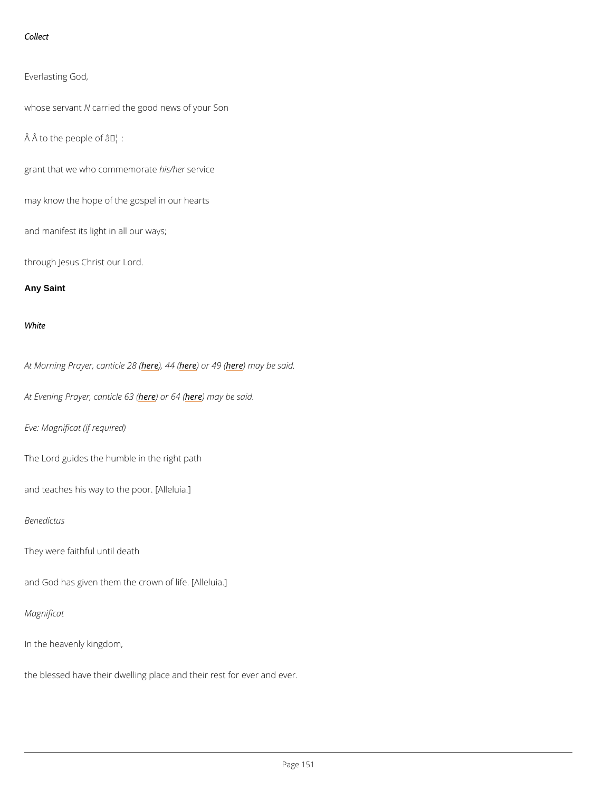```
Collect
```
Everlasting God,

whose serNaatried the good news of your Son

 $\hat{A}$   $\hat{A}$  to the people of  $\hat{a} \in I$ :

grant that we who comminse im service

may know the hope of the gospel in our hearts

and manifest its light in all our ways;

through Jesus Christ our Lord.

Any Saint

White

At Morning Prayer, heanet 44 (here) of the end of the caid.

At Evening Prayer here) and ric follow for the said.

Eve: Magnificat (if required)

The Lord guides the humble in the right path

and teaches his way to the poor. [Alleluia.]

Benedictus

They were faithful until death

and God has given them the crown of life. [Alleluia.]

Magnificat

In the heavenly kingdom,

the blessed have their dwelling place and their rest for ever and ever.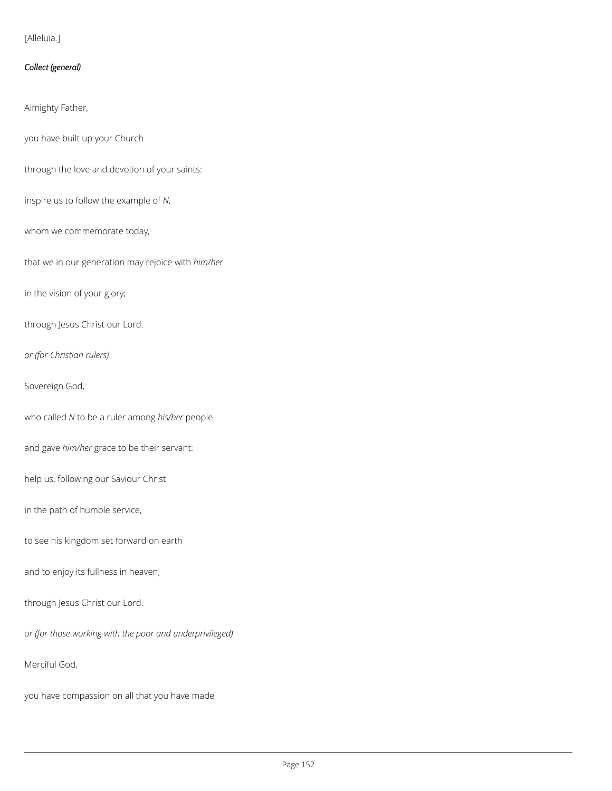### [Alleluia.]

### *Collect (general)*

Almighty Father,

you have built up your Church

through the love and devotion of your saints:

inspire us to follow the example of *N*,

whom we commemorate today,

that we in our generation may rejoice with *him/her*

in the vision of your glory;

through Jesus Christ our Lord.

*or (for Christian rulers)*

Sovereign God,

who called *N* to be a ruler among *his/her* people

and gave *him/her* grace to be their servant:

help us, following our Saviour Christ

in the path of humble service,

to see his kingdom set forward on earth

and to enjoy its fullness in heaven;

#### through Jesus Christ our Lord.

*or (for those working with the poor and underprivileged)*

Merciful God,

you have compassion on all that you have made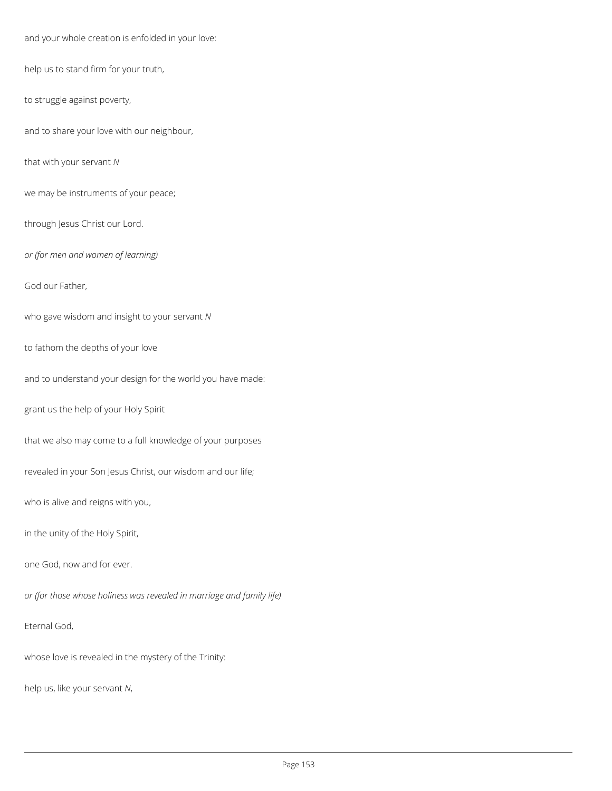and your whole creation is enfolded in your love:

help us to stand firm for your truth,

to struggle against poverty,

and to share your love with our neighbour,

that with your servant *N*

we may be instruments of your peace;

through Jesus Christ our Lord.

*or (for men and women of learning)*

God our Father,

who gave wisdom and insight to your servant *N*

to fathom the depths of your love

and to understand your design for the world you have made:

grant us the help of your Holy Spirit

that we also may come to a full knowledge of your purposes

revealed in your Son Jesus Christ, our wisdom and our life;

who is alive and reigns with you,

in the unity of the Holy Spirit,

one God, now and for ever.

*or (for those whose holiness was revealed in marriage and family life)*

### Eternal God,

whose love is revealed in the mystery of the Trinity:

help us, like your servant *N*,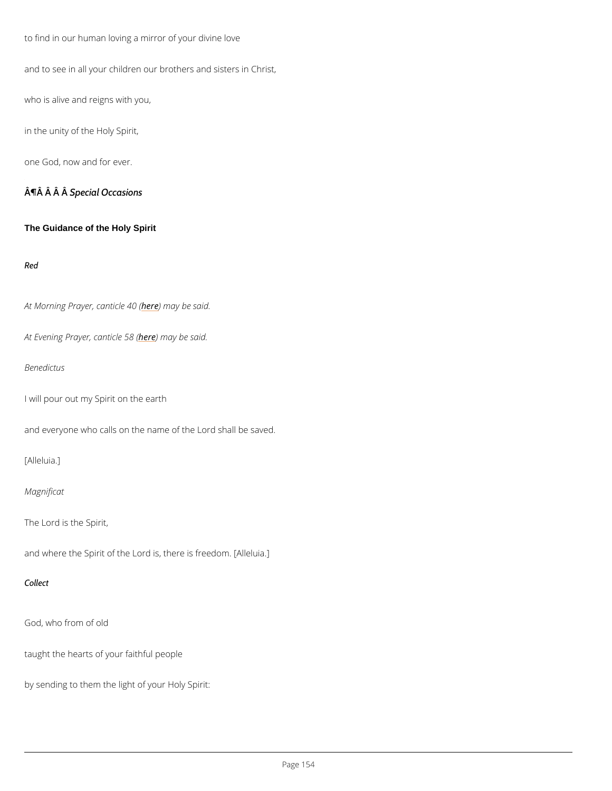to find in our human loving a mirror of your divine love

and to see in all your children our brothers and sisters in Christ,

who is alive and reigns with you,

in the unity of the Holy Spirit,

one God, now and for ever.

¶Â Â ŜpÂcial Occasions

The Guidance of the Holy Spirit

Red

At Morning Prayer, heanething ble 0 s(aid.

At Evening Prayerheedenmiacyeb 58 8 said.

Benedictus

I will pour out my Spirit on the earth

and everyone who calls on the name of the Lord shall be saved.

[Alleluia.]

Magnificat

The Lord is the Spirit,

and where the Spirit of the Lord is, there is freedom. [Alleluia.]

Collect

God, who from of old

taught the hearts of your faithful people

by sending to them the light of your Holy Spirit: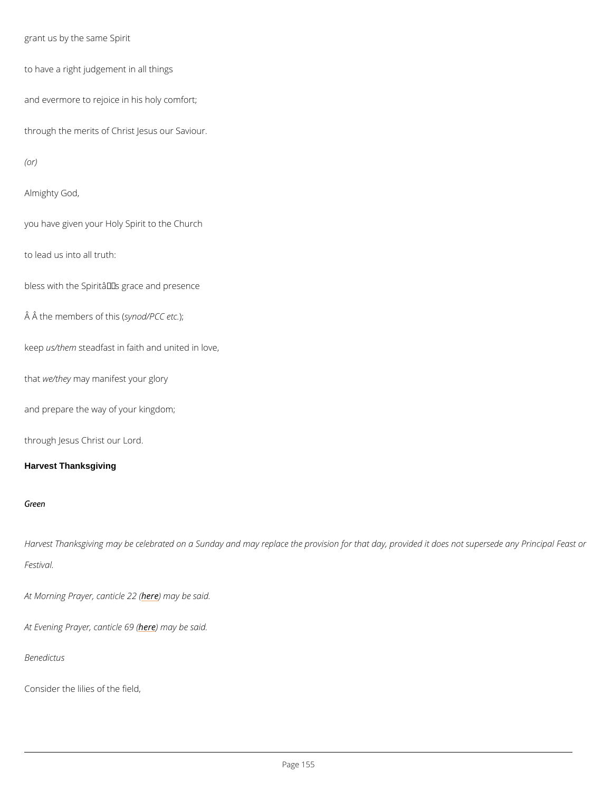```
grant us by the same Spirit
```

```
to have a right judgement in all things
```
and evermore to rejoice in his holy comfort;

through the merits of Christ Jesus our Saviour.

(or)

Almighty God,

you have given your Holy Spirit to the Church

to lead us into all truth:

bless with the Spirit $a \in \mathbb{T}^M$ s grace and presence

 $\hat{A}$   $\hat{A}$  the memberssyonfotoh/iPSC)( $C$  etc.

keeps/them eadfast in faith and united in love,

thawe/thenyay manifest your glory

Harvest Thanksgiving may be celebrated on a Sunday and may replace the provision for that Festival.

At Morning Prayer, heane thin a by board said.

At Evening Prayerheedenmiacyeb@9s&id.

and prepare the way of your kingdom;

through Jesus Christ our Lord.

Harvest Thanksgiving

Green

Benedictus

Consider the lilies of the field,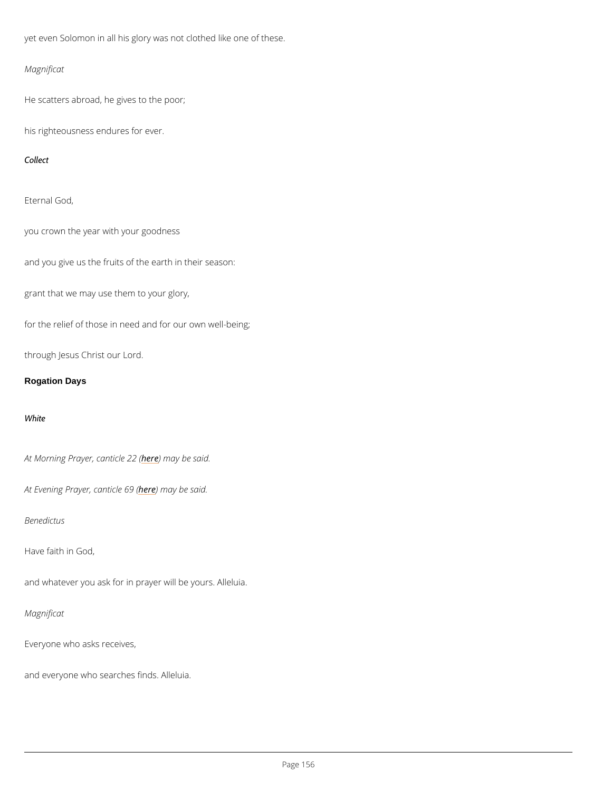yet even Solomon in all his glory was not clothed like one of these.

Magnificat

He scatters abroad, he gives to the poor;

his righteousness endures for ever.

Collect

Eternal God,

you crown the year with your goodness

and you give us the fruits of the earth in their season:

grant that we may use them to your glory,

for the relief of those in need and for our own well-being;

through Jesus Christ our Lord.

Rogation Days

White

At Morning Prayer, heane thin a by board said.

At Evening Prayerheedenmiacyeb@9s&id.

Benedictus

Have faith in God,

and whatever you ask for in prayer will be yours. Alleluia.

Magnificat

Everyone who asks receives,

and everyone who searches finds. Alleluia.

 $P$ ag  $6$ 56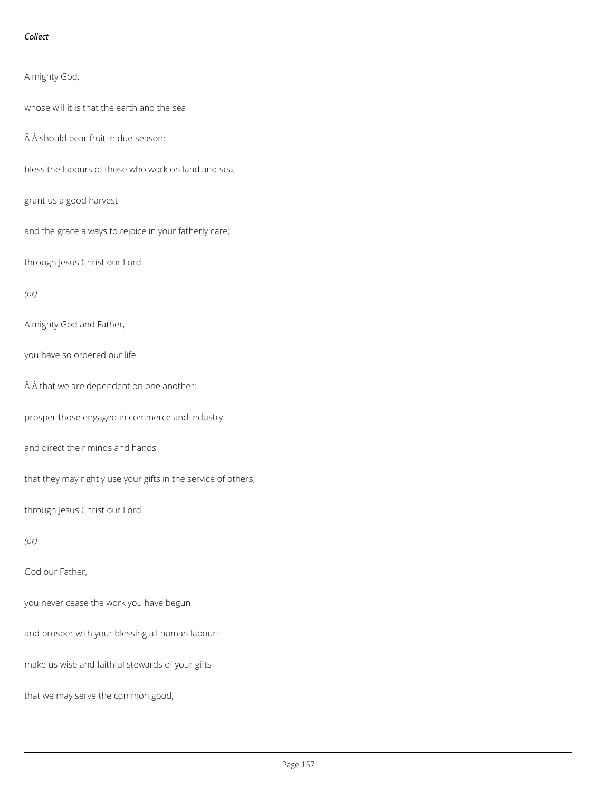### *Collect*

Almighty God,

whose will it is that the earth and the sea

 $\hat{A}$   $\hat{A}$  should bear fruit in due season:

bless the labours of those who work on land and sea,

grant us a good harvest

and the grace always to rejoice in your fatherly care;

through Jesus Christ our Lord.

*(or)*

Almighty God and Father,

you have so ordered our life

 $\hat{A}$   $\hat{A}$  that we are dependent on one another:

prosper those engaged in commerce and industry

and direct their minds and hands

that they may rightly use your gifts in the service of others;

through Jesus Christ our Lord.

*(or)*

God our Father,

you never cease the work you have begun

and prosper with your blessing all human labour:

make us wise and faithful stewards of your gifts

that we may serve the common good,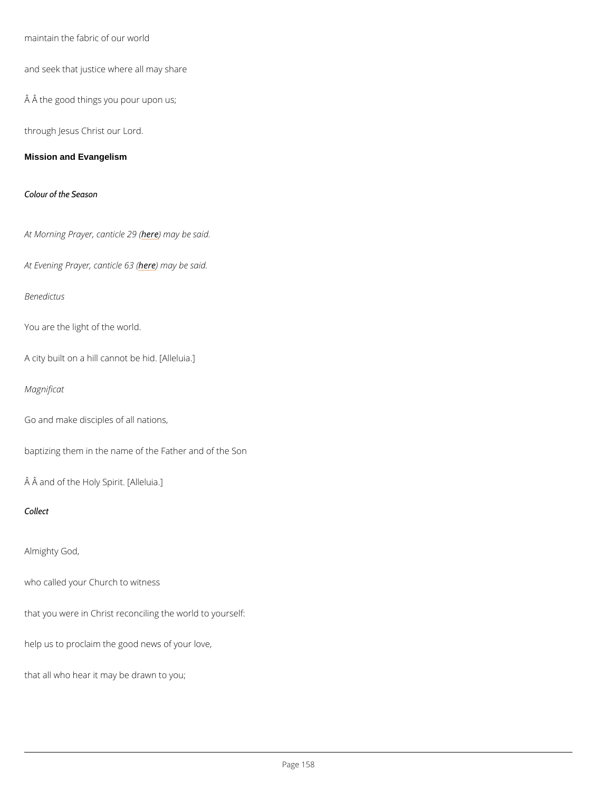maintain the fabric of our world

and seek that justice where all may share

Â the good things you pour upon us;

through Jesus Christ our Lord.

Mission and Evangelism

Colour of the Season

At Morning Prayer, heane thin a by boase s(aid.

At Evening Prayerheedenmiacyeb@3s&id.

Benedictus

You are the light of the world.

A city built on a hill cannot be hid. [Alleluia.]

Magnificat

Go and make disciples of all nations,

baptizing them in the name of the Father and of the Son

Â and of the Holy Spirit. [Alleluia.]

Collect

Almighty God,

who called your Church to witness

that you were in Christ reconciling the world to yourself:

help us to proclaim the good news of your love,

that all who hear it may be drawn to you;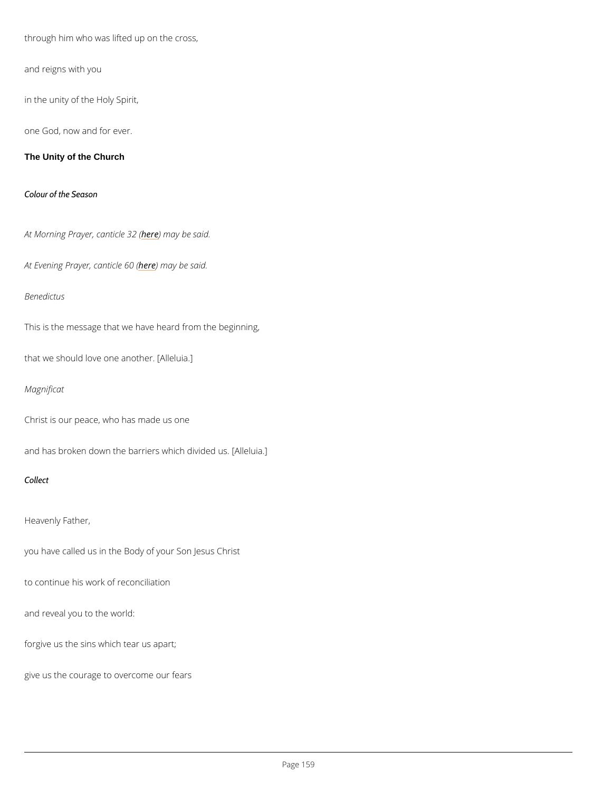through him who was lifted up on the cross,

and reigns with you

in the unity of the Holy Spirit,

one God, now and for ever.

The Unity of the Church

Colour of the Season

At Morning Prayer, heanething both 322 s(aid.

```
At Evening Prayerheedenmiacyeb@os&id.
```
Benedictus

This is the message that we have heard from the beginning,

that we should love one another. [Alleluia.]

Magnificat

Christ is our peace, who has made us one

and has broken down the barriers which divided us. [Alleluia.]

Collect

Heavenly Father,

you have called us in the Body of your Son Jesus Christ

to continue his work of reconciliation

and reveal you to the world:

forgive us the sins which tear us apart;

give us the courage to overcome our fears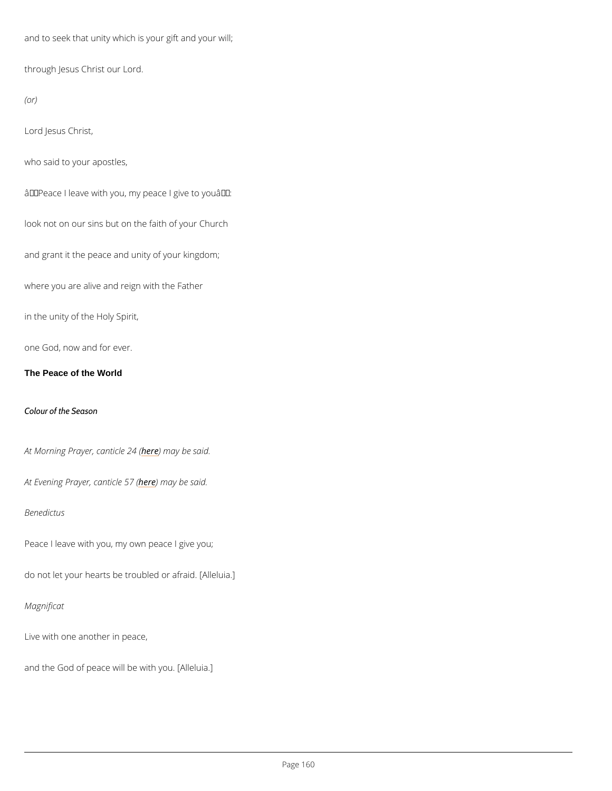and to seek that unity which is your gift and your will;

through Jesus Christ our Lord.

(or)

Lord Jesus Christ,

who said to your apostles,

 $\hat{a} \in \tilde{B}$  Peace I leave with you, my peace I give to you $\hat{a} \in \tilde{B}$ .

look not on our sins but on the faith of your Church

and grant it the peace and unity of your kingdom;

where you are alive and reign with the Father

in the unity of the Holy Spirit,

one God, now and for ever.

The Peace of the World

Colour of the Season

At Morning Prayer, heane thin a be bleed said.

At Evening Prayerheedenmiacyeb 57s (aid.

Benedictus

Peace I leave with you, my own peace I give you;

do not let your hearts be troubled or afraid. [Alleluia.]

Magnificat

Live with one another in peace,

and the God of peace will be with you. [Alleluia.]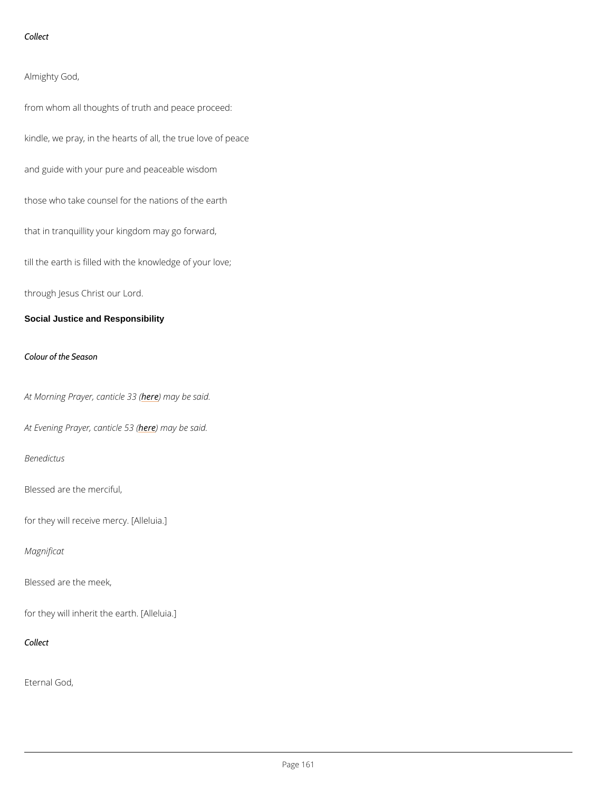Collect

Almighty God,

from whom all thoughts of truth and peace proceed:

kindle, we pray, in the hearts of all, the true love of peace

and guide with your pure and peaceable wisdom

those who take counsel for the nations of the earth

that in tranquillity your kingdom may go forward,

till the earth is filled with the knowledge of your love;

through Jesus Christ our Lord.

Social Justice and Responsibility

Colour of the Season

At Morning Prayer, heane thin a lye boas s(aid.

At Evening Prayerheedenmiacyeb 53s (aid.

Benedictus

Blessed are the merciful,

for they will receive mercy. [Alleluia.]

Magnificat

Blessed are the meek,

for they will inherit the earth. [Alleluia.]

Collect

Eternal God,

 $P$ ag \$61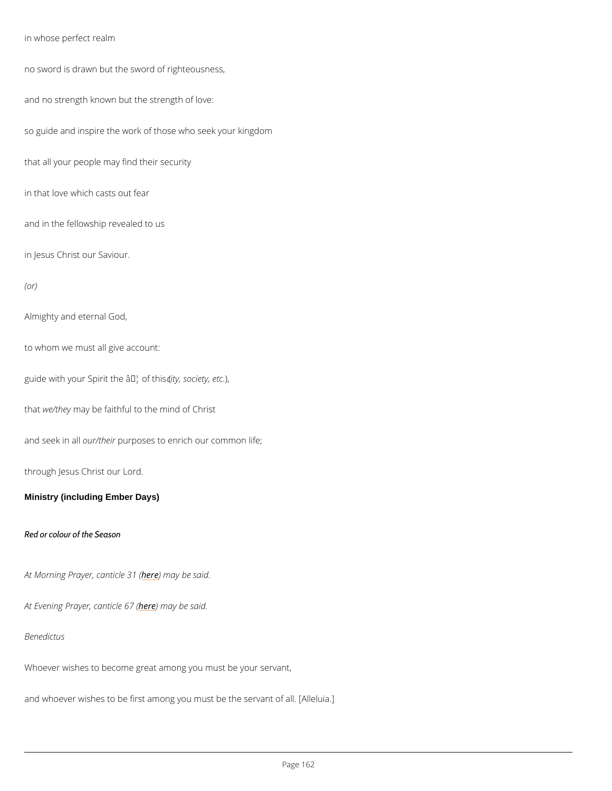in whose perfect realm

no sword is drawn but the sword of righteousness,

and no strength known but the strength of love:

so guide and inspire the work of those who seek your kingdom

that all your people may find their security

in that love which casts out fear

and in the fellowship revealed to us

in Jesus Christ our Saviour.

#### (or)

Almighty and eternal God,

to whom we must all give account:

guide with your Spirit they  $\hat{a} \triangleleft b$  wife, the setc.

thawe/they be faithful to the mind of Christ

and seek ourath purposes to enrich our common life;

through Jesus Christ our Lord.

Ministry (including Ember Days)

Red or colour of the Season

At Morning Prayer, hea) a thin a lye b 3e1 s (aid.

At Evening Prayerhedenthiary eb @ 7s & id.

Benedictus

Whoever wishes to become great among you must be your servant,

and whoever wishes to be first among you must be the servant of all. [Alleluia.]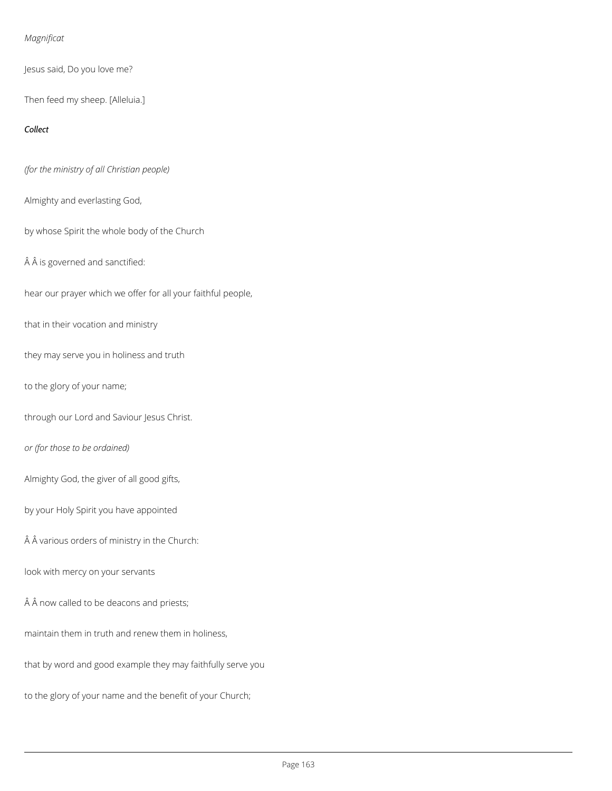### *Magnificat*

Jesus said, Do you love me?

Then feed my sheep. [Alleluia.]

### *Collect*

*(for the ministry of all Christian people)*

Almighty and everlasting God,

by whose Spirit the whole body of the Church

 $\hat{A}$   $\hat{A}$  is governed and sanctified:

hear our prayer which we offer for all your faithful people,

that in their vocation and ministry

they may serve you in holiness and truth

to the glory of your name;

through our Lord and Saviour Jesus Christ.

*or (for those to be ordained)*

Almighty God, the giver of all good gifts,

by your Holy Spirit you have appointed

 $\hat{A}$  A various orders of ministry in the Church:

look with mercy on your servants

### $\hat{A}$   $\hat{A}$  now called to be deacons and priests;

maintain them in truth and renew them in holiness,

that by word and good example they may faithfully serve you

to the glory of your name and the benefit of your Church;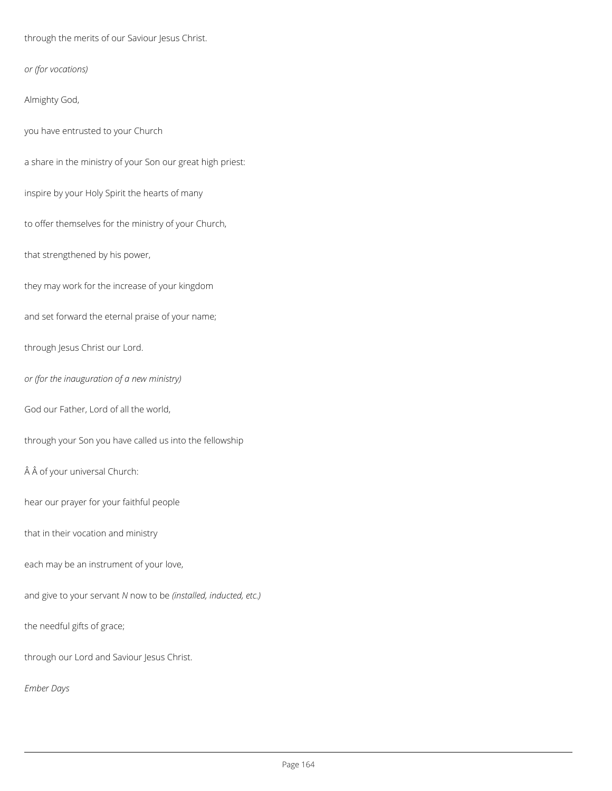through the merits of our Saviour Jesus Christ.

*or (for vocations)*

Almighty God,

you have entrusted to your Church

a share in the ministry of your Son our great high priest:

inspire by your Holy Spirit the hearts of many

to offer themselves for the ministry of your Church,

that strengthened by his power,

they may work for the increase of your kingdom

and set forward the eternal praise of your name;

through Jesus Christ our Lord.

*or (for the inauguration of a new ministry)*

God our Father, Lord of all the world,

through your Son you have called us into the fellowship

 $\hat{A}$   $\hat{A}$  of your universal Church:

hear our prayer for your faithful people

that in their vocation and ministry

each may be an instrument of your love,

and give to your servant *N* now to be *(installed, inducted, etc.)*

the needful gifts of grace;

through our Lord and Saviour Jesus Christ.

*Ember Days*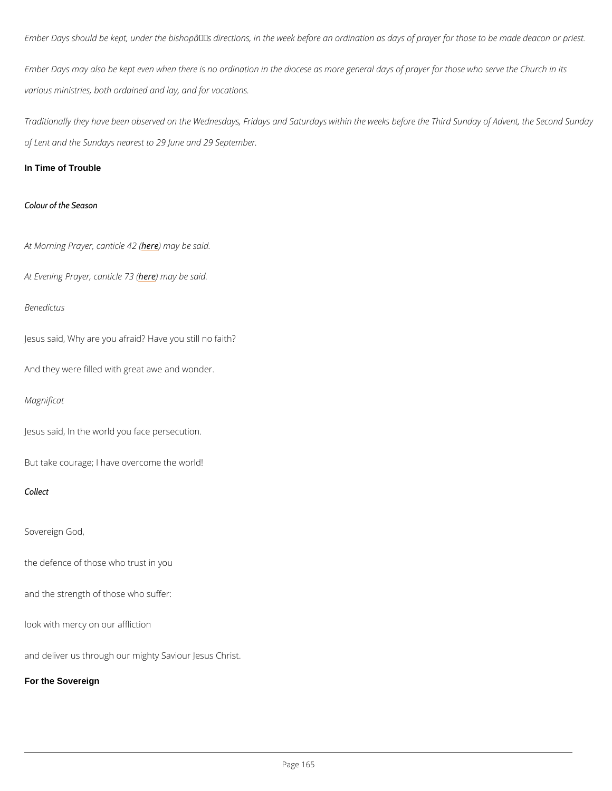Ember Days should be kept, under the bishopâ $\epsilon$ <sup>TM</sup>s directions, in the week before an ordinati

Ember Days may also be kept even when there is no ordination in the diocese as more general various ministries, both ordained and lay, and for vocations.

Traditionally they have been observed on the Wednesdays, Fridays and Saturdays within the of Lent and the Sundays nearest to 29 June and 29 September.

In Time of Trouble

Colour of the Season

At Morning Prayer, heane thin a by e ble 2 s(aid.

At Evening Prayerhedenthiarveb 23 said.

Benedictus

Jesus said, Why are you afraid? Have you still no faith?

And they were filled with great awe and wonder.

Magnificat

Jesus said, In the world you face persecution.

But take courage; I have overcome the world!

Collect

Sovereign God,

the defence of those who trust in you

and the strength of those who suffer:

look with mercy on our affliction

and deliver us through our mighty Saviour Jesus Christ.

For the Sovereign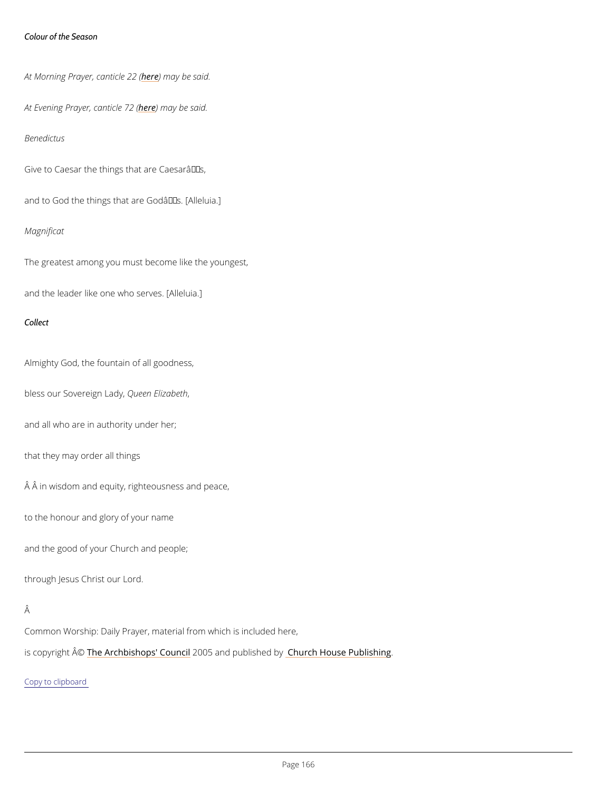Colour of the Season

At Morning Prayer, heane thin a by board said.

At Evening Prayerheedenmiacyeb 22 said.

Benedictus

Give to Caesar the things that are Caesar $a \in \mathbb{M}$ s,

and to God the things that are Godâ $\in$ <sup>TM</sup>s. [Alleluia.]

Magnificat

The greatest among you must become like the youngest,

and the leader like one who serves. [Alleluia.]

Collect

Almighty God, the fountain of all goodness,

bless our SovereQueed madEylizabeth

and all who are in authority under her;

that they may order all things

 $\hat{A}$   $\hat{A}$  in wisdom and equity, righteousness and peace,

to the honour and glory of your name

and the good of your Church and people;

through Jesus Christ our Lord.

Common Worship: Daily Prayer, material from which is included here,

is copyrighth  $\hat{\mathbb{A}}$  @Archbishops' 2000 u5n and publishing by House Publishing

Copy to clipboard